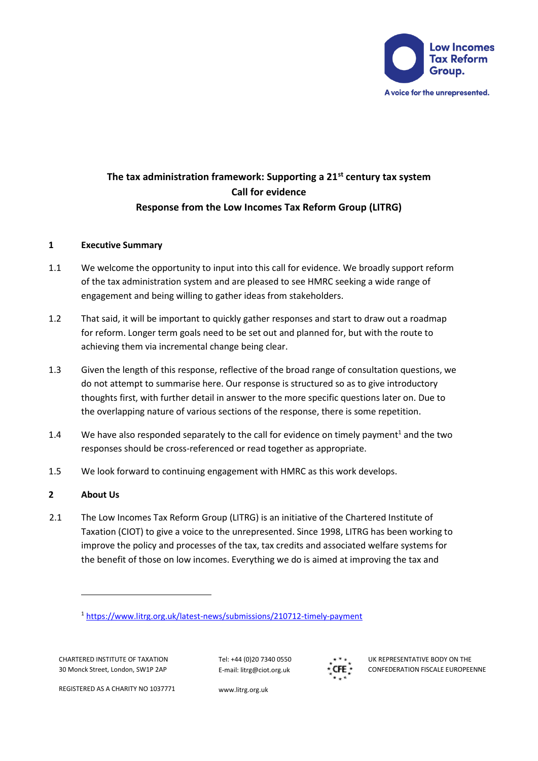

## **The tax administration framework: Supporting a 21st century tax system Call for evidence Response from the Low Incomes Tax Reform Group (LITRG)**

#### **1 Executive Summary**

- 1.1 We welcome the opportunity to input into this call for evidence. We broadly support reform of the tax administration system and are pleased to see HMRC seeking a wide range of engagement and being willing to gather ideas from stakeholders.
- 1.2 That said, it will be important to quickly gather responses and start to draw out a roadmap for reform. Longer term goals need to be set out and planned for, but with the route to achieving them via incremental change being clear.
- 1.3 Given the length of this response, reflective of the broad range of consultation questions, we do not attempt to summarise here. Our response is structured so as to give introductory thoughts first, with further detail in answer to the more specific questions later on. Due to the overlapping nature of various sections of the response, there is some repetition.
- 1.4 We have also responded separately to the call for evidence on timely payment<sup>1</sup> and the two responses should be cross-referenced or read together as appropriate.
- 1.5 We look forward to continuing engagement with HMRC as this work develops.

#### **2 About Us**

2.1 The Low Incomes Tax Reform Group (LITRG) is an initiative of the Chartered Institute of Taxation (CIOT) to give a voice to the unrepresented. Since 1998, LITRG has been working to improve the policy and processes of the tax, tax credits and associated welfare systems for the benefit of those on low incomes. Everything we do is aimed at improving the tax and



<sup>1</sup> <https://www.litrg.org.uk/latest-news/submissions/210712-timely-payment>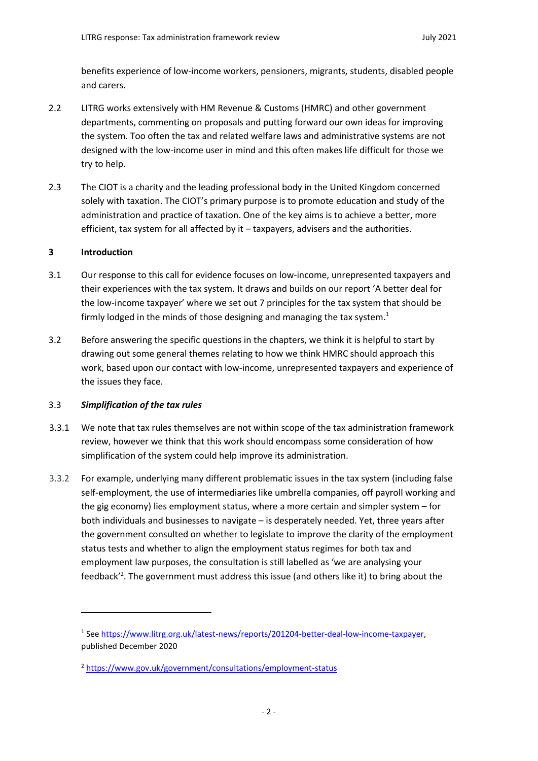benefits experience of low-income workers, pensioners, migrants, students, disabled people and carers.

- 2.2 LITRG works extensively with HM Revenue & Customs (HMRC) and other government departments, commenting on proposals and putting forward our own ideas for improving the system. Too often the tax and related welfare laws and administrative systems are not designed with the low-income user in mind and this often makes life difficult for those we try to help.
- 2.3 The CIOT is a charity and the leading professional body in the United Kingdom concerned solely with taxation. The CIOT's primary purpose is to promote education and study of the administration and practice of taxation. One of the key aims is to achieve a better, more efficient, tax system for all affected by it – taxpayers, advisers and the authorities.

#### **3 Introduction**

- 3.1 Our response to this call for evidence focuses on low-income, unrepresented taxpayers and their experiences with the tax system. It draws and builds on our report 'A better deal for the low-income taxpayer' where we set out 7 principles for the tax system that should be firmly lodged in the minds of those designing and managing the tax system.<sup>1</sup>
- 3.2 Before answering the specific questions in the chapters, we think it is helpful to start by drawing out some general themes relating to how we think HMRC should approach this work, based upon our contact with low-income, unrepresented taxpayers and experience of the issues they face.

#### 3.3 *Simplification of the tax rules*

- 3.3.1 We note that tax rules themselves are not within scope of the tax administration framework review, however we think that this work should encompass some consideration of how simplification of the system could help improve its administration.
- 3.3.2 For example, underlying many different problematic issues in the tax system (including false self-employment, the use of intermediaries like umbrella companies, off payroll working and the gig economy) lies employment status, where a more certain and simpler system – for both individuals and businesses to navigate – is desperately needed. Yet, three years after the government consulted on whether to legislate to improve the clarity of the employment status tests and whether to align the employment status regimes for both tax and employment law purposes, the consultation is still labelled as 'we are analysing your feedback<sup>2</sup>. The government must address this issue (and others like it) to bring about the

<sup>&</sup>lt;sup>1</sup> See [https://www.litrg.org.uk/latest-news/reports/201204-better-deal-low-income-taxpayer,](https://www.litrg.org.uk/latest-news/reports/201204-better-deal-low-income-taxpayer) published December 2020

<sup>2</sup> <https://www.gov.uk/government/consultations/employment-status>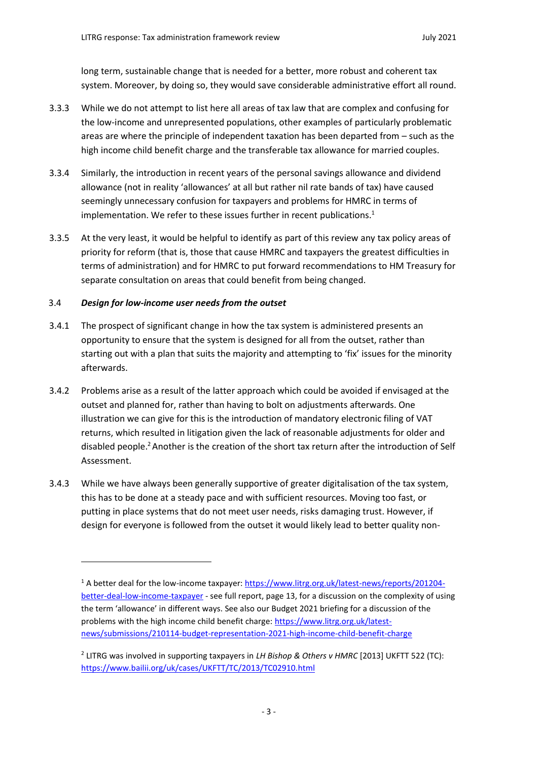long term, sustainable change that is needed for a better, more robust and coherent tax system. Moreover, by doing so, they would save considerable administrative effort all round.

- 3.3.3 While we do not attempt to list here all areas of tax law that are complex and confusing for the low-income and unrepresented populations, other examples of particularly problematic areas are where the principle of independent taxation has been departed from – such as the high income child benefit charge and the transferable tax allowance for married couples.
- 3.3.4 Similarly, the introduction in recent years of the personal savings allowance and dividend allowance (not in reality 'allowances' at all but rather nil rate bands of tax) have caused seemingly unnecessary confusion for taxpayers and problems for HMRC in terms of implementation. We refer to these issues further in recent publications. 1
- 3.3.5 At the very least, it would be helpful to identify as part of this review any tax policy areas of priority for reform (that is, those that cause HMRC and taxpayers the greatest difficulties in terms of administration) and for HMRC to put forward recommendations to HM Treasury for separate consultation on areas that could benefit from being changed.

#### 3.4 *Design for low-income user needs from the outset*

- 3.4.1 The prospect of significant change in how the tax system is administered presents an opportunity to ensure that the system is designed for all from the outset, rather than starting out with a plan that suits the majority and attempting to 'fix' issues for the minority afterwards.
- 3.4.2 Problems arise as a result of the latter approach which could be avoided if envisaged at the outset and planned for, rather than having to bolt on adjustments afterwards. One illustration we can give for this is the introduction of mandatory electronic filing of VAT returns, which resulted in litigation given the lack of reasonable adjustments for older and disabled people.<sup>2</sup> Another is the creation of the short tax return after the introduction of Self Assessment.
- 3.4.3 While we have always been generally supportive of greater digitalisation of the tax system, this has to be done at a steady pace and with sufficient resources. Moving too fast, or putting in place systems that do not meet user needs, risks damaging trust. However, if design for everyone is followed from the outset it would likely lead to better quality non-

<sup>1</sup> A better deal for the low-income taxpayer: [https://www.litrg.org.uk/latest-news/reports/201204](https://www.litrg.org.uk/latest-news/reports/201204-better-deal-low-income-taxpayer) [better-deal-low-income-taxpayer](https://www.litrg.org.uk/latest-news/reports/201204-better-deal-low-income-taxpayer) - see full report, page 13, for a discussion on the complexity of using the term 'allowance' in different ways. See also our Budget 2021 briefing for a discussion of the problems with the high income child benefit charge: [https://www.litrg.org.uk/latest](https://www.litrg.org.uk/latest-news/submissions/210114-budget-representation-2021-high-income-child-benefit-charge)[news/submissions/210114-budget-representation-2021-high-income-child-benefit-charge](https://www.litrg.org.uk/latest-news/submissions/210114-budget-representation-2021-high-income-child-benefit-charge)

<sup>2</sup> LITRG was involved in supporting taxpayers in *LH Bishop & Others v HMRC* [2013] UKFTT 522 (TC): <https://www.bailii.org/uk/cases/UKFTT/TC/2013/TC02910.html>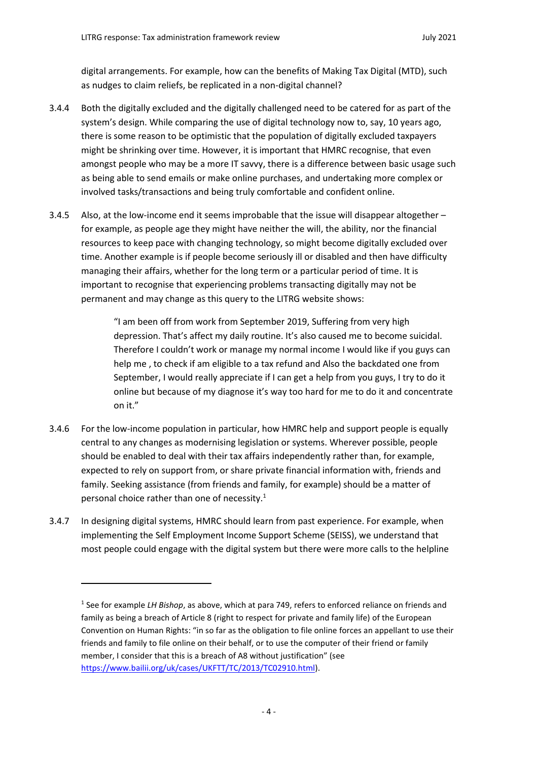digital arrangements. For example, how can the benefits of Making Tax Digital (MTD), such as nudges to claim reliefs, be replicated in a non-digital channel?

- 3.4.4 Both the digitally excluded and the digitally challenged need to be catered for as part of the system's design. While comparing the use of digital technology now to, say, 10 years ago, there is some reason to be optimistic that the population of digitally excluded taxpayers might be shrinking over time. However, it is important that HMRC recognise, that even amongst people who may be a more IT savvy, there is a difference between basic usage such as being able to send emails or make online purchases, and undertaking more complex or involved tasks/transactions and being truly comfortable and confident online.
- 3.4.5 Also, at the low-income end it seems improbable that the issue will disappear altogether for example, as people age they might have neither the will, the ability, nor the financial resources to keep pace with changing technology, so might become digitally excluded over time. Another example is if people become seriously ill or disabled and then have difficulty managing their affairs, whether for the long term or a particular period of time. It is important to recognise that experiencing problems transacting digitally may not be permanent and may change as this query to the LITRG website shows:

"I am been off from work from September 2019, Suffering from very high depression. That's affect my daily routine. It's also caused me to become suicidal. Therefore I couldn't work or manage my normal income I would like if you guys can help me , to check if am eligible to a tax refund and Also the backdated one from September, I would really appreciate if I can get a help from you guys, I try to do it online but because of my diagnose it's way too hard for me to do it and concentrate on it."

- 3.4.6 For the low-income population in particular, how HMRC help and support people is equally central to any changes as modernising legislation or systems. Wherever possible, people should be enabled to deal with their tax affairs independently rather than, for example, expected to rely on support from, or share private financial information with, friends and family. Seeking assistance (from friends and family, for example) should be a matter of personal choice rather than one of necessity.<sup>1</sup>
- 3.4.7 In designing digital systems, HMRC should learn from past experience. For example, when implementing the Self Employment Income Support Scheme (SEISS), we understand that most people could engage with the digital system but there were more calls to the helpline

<sup>&</sup>lt;sup>1</sup> See for example *LH Bishop*, as above, which at para 749, refers to enforced reliance on friends and family as being a breach of Article 8 (right to respect for private and family life) of the European Convention on Human Rights: "in so far as the obligation to file online forces an appellant to use their friends and family to file online on their behalf, or to use the computer of their friend or family member, I consider that this is a breach of A8 without justification" (see [https://www.bailii.org/uk/cases/UKFTT/TC/2013/TC02910.html\)](https://www.bailii.org/uk/cases/UKFTT/TC/2013/TC02910.html).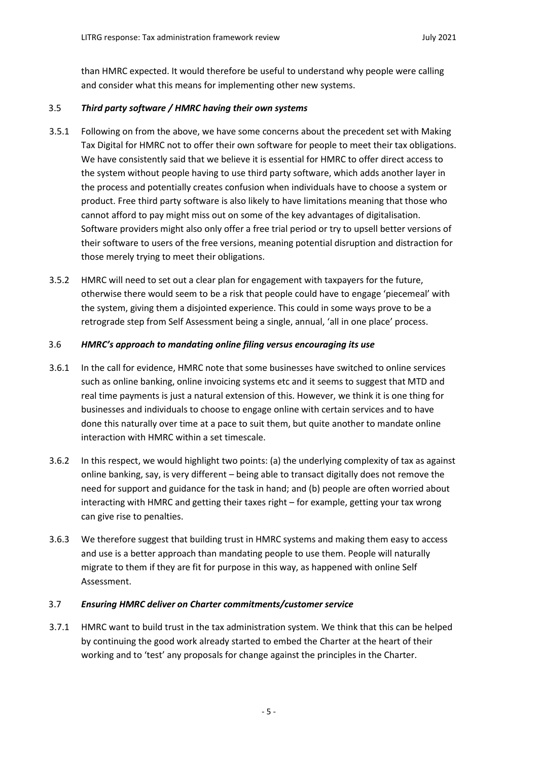than HMRC expected. It would therefore be useful to understand why people were calling and consider what this means for implementing other new systems.

#### 3.5 *Third party software / HMRC having their own systems*

- 3.5.1 Following on from the above, we have some concerns about the precedent set with Making Tax Digital for HMRC not to offer their own software for people to meet their tax obligations. We have consistently said that we believe it is essential for HMRC to offer direct access to the system without people having to use third party software, which adds another layer in the process and potentially creates confusion when individuals have to choose a system or product. Free third party software is also likely to have limitations meaning that those who cannot afford to pay might miss out on some of the key advantages of digitalisation. Software providers might also only offer a free trial period or try to upsell better versions of their software to users of the free versions, meaning potential disruption and distraction for those merely trying to meet their obligations.
- 3.5.2 HMRC will need to set out a clear plan for engagement with taxpayers for the future, otherwise there would seem to be a risk that people could have to engage 'piecemeal' with the system, giving them a disjointed experience. This could in some ways prove to be a retrograde step from Self Assessment being a single, annual, 'all in one place' process.

#### 3.6 *HMRC's approach to mandating online filing versus encouraging its use*

- 3.6.1 In the call for evidence, HMRC note that some businesses have switched to online services such as online banking, online invoicing systems etc and it seems to suggest that MTD and real time payments is just a natural extension of this. However, we think it is one thing for businesses and individuals to choose to engage online with certain services and to have done this naturally over time at a pace to suit them, but quite another to mandate online interaction with HMRC within a set timescale.
- 3.6.2 In this respect, we would highlight two points: (a) the underlying complexity of tax as against online banking, say, is very different – being able to transact digitally does not remove the need for support and guidance for the task in hand; and (b) people are often worried about interacting with HMRC and getting their taxes right – for example, getting your tax wrong can give rise to penalties.
- 3.6.3 We therefore suggest that building trust in HMRC systems and making them easy to access and use is a better approach than mandating people to use them. People will naturally migrate to them if they are fit for purpose in this way, as happened with online Self Assessment.

#### 3.7 *Ensuring HMRC deliver on Charter commitments/customer service*

3.7.1 HMRC want to build trust in the tax administration system. We think that this can be helped by continuing the good work already started to embed the Charter at the heart of their working and to 'test' any proposals for change against the principles in the Charter.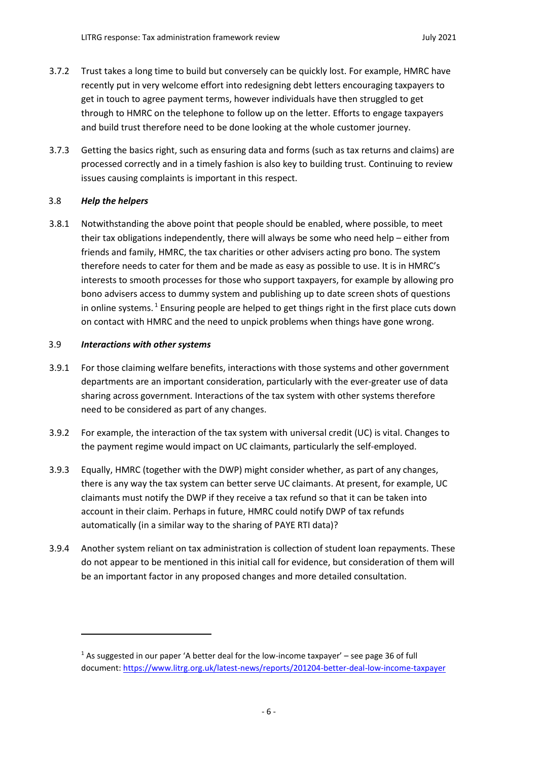- 3.7.2 Trust takes a long time to build but conversely can be quickly lost. For example, HMRC have recently put in very welcome effort into redesigning debt letters encouraging taxpayers to get in touch to agree payment terms, however individuals have then struggled to get through to HMRC on the telephone to follow up on the letter. Efforts to engage taxpayers and build trust therefore need to be done looking at the whole customer journey.
- 3.7.3 Getting the basics right, such as ensuring data and forms (such as tax returns and claims) are processed correctly and in a timely fashion is also key to building trust. Continuing to review issues causing complaints is important in this respect.

#### 3.8 *Help the helpers*

3.8.1 Notwithstanding the above point that people should be enabled, where possible, to meet their tax obligations independently, there will always be some who need help – either from friends and family, HMRC, the tax charities or other advisers acting pro bono. The system therefore needs to cater for them and be made as easy as possible to use. It is in HMRC's interests to smooth processes for those who support taxpayers, for example by allowing pro bono advisers access to dummy system and publishing up to date screen shots of questions in online systems.<sup>1</sup> Ensuring people are helped to get things right in the first place cuts down on contact with HMRC and the need to unpick problems when things have gone wrong.

#### 3.9 *Interactions with other systems*

- 3.9.1 For those claiming welfare benefits, interactions with those systems and other government departments are an important consideration, particularly with the ever-greater use of data sharing across government. Interactions of the tax system with other systems therefore need to be considered as part of any changes.
- 3.9.2 For example, the interaction of the tax system with universal credit (UC) is vital. Changes to the payment regime would impact on UC claimants, particularly the self-employed.
- 3.9.3 Equally, HMRC (together with the DWP) might consider whether, as part of any changes, there is any way the tax system can better serve UC claimants. At present, for example, UC claimants must notify the DWP if they receive a tax refund so that it can be taken into account in their claim. Perhaps in future, HMRC could notify DWP of tax refunds automatically (in a similar way to the sharing of PAYE RTI data)?
- 3.9.4 Another system reliant on tax administration is collection of student loan repayments. These do not appear to be mentioned in this initial call for evidence, but consideration of them will be an important factor in any proposed changes and more detailed consultation.

 $1$  As suggested in our paper 'A better deal for the low-income taxpayer' – see page 36 of full document[: https://www.litrg.org.uk/latest-news/reports/201204-better-deal-low-income-taxpayer](https://www.litrg.org.uk/latest-news/reports/201204-better-deal-low-income-taxpayer)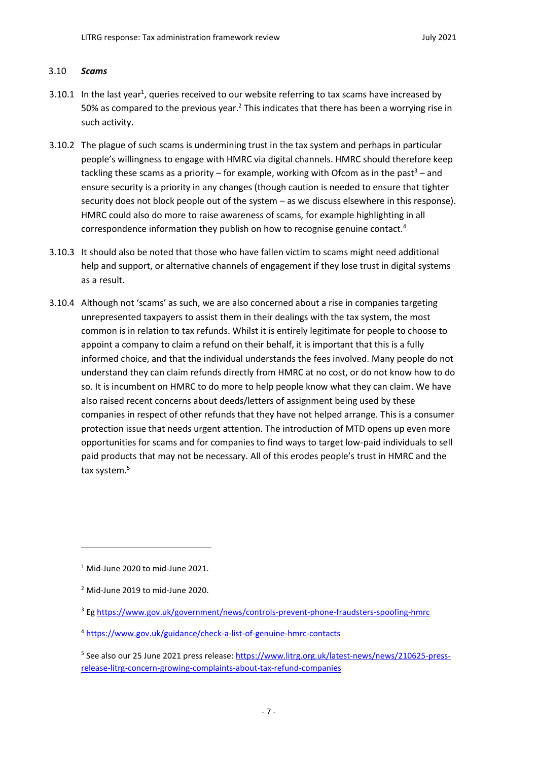#### 3.10 *Scams*

- 3.10.1 In the last year<sup>1</sup>, queries received to our website referring to tax scams have increased by 50% as compared to the previous year.<sup>2</sup> This indicates that there has been a worrying rise in such activity.
- 3.10.2 The plague of such scams is undermining trust in the tax system and perhaps in particular people's willingness to engage with HMRC via digital channels. HMRC should therefore keep tackling these scams as a priority – for example, working with Ofcom as in the past<sup>3</sup> – and ensure security is a priority in any changes (though caution is needed to ensure that tighter security does not block people out of the system – as we discuss elsewhere in this response). HMRC could also do more to raise awareness of scams, for example highlighting in all correspondence information they publish on how to recognise genuine contact.<sup>4</sup>
- 3.10.3 It should also be noted that those who have fallen victim to scams might need additional help and support, or alternative channels of engagement if they lose trust in digital systems as a result.
- 3.10.4 Although not 'scams' as such, we are also concerned about a rise in companies targeting unrepresented taxpayers to assist them in their dealings with the tax system, the most common is in relation to tax refunds. Whilst it is entirely legitimate for people to choose to appoint a company to claim a refund on their behalf, it is important that this is a fully informed choice, and that the individual understands the fees involved. Many people do not understand they can claim refunds directly from HMRC at no cost, or do not know how to do so. It is incumbent on HMRC to do more to help people know what they can claim. We have also raised recent concerns about deeds/letters of assignment being used by these companies in respect of other refunds that they have not helped arrange. This is a consumer protection issue that needs urgent attention. The introduction of MTD opens up even more opportunities for scams and for companies to find ways to target low-paid individuals to sell paid products that may not be necessary. All of this erodes people's trust in HMRC and the tax system.<sup>5</sup>

<sup>1</sup> Mid-June 2020 to mid-June 2021.

<sup>2</sup> Mid-June 2019 to mid-June 2020.

<sup>3</sup> E[g https://www.gov.uk/government/news/controls-prevent-phone-fraudsters-spoofing-hmrc](https://www.gov.uk/government/news/controls-prevent-phone-fraudsters-spoofing-hmrc) 

<sup>4</sup> <https://www.gov.uk/guidance/check-a-list-of-genuine-hmrc-contacts>

<sup>&</sup>lt;sup>5</sup> See also our 25 June 2021 press release: [https://www.litrg.org.uk/latest-news/news/210625-press](https://www.litrg.org.uk/latest-news/news/210625-press-release-litrg-concern-growing-complaints-about-tax-refund-companies)[release-litrg-concern-growing-complaints-about-tax-refund-companies](https://www.litrg.org.uk/latest-news/news/210625-press-release-litrg-concern-growing-complaints-about-tax-refund-companies)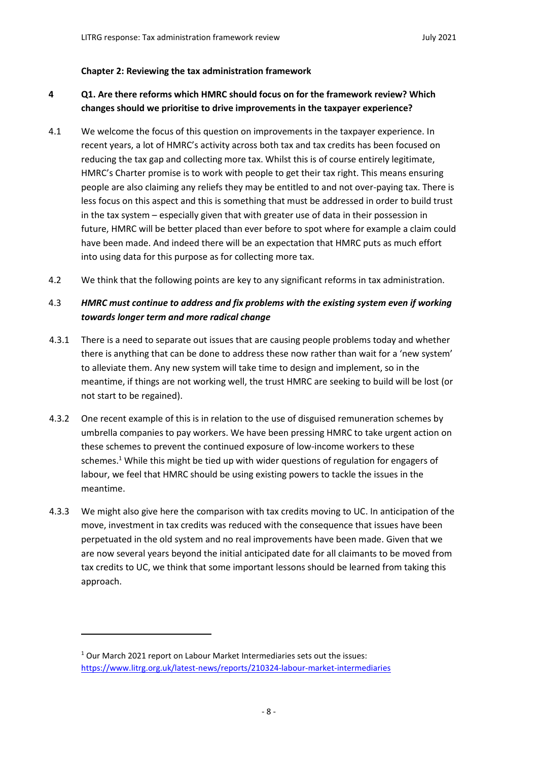#### **Chapter 2: Reviewing the tax administration framework**

## **4 Q1. Are there reforms which HMRC should focus on for the framework review? Which changes should we prioritise to drive improvements in the taxpayer experience?**

- 4.1 We welcome the focus of this question on improvements in the taxpayer experience. In recent years, a lot of HMRC's activity across both tax and tax credits has been focused on reducing the tax gap and collecting more tax. Whilst this is of course entirely legitimate, HMRC's Charter promise is to work with people to get their tax right. This means ensuring people are also claiming any reliefs they may be entitled to and not over-paying tax. There is less focus on this aspect and this is something that must be addressed in order to build trust in the tax system – especially given that with greater use of data in their possession in future, HMRC will be better placed than ever before to spot where for example a claim could have been made. And indeed there will be an expectation that HMRC puts as much effort into using data for this purpose as for collecting more tax.
- 4.2 We think that the following points are key to any significant reforms in tax administration.

### 4.3 *HMRC must continue to address and fix problems with the existing system even if working towards longer term and more radical change*

- 4.3.1 There is a need to separate out issues that are causing people problems today and whether there is anything that can be done to address these now rather than wait for a 'new system' to alleviate them. Any new system will take time to design and implement, so in the meantime, if things are not working well, the trust HMRC are seeking to build will be lost (or not start to be regained).
- 4.3.2 One recent example of this is in relation to the use of disguised remuneration schemes by umbrella companies to pay workers. We have been pressing HMRC to take urgent action on these schemes to prevent the continued exposure of low-income workers to these schemes.<sup>1</sup> While this might be tied up with wider questions of regulation for engagers of labour, we feel that HMRC should be using existing powers to tackle the issues in the meantime.
- 4.3.3 We might also give here the comparison with tax credits moving to UC. In anticipation of the move, investment in tax credits was reduced with the consequence that issues have been perpetuated in the old system and no real improvements have been made. Given that we are now several years beyond the initial anticipated date for all claimants to be moved from tax credits to UC, we think that some important lessons should be learned from taking this approach.

<sup>1</sup> Our March 2021 report on Labour Market Intermediaries sets out the issues: <https://www.litrg.org.uk/latest-news/reports/210324-labour-market-intermediaries>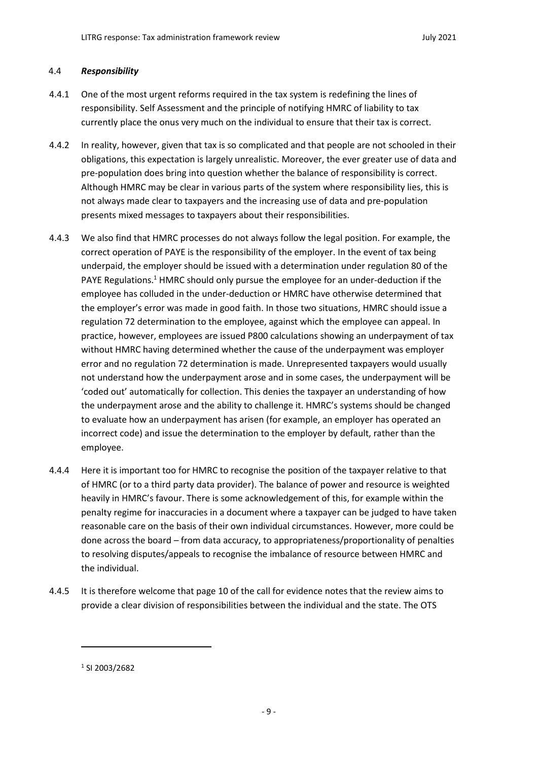#### 4.4 *Responsibility*

- 4.4.1 One of the most urgent reforms required in the tax system is redefining the lines of responsibility. Self Assessment and the principle of notifying HMRC of liability to tax currently place the onus very much on the individual to ensure that their tax is correct.
- 4.4.2 In reality, however, given that tax is so complicated and that people are not schooled in their obligations, this expectation is largely unrealistic. Moreover, the ever greater use of data and pre-population does bring into question whether the balance of responsibility is correct. Although HMRC may be clear in various parts of the system where responsibility lies, this is not always made clear to taxpayers and the increasing use of data and pre-population presents mixed messages to taxpayers about their responsibilities.
- 4.4.3 We also find that HMRC processes do not always follow the legal position. For example, the correct operation of PAYE is the responsibility of the employer. In the event of tax being underpaid, the employer should be issued with a determination under regulation 80 of the PAYE Regulations.<sup>1</sup> HMRC should only pursue the employee for an under-deduction if the employee has colluded in the under-deduction or HMRC have otherwise determined that the employer's error was made in good faith. In those two situations, HMRC should issue a regulation 72 determination to the employee, against which the employee can appeal. In practice, however, employees are issued P800 calculations showing an underpayment of tax without HMRC having determined whether the cause of the underpayment was employer error and no regulation 72 determination is made. Unrepresented taxpayers would usually not understand how the underpayment arose and in some cases, the underpayment will be 'coded out' automatically for collection. This denies the taxpayer an understanding of how the underpayment arose and the ability to challenge it. HMRC's systems should be changed to evaluate how an underpayment has arisen (for example, an employer has operated an incorrect code) and issue the determination to the employer by default, rather than the employee.
- 4.4.4 Here it is important too for HMRC to recognise the position of the taxpayer relative to that of HMRC (or to a third party data provider). The balance of power and resource is weighted heavily in HMRC's favour. There is some acknowledgement of this, for example within the penalty regime for inaccuracies in a document where a taxpayer can be judged to have taken reasonable care on the basis of their own individual circumstances. However, more could be done across the board – from data accuracy, to appropriateness/proportionality of penalties to resolving disputes/appeals to recognise the imbalance of resource between HMRC and the individual.
- 4.4.5 It is therefore welcome that page 10 of the call for evidence notes that the review aims to provide a clear division of responsibilities between the individual and the state. The OTS

<sup>1</sup> SI 2003/2682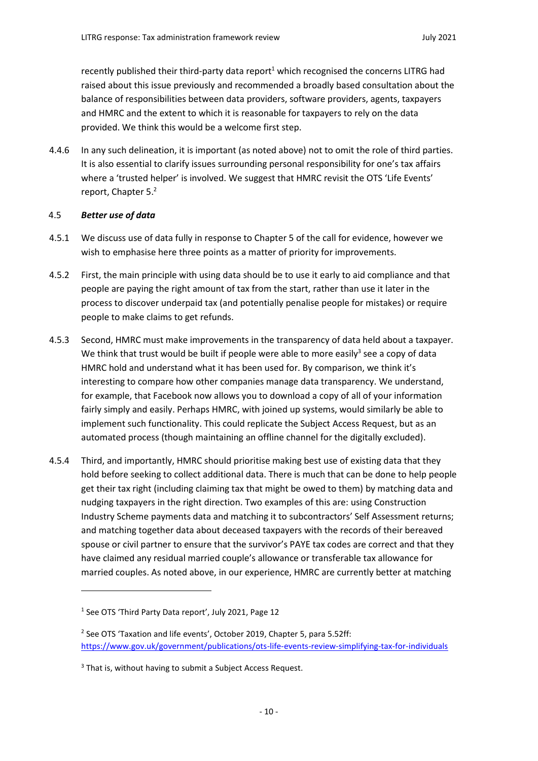recently published their third-party data report<sup>1</sup> which recognised the concerns LITRG had raised about this issue previously and recommended a broadly based consultation about the balance of responsibilities between data providers, software providers, agents, taxpayers and HMRC and the extent to which it is reasonable for taxpayers to rely on the data provided. We think this would be a welcome first step.

4.4.6 In any such delineation, it is important (as noted above) not to omit the role of third parties. It is also essential to clarify issues surrounding personal responsibility for one's tax affairs where a 'trusted helper' is involved. We suggest that HMRC revisit the OTS 'Life Events' report, Chapter 5. 2

#### 4.5 *Better use of data*

- 4.5.1 We discuss use of data fully in response to Chapter 5 of the call for evidence, however we wish to emphasise here three points as a matter of priority for improvements.
- 4.5.2 First, the main principle with using data should be to use it early to aid compliance and that people are paying the right amount of tax from the start, rather than use it later in the process to discover underpaid tax (and potentially penalise people for mistakes) or require people to make claims to get refunds.
- 4.5.3 Second, HMRC must make improvements in the transparency of data held about a taxpayer. We think that trust would be built if people were able to more easily<sup>3</sup> see a copy of data HMRC hold and understand what it has been used for. By comparison, we think it's interesting to compare how other companies manage data transparency. We understand, for example, that Facebook now allows you to download a copy of all of your information fairly simply and easily. Perhaps HMRC, with joined up systems, would similarly be able to implement such functionality. This could replicate the Subject Access Request, but as an automated process (though maintaining an offline channel for the digitally excluded).
- 4.5.4 Third, and importantly, HMRC should prioritise making best use of existing data that they hold before seeking to collect additional data. There is much that can be done to help people get their tax right (including claiming tax that might be owed to them) by matching data and nudging taxpayers in the right direction. Two examples of this are: using Construction Industry Scheme payments data and matching it to subcontractors' Self Assessment returns; and matching together data about deceased taxpayers with the records of their bereaved spouse or civil partner to ensure that the survivor's PAYE tax codes are correct and that they have claimed any residual married couple's allowance or transferable tax allowance for married couples. As noted above, in our experience, HMRC are currently better at matching

<sup>&</sup>lt;sup>1</sup> See OTS 'Third Party Data report', July 2021, Page 12

<sup>2</sup> See OTS 'Taxation and life events', October 2019, Chapter 5, para 5.52ff: <https://www.gov.uk/government/publications/ots-life-events-review-simplifying-tax-for-individuals>

<sup>&</sup>lt;sup>3</sup> That is, without having to submit a Subiect Access Request.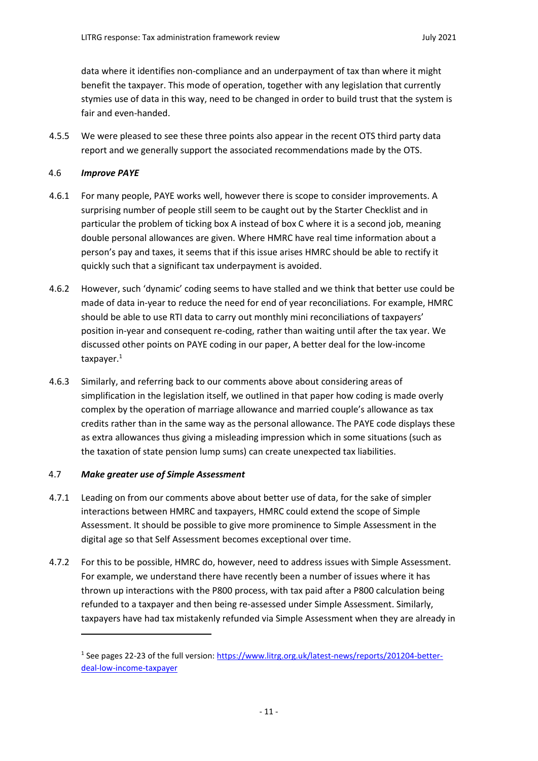data where it identifies non-compliance and an underpayment of tax than where it might benefit the taxpayer. This mode of operation, together with any legislation that currently stymies use of data in this way, need to be changed in order to build trust that the system is fair and even-handed.

4.5.5 We were pleased to see these three points also appear in the recent OTS third party data report and we generally support the associated recommendations made by the OTS.

#### 4.6 *Improve PAYE*

- 4.6.1 For many people, PAYE works well, however there is scope to consider improvements. A surprising number of people still seem to be caught out by the Starter Checklist and in particular the problem of ticking box A instead of box C where it is a second job, meaning double personal allowances are given. Where HMRC have real time information about a person's pay and taxes, it seems that if this issue arises HMRC should be able to rectify it quickly such that a significant tax underpayment is avoided.
- 4.6.2 However, such 'dynamic' coding seems to have stalled and we think that better use could be made of data in-year to reduce the need for end of year reconciliations. For example, HMRC should be able to use RTI data to carry out monthly mini reconciliations of taxpayers' position in-year and consequent re-coding, rather than waiting until after the tax year. We discussed other points on PAYE coding in our paper, A better deal for the low-income taxpayer.<sup>1</sup>
- 4.6.3 Similarly, and referring back to our comments above about considering areas of simplification in the legislation itself, we outlined in that paper how coding is made overly complex by the operation of marriage allowance and married couple's allowance as tax credits rather than in the same way as the personal allowance. The PAYE code displays these as extra allowances thus giving a misleading impression which in some situations (such as the taxation of state pension lump sums) can create unexpected tax liabilities.

#### 4.7 *Make greater use of Simple Assessment*

- 4.7.1 Leading on from our comments above about better use of data, for the sake of simpler interactions between HMRC and taxpayers, HMRC could extend the scope of Simple Assessment. It should be possible to give more prominence to Simple Assessment in the digital age so that Self Assessment becomes exceptional over time.
- 4.7.2 For this to be possible, HMRC do, however, need to address issues with Simple Assessment. For example, we understand there have recently been a number of issues where it has thrown up interactions with the P800 process, with tax paid after a P800 calculation being refunded to a taxpayer and then being re-assessed under Simple Assessment. Similarly, taxpayers have had tax mistakenly refunded via Simple Assessment when they are already in

<sup>&</sup>lt;sup>1</sup> See pages 22-23 of the full version: [https://www.litrg.org.uk/latest-news/reports/201204-better](https://www.litrg.org.uk/latest-news/reports/201204-better-deal-low-income-taxpayer)[deal-low-income-taxpayer](https://www.litrg.org.uk/latest-news/reports/201204-better-deal-low-income-taxpayer)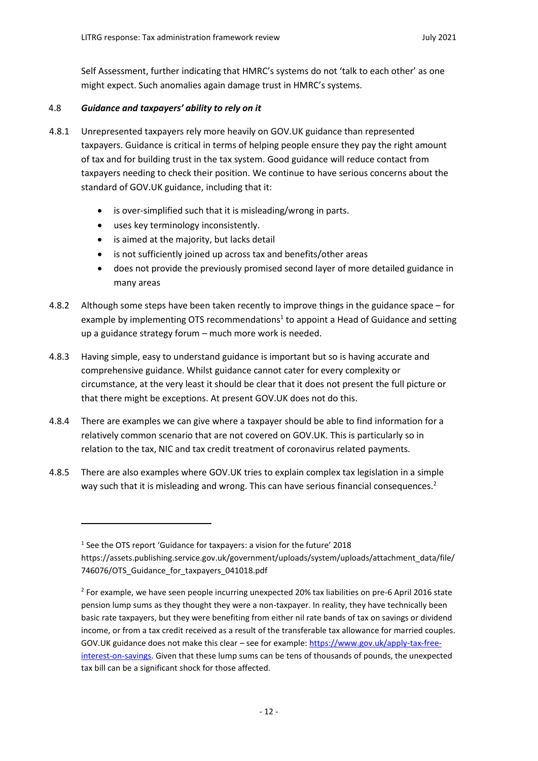Self Assessment, further indicating that HMRC's systems do not 'talk to each other' as one might expect. Such anomalies again damage trust in HMRC's systems.

#### 4.8 *Guidance and taxpayers' ability to rely on it*

- 4.8.1 Unrepresented taxpayers rely more heavily on GOV.UK guidance than represented taxpayers. Guidance is critical in terms of helping people ensure they pay the right amount of tax and for building trust in the tax system. Good guidance will reduce contact from taxpayers needing to check their position. We continue to have serious concerns about the standard of GOV.UK guidance, including that it:
	- is over-simplified such that it is misleading/wrong in parts.
	- uses key terminology inconsistently.
	- is aimed at the majority, but lacks detail
	- is not sufficiently joined up across tax and benefits/other areas
	- does not provide the previously promised second layer of more detailed guidance in many areas
- 4.8.2 Although some steps have been taken recently to improve things in the guidance space for example by implementing OTS recommendations<sup>1</sup> to appoint a Head of Guidance and setting up a guidance strategy forum – much more work is needed.
- 4.8.3 Having simple, easy to understand guidance is important but so is having accurate and comprehensive guidance. Whilst guidance cannot cater for every complexity or circumstance, at the very least it should be clear that it does not present the full picture or that there might be exceptions. At present GOV.UK does not do this.
- 4.8.4 There are examples we can give where a taxpayer should be able to find information for a relatively common scenario that are not covered on GOV.UK. This is particularly so in relation to the tax, NIC and tax credit treatment of coronavirus related payments.
- 4.8.5 There are also examples where GOV.UK tries to explain complex tax legislation in a simple way such that it is misleading and wrong. This can have serious financial consequences.<sup>2</sup>

<sup>&</sup>lt;sup>1</sup> See the OTS report 'Guidance for taxpayers: a vision for the future' 2018 https://assets.publishing.service.gov.uk/government/uploads/system/uploads/attachment\_data/file/ 746076/OTS Guidance for taxpayers 041018.pdf

<sup>&</sup>lt;sup>2</sup> For example, we have seen people incurring unexpected 20% tax liabilities on pre-6 April 2016 state pension lump sums as they thought they were a non-taxpayer. In reality, they have technically been basic rate taxpayers, but they were benefiting from either nil rate bands of tax on savings or dividend income, or from a tax credit received as a result of the transferable tax allowance for married couples. GOV.UK guidance does not make this clear – see for example[: https://www.gov.uk/apply-tax-free](https://www.gov.uk/apply-tax-free-interest-on-savings)[interest-on-savings.](https://www.gov.uk/apply-tax-free-interest-on-savings) Given that these lump sums can be tens of thousands of pounds, the unexpected tax bill can be a significant shock for those affected.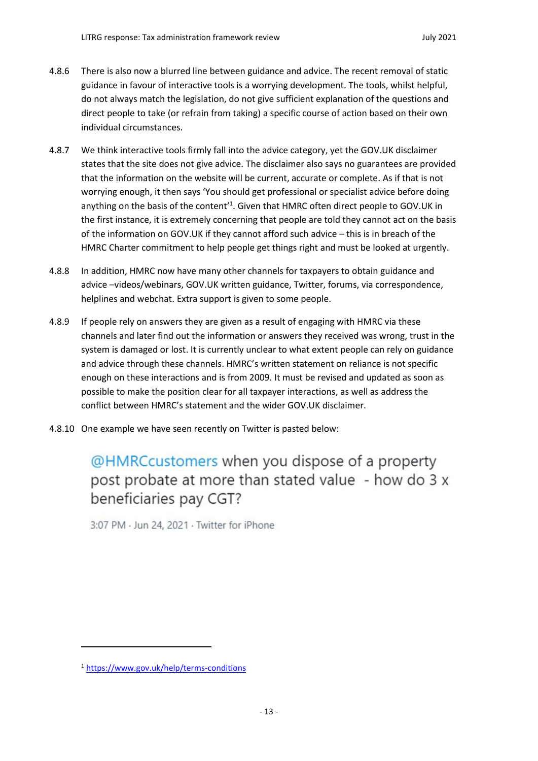- 4.8.6 There is also now a blurred line between guidance and advice. The recent removal of static guidance in favour of interactive tools is a worrying development. The tools, whilst helpful, do not always match the legislation, do not give sufficient explanation of the questions and direct people to take (or refrain from taking) a specific course of action based on their own individual circumstances.
- 4.8.7 We think interactive tools firmly fall into the advice category, yet the GOV.UK disclaimer states that the site does not give advice. The disclaimer also says no guarantees are provided that the information on the website will be current, accurate or complete. As if that is not worrying enough, it then says 'You should get professional or specialist advice before doing anything on the basis of the content<sup>'1</sup>. Given that HMRC often direct people to GOV.UK in the first instance, it is extremely concerning that people are told they cannot act on the basis of the information on GOV.UK if they cannot afford such advice – this is in breach of the HMRC Charter commitment to help people get things right and must be looked at urgently.
- 4.8.8 In addition, HMRC now have many other channels for taxpayers to obtain guidance and advice –videos/webinars, GOV.UK written guidance, Twitter, forums, via correspondence, helplines and webchat. Extra support is given to some people.
- 4.8.9 If people rely on answers they are given as a result of engaging with HMRC via these channels and later find out the information or answers they received was wrong, trust in the system is damaged or lost. It is currently unclear to what extent people can rely on guidance and advice through these channels. HMRC's written statement on reliance is not specific enough on these interactions and is from 2009. It must be revised and updated as soon as possible to make the position clear for all taxpayer interactions, as well as address the conflict between HMRC's statement and the wider GOV.UK disclaimer.
- 4.8.10 One example we have seen recently on Twitter is pasted below:

# @HMRCcustomers when you dispose of a property post probate at more than stated value - how do 3 x beneficiaries pay CGT?

3:07 PM · Jun 24, 2021 · Twitter for iPhone

<sup>1</sup> <https://www.gov.uk/help/terms-conditions>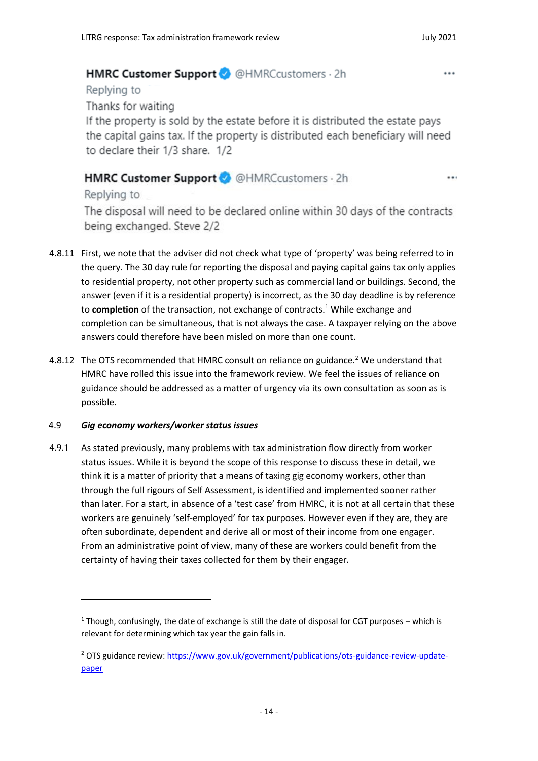...

## HMRC Customer Support @ @HMRCcustomers . 2h

Replying to Thanks for waiting

If the property is sold by the estate before it is distributed the estate pays the capital gains tax. If the property is distributed each beneficiary will need to declare their 1/3 share. 1/2

## HMRC Customer Support @ @HMRCcustomers · 2h

 $\ddot{\phantom{0}}$ 

## Replying to

The disposal will need to be declared online within 30 days of the contracts being exchanged. Steve 2/2

- 4.8.11 First, we note that the adviser did not check what type of 'property' was being referred to in the query. The 30 day rule for reporting the disposal and paying capital gains tax only applies to residential property, not other property such as commercial land or buildings. Second, the answer (even if it is a residential property) is incorrect, as the 30 day deadline is by reference to **completion** of the transaction, not exchange of contracts.<sup>1</sup> While exchange and completion can be simultaneous, that is not always the case. A taxpayer relying on the above answers could therefore have been misled on more than one count.
- 4.8.12 The OTS recommended that HMRC consult on reliance on guidance.<sup>2</sup> We understand that HMRC have rolled this issue into the framework review. We feel the issues of reliance on guidance should be addressed as a matter of urgency via its own consultation as soon as is possible.

#### 4.9 *Gig economy workers/worker status issues*

4.9.1 As stated previously, many problems with tax administration flow directly from worker status issues. While it is beyond the scope of this response to discuss these in detail, we think it is a matter of priority that a means of taxing gig economy workers, other than through the full rigours of Self Assessment, is identified and implemented sooner rather than later. For a start, in absence of a 'test case' from HMRC, it is not at all certain that these workers are genuinely 'self-employed' for tax purposes. However even if they are, they are often subordinate, dependent and derive all or most of their income from one engager. From an administrative point of view, many of these are workers could benefit from the certainty of having their taxes collected for them by their engager.

 $1$  Though, confusingly, the date of exchange is still the date of disposal for CGT purposes – which is relevant for determining which tax year the gain falls in.

<sup>&</sup>lt;sup>2</sup> OTS guidance review: [https://www.gov.uk/government/publications/ots-guidance-review-update](https://www.gov.uk/government/publications/ots-guidance-review-update-paper)[paper](https://www.gov.uk/government/publications/ots-guidance-review-update-paper)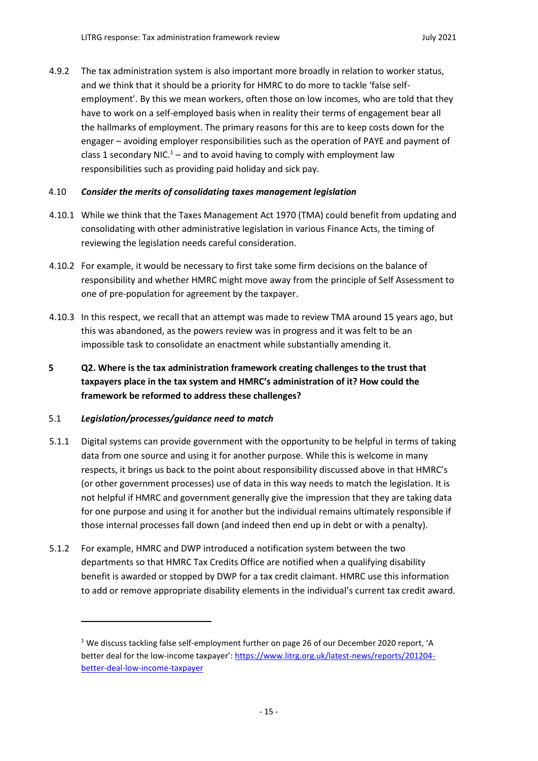4.9.2 The tax administration system is also important more broadly in relation to worker status, and we think that it should be a priority for HMRC to do more to tackle 'false selfemployment'. By this we mean workers, often those on low incomes, who are told that they have to work on a self-employed basis when in reality their terms of engagement bear all the hallmarks of employment. The primary reasons for this are to keep costs down for the engager – avoiding employer responsibilities such as the operation of PAYE and payment of class 1 secondary NIC.<sup>1</sup> – and to avoid having to comply with employment law responsibilities such as providing paid holiday and sick pay.

#### 4.10 *Consider the merits of consolidating taxes management legislation*

- 4.10.1 While we think that the Taxes Management Act 1970 (TMA) could benefit from updating and consolidating with other administrative legislation in various Finance Acts, the timing of reviewing the legislation needs careful consideration.
- 4.10.2 For example, it would be necessary to first take some firm decisions on the balance of responsibility and whether HMRC might move away from the principle of Self Assessment to one of pre-population for agreement by the taxpayer.
- 4.10.3 In this respect, we recall that an attempt was made to review TMA around 15 years ago, but this was abandoned, as the powers review was in progress and it was felt to be an impossible task to consolidate an enactment while substantially amending it.
- **5 Q2. Where is the tax administration framework creating challenges to the trust that taxpayers place in the tax system and HMRC's administration of it? How could the framework be reformed to address these challenges?**

#### 5.1 *Legislation/processes/guidance need to match*

- 5.1.1 Digital systems can provide government with the opportunity to be helpful in terms of taking data from one source and using it for another purpose. While this is welcome in many respects, it brings us back to the point about responsibility discussed above in that HMRC's (or other government processes) use of data in this way needs to match the legislation. It is not helpful if HMRC and government generally give the impression that they are taking data for one purpose and using it for another but the individual remains ultimately responsible if those internal processes fall down (and indeed then end up in debt or with a penalty).
- 5.1.2 For example, HMRC and DWP introduced a notification system between the two departments so that HMRC Tax Credits Office are notified when a qualifying disability benefit is awarded or stopped by DWP for a tax credit claimant. HMRC use this information to add or remove appropriate disability elements in the individual's current tax credit award.

<sup>&</sup>lt;sup>1</sup> We discuss tackling false self-employment further on page 26 of our December 2020 report, 'A better deal for the low-income taxpayer': [https://www.litrg.org.uk/latest-news/reports/201204](https://www.litrg.org.uk/latest-news/reports/201204-better-deal-low-income-taxpayer) [better-deal-low-income-taxpayer](https://www.litrg.org.uk/latest-news/reports/201204-better-deal-low-income-taxpayer)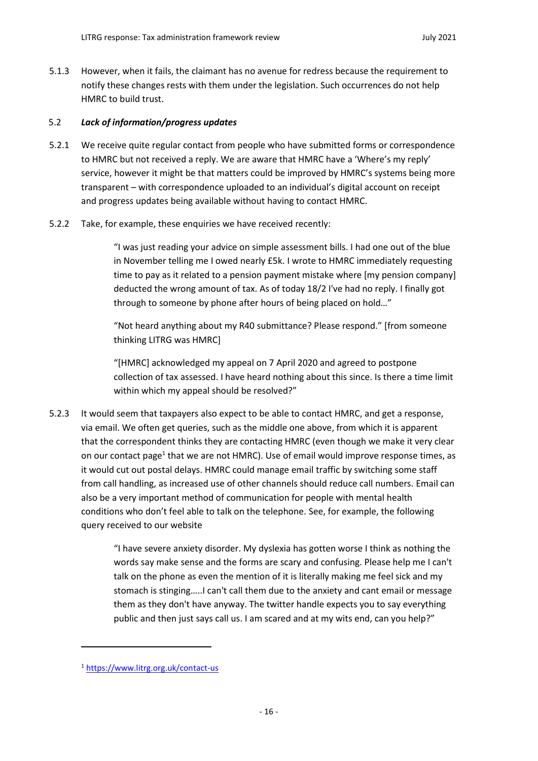5.1.3 However, when it fails, the claimant has no avenue for redress because the requirement to notify these changes rests with them under the legislation. Such occurrences do not help HMRC to build trust.

#### 5.2 *Lack of information/progress updates*

- 5.2.1 We receive quite regular contact from people who have submitted forms or correspondence to HMRC but not received a reply. We are aware that HMRC have a 'Where's my reply' service, however it might be that matters could be improved by HMRC's systems being more transparent – with correspondence uploaded to an individual's digital account on receipt and progress updates being available without having to contact HMRC.
- 5.2.2 Take, for example, these enquiries we have received recently:

"I was just reading your advice on simple assessment bills. I had one out of the blue in November telling me I owed nearly £5k. I wrote to HMRC immediately requesting time to pay as it related to a pension payment mistake where [my pension company] deducted the wrong amount of tax. As of today 18/2 I've had no reply. I finally got through to someone by phone after hours of being placed on hold…"

"Not heard anything about my R40 submittance? Please respond." [from someone thinking LITRG was HMRC]

"[HMRC] acknowledged my appeal on 7 April 2020 and agreed to postpone collection of tax assessed. I have heard nothing about this since. Is there a time limit within which my appeal should be resolved?"

5.2.3 It would seem that taxpayers also expect to be able to contact HMRC, and get a response, via email. We often get queries, such as the middle one above, from which it is apparent that the correspondent thinks they are contacting HMRC (even though we make it very clear on our contact page<sup>1</sup> that we are not HMRC). Use of email would improve response times, as it would cut out postal delays. HMRC could manage email traffic by switching some staff from call handling, as increased use of other channels should reduce call numbers. Email can also be a very important method of communication for people with mental health conditions who don't feel able to talk on the telephone. See, for example, the following query received to our website

> "I have severe anxiety disorder. My dyslexia has gotten worse I think as nothing the words say make sense and the forms are scary and confusing. Please help me I can't talk on the phone as even the mention of it is literally making me feel sick and my stomach is stinging…..I can't call them due to the anxiety and cant email or message them as they don't have anyway. The twitter handle expects you to say everything public and then just says call us. I am scared and at my wits end, can you help?"

<sup>1</sup> <https://www.litrg.org.uk/contact-us>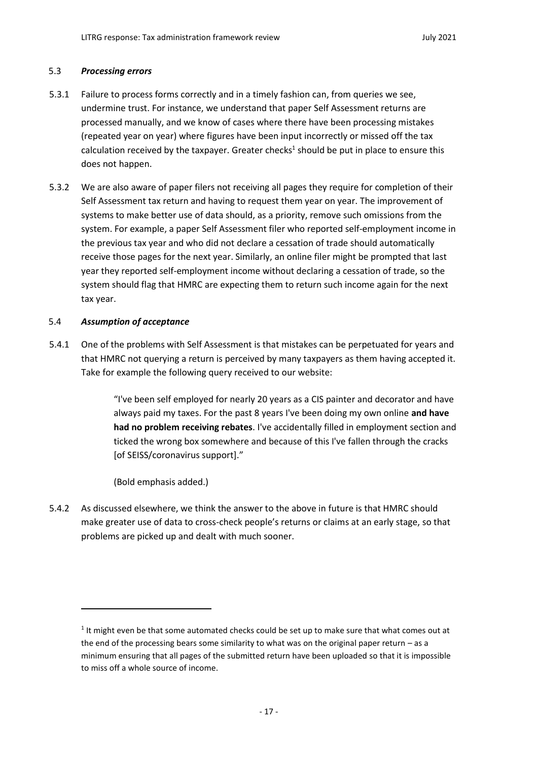#### 5.3 *Processing errors*

- 5.3.1 Failure to process forms correctly and in a timely fashion can, from queries we see, undermine trust. For instance, we understand that paper Self Assessment returns are processed manually, and we know of cases where there have been processing mistakes (repeated year on year) where figures have been input incorrectly or missed off the tax calculation received by the taxpayer. Greater checks<sup>1</sup> should be put in place to ensure this does not happen.
- 5.3.2 We are also aware of paper filers not receiving all pages they require for completion of their Self Assessment tax return and having to request them year on year. The improvement of systems to make better use of data should, as a priority, remove such omissions from the system. For example, a paper Self Assessment filer who reported self-employment income in the previous tax year and who did not declare a cessation of trade should automatically receive those pages for the next year. Similarly, an online filer might be prompted that last year they reported self-employment income without declaring a cessation of trade, so the system should flag that HMRC are expecting them to return such income again for the next tax year.

#### 5.4 *Assumption of acceptance*

5.4.1 One of the problems with Self Assessment is that mistakes can be perpetuated for years and that HMRC not querying a return is perceived by many taxpayers as them having accepted it. Take for example the following query received to our website:

> "I've been self employed for nearly 20 years as a CIS painter and decorator and have always paid my taxes. For the past 8 years I've been doing my own online **and have had no problem receiving rebates**. I've accidentally filled in employment section and ticked the wrong box somewhere and because of this I've fallen through the cracks [of SEISS/coronavirus support]."

(Bold emphasis added.)

5.4.2 As discussed elsewhere, we think the answer to the above in future is that HMRC should make greater use of data to cross-check people's returns or claims at an early stage, so that problems are picked up and dealt with much sooner.

 $<sup>1</sup>$  It might even be that some automated checks could be set up to make sure that what comes out at</sup> the end of the processing bears some similarity to what was on the original paper return – as a minimum ensuring that all pages of the submitted return have been uploaded so that it is impossible to miss off a whole source of income.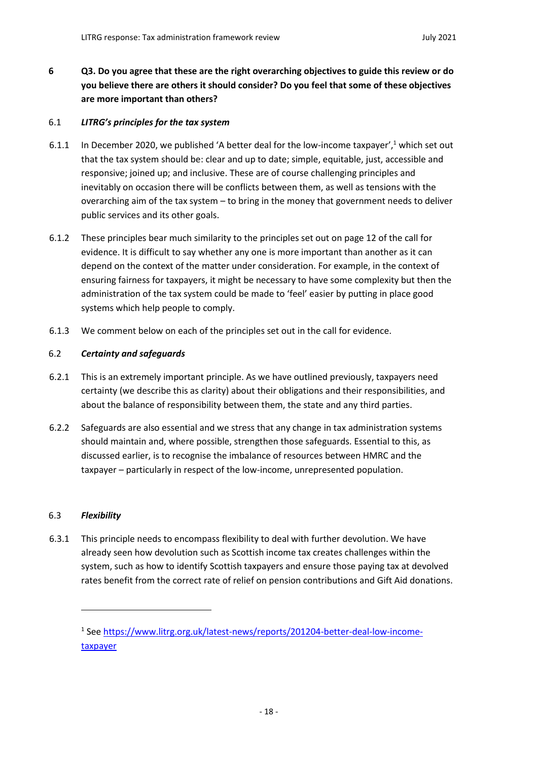**6 Q3. Do you agree that these are the right overarching objectives to guide this review or do you believe there are others it should consider? Do you feel that some of these objectives are more important than others?** 

#### 6.1 *LITRG's principles for the tax system*

- 6.1.1 In December 2020, we published 'A better deal for the low-income taxpayer', $1$  which set out that the tax system should be: clear and up to date; simple, equitable, just, accessible and responsive; joined up; and inclusive. These are of course challenging principles and inevitably on occasion there will be conflicts between them, as well as tensions with the overarching aim of the tax system – to bring in the money that government needs to deliver public services and its other goals.
- 6.1.2 These principles bear much similarity to the principles set out on page 12 of the call for evidence. It is difficult to say whether any one is more important than another as it can depend on the context of the matter under consideration. For example, in the context of ensuring fairness for taxpayers, it might be necessary to have some complexity but then the administration of the tax system could be made to 'feel' easier by putting in place good systems which help people to comply.
- 6.1.3 We comment below on each of the principles set out in the call for evidence.

#### 6.2 *Certainty and safeguards*

- 6.2.1 This is an extremely important principle. As we have outlined previously, taxpayers need certainty (we describe this as clarity) about their obligations and their responsibilities, and about the balance of responsibility between them, the state and any third parties.
- 6.2.2 Safeguards are also essential and we stress that any change in tax administration systems should maintain and, where possible, strengthen those safeguards. Essential to this, as discussed earlier, is to recognise the imbalance of resources between HMRC and the taxpayer – particularly in respect of the low-income, unrepresented population.

#### 6.3 *Flexibility*

6.3.1 This principle needs to encompass flexibility to deal with further devolution. We have already seen how devolution such as Scottish income tax creates challenges within the system, such as how to identify Scottish taxpayers and ensure those paying tax at devolved rates benefit from the correct rate of relief on pension contributions and Gift Aid donations.

<sup>&</sup>lt;sup>1</sup> See [https://www.litrg.org.uk/latest-news/reports/201204-better-deal-low-income](https://www.litrg.org.uk/latest-news/reports/201204-better-deal-low-income-taxpayer)[taxpayer](https://www.litrg.org.uk/latest-news/reports/201204-better-deal-low-income-taxpayer)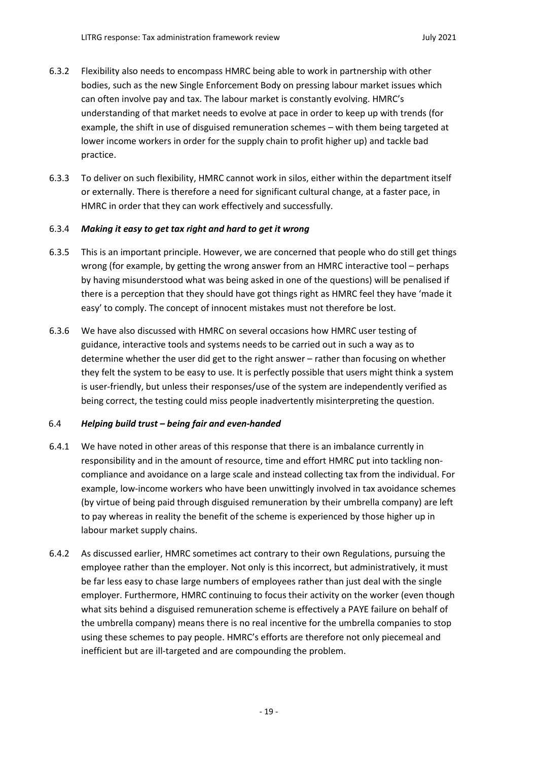- 6.3.2 Flexibility also needs to encompass HMRC being able to work in partnership with other bodies, such as the new Single Enforcement Body on pressing labour market issues which can often involve pay and tax. The labour market is constantly evolving. HMRC's understanding of that market needs to evolve at pace in order to keep up with trends (for example, the shift in use of disguised remuneration schemes – with them being targeted at lower income workers in order for the supply chain to profit higher up) and tackle bad practice.
- 6.3.3 To deliver on such flexibility, HMRC cannot work in silos, either within the department itself or externally. There is therefore a need for significant cultural change, at a faster pace, in HMRC in order that they can work effectively and successfully.

#### 6.3.4 *Making it easy to get tax right and hard to get it wrong*

- 6.3.5 This is an important principle. However, we are concerned that people who do still get things wrong (for example, by getting the wrong answer from an HMRC interactive tool – perhaps by having misunderstood what was being asked in one of the questions) will be penalised if there is a perception that they should have got things right as HMRC feel they have 'made it easy' to comply. The concept of innocent mistakes must not therefore be lost.
- 6.3.6 We have also discussed with HMRC on several occasions how HMRC user testing of guidance, interactive tools and systems needs to be carried out in such a way as to determine whether the user did get to the right answer – rather than focusing on whether they felt the system to be easy to use. It is perfectly possible that users might think a system is user-friendly, but unless their responses/use of the system are independently verified as being correct, the testing could miss people inadvertently misinterpreting the question.

#### 6.4 *Helping build trust – being fair and even-handed*

- 6.4.1 We have noted in other areas of this response that there is an imbalance currently in responsibility and in the amount of resource, time and effort HMRC put into tackling noncompliance and avoidance on a large scale and instead collecting tax from the individual. For example, low-income workers who have been unwittingly involved in tax avoidance schemes (by virtue of being paid through disguised remuneration by their umbrella company) are left to pay whereas in reality the benefit of the scheme is experienced by those higher up in labour market supply chains.
- 6.4.2 As discussed earlier, HMRC sometimes act contrary to their own Regulations, pursuing the employee rather than the employer. Not only is this incorrect, but administratively, it must be far less easy to chase large numbers of employees rather than just deal with the single employer. Furthermore, HMRC continuing to focus their activity on the worker (even though what sits behind a disguised remuneration scheme is effectively a PAYE failure on behalf of the umbrella company) means there is no real incentive for the umbrella companies to stop using these schemes to pay people. HMRC's efforts are therefore not only piecemeal and inefficient but are ill-targeted and are compounding the problem.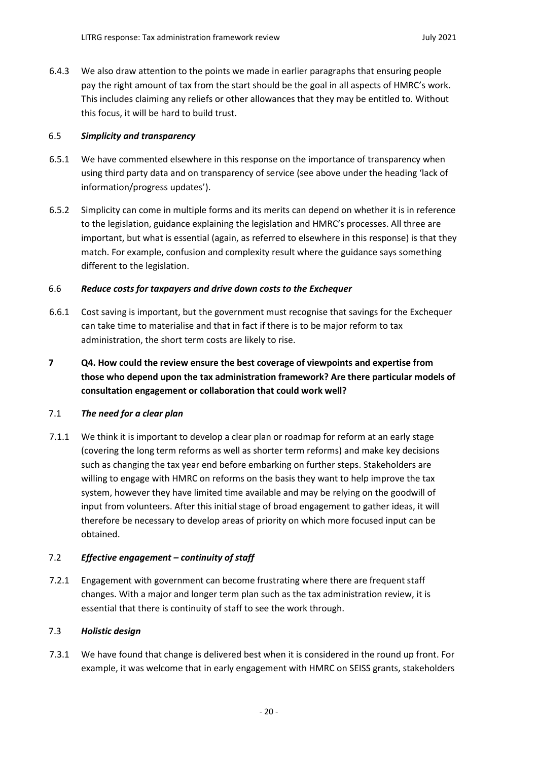6.4.3 We also draw attention to the points we made in earlier paragraphs that ensuring people pay the right amount of tax from the start should be the goal in all aspects of HMRC's work. This includes claiming any reliefs or other allowances that they may be entitled to. Without this focus, it will be hard to build trust.

#### 6.5 *Simplicity and transparency*

- 6.5.1 We have commented elsewhere in this response on the importance of transparency when using third party data and on transparency of service (see above under the heading 'lack of information/progress updates').
- 6.5.2 Simplicity can come in multiple forms and its merits can depend on whether it is in reference to the legislation, guidance explaining the legislation and HMRC's processes. All three are important, but what is essential (again, as referred to elsewhere in this response) is that they match. For example, confusion and complexity result where the guidance says something different to the legislation.

#### 6.6 *Reduce costs for taxpayers and drive down costs to the Exchequer*

- 6.6.1 Cost saving is important, but the government must recognise that savings for the Exchequer can take time to materialise and that in fact if there is to be major reform to tax administration, the short term costs are likely to rise.
- **7 Q4. How could the review ensure the best coverage of viewpoints and expertise from those who depend upon the tax administration framework? Are there particular models of consultation engagement or collaboration that could work well?**

#### 7.1 *The need for a clear plan*

7.1.1 We think it is important to develop a clear plan or roadmap for reform at an early stage (covering the long term reforms as well as shorter term reforms) and make key decisions such as changing the tax year end before embarking on further steps. Stakeholders are willing to engage with HMRC on reforms on the basis they want to help improve the tax system, however they have limited time available and may be relying on the goodwill of input from volunteers. After this initial stage of broad engagement to gather ideas, it will therefore be necessary to develop areas of priority on which more focused input can be obtained.

#### 7.2 *Effective engagement – continuity of staff*

7.2.1 Engagement with government can become frustrating where there are frequent staff changes. With a major and longer term plan such as the tax administration review, it is essential that there is continuity of staff to see the work through.

#### 7.3 *Holistic design*

7.3.1 We have found that change is delivered best when it is considered in the round up front. For example, it was welcome that in early engagement with HMRC on SEISS grants, stakeholders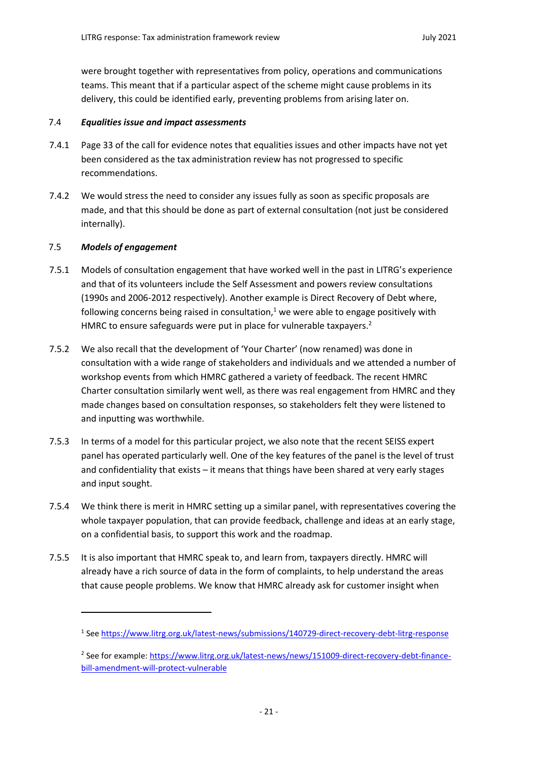were brought together with representatives from policy, operations and communications teams. This meant that if a particular aspect of the scheme might cause problems in its delivery, this could be identified early, preventing problems from arising later on.

#### 7.4 *Equalities issue and impact assessments*

- 7.4.1 Page 33 of the call for evidence notes that equalities issues and other impacts have not yet been considered as the tax administration review has not progressed to specific recommendations.
- 7.4.2 We would stress the need to consider any issues fully as soon as specific proposals are made, and that this should be done as part of external consultation (not just be considered internally).

#### 7.5 *Models of engagement*

- 7.5.1 Models of consultation engagement that have worked well in the past in LITRG's experience and that of its volunteers include the Self Assessment and powers review consultations (1990s and 2006-2012 respectively). Another example is Direct Recovery of Debt where, following concerns being raised in consultation, $1$  we were able to engage positively with HMRC to ensure safeguards were put in place for vulnerable taxpayers.<sup>2</sup>
- 7.5.2 We also recall that the development of 'Your Charter' (now renamed) was done in consultation with a wide range of stakeholders and individuals and we attended a number of workshop events from which HMRC gathered a variety of feedback. The recent HMRC Charter consultation similarly went well, as there was real engagement from HMRC and they made changes based on consultation responses, so stakeholders felt they were listened to and inputting was worthwhile.
- 7.5.3 In terms of a model for this particular project, we also note that the recent SEISS expert panel has operated particularly well. One of the key features of the panel is the level of trust and confidentiality that exists – it means that things have been shared at very early stages and input sought.
- 7.5.4 We think there is merit in HMRC setting up a similar panel, with representatives covering the whole taxpayer population, that can provide feedback, challenge and ideas at an early stage, on a confidential basis, to support this work and the roadmap.
- 7.5.5 It is also important that HMRC speak to, and learn from, taxpayers directly. HMRC will already have a rich source of data in the form of complaints, to help understand the areas that cause people problems. We know that HMRC already ask for customer insight when

<sup>&</sup>lt;sup>1</sup> See<https://www.litrg.org.uk/latest-news/submissions/140729-direct-recovery-debt-litrg-response>

<sup>&</sup>lt;sup>2</sup> See for example: [https://www.litrg.org.uk/latest-news/news/151009-direct-recovery-debt-finance](https://www.litrg.org.uk/latest-news/news/151009-direct-recovery-debt-finance-bill-amendment-will-protect-vulnerable)[bill-amendment-will-protect-vulnerable](https://www.litrg.org.uk/latest-news/news/151009-direct-recovery-debt-finance-bill-amendment-will-protect-vulnerable)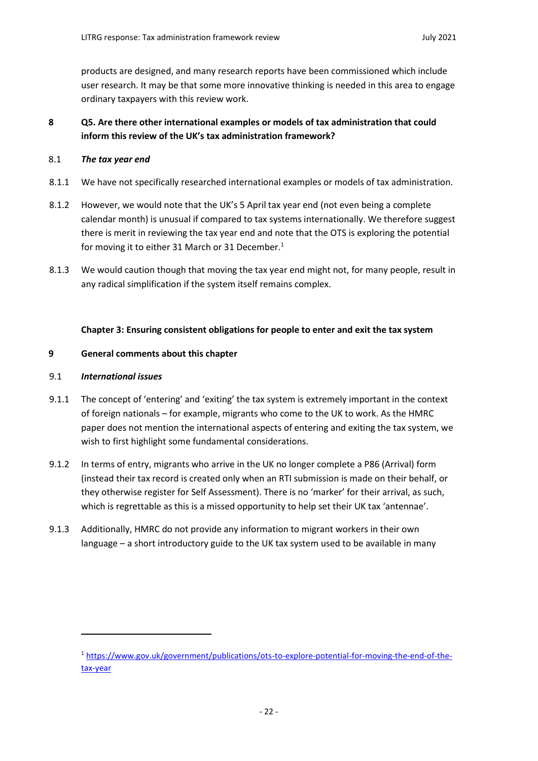products are designed, and many research reports have been commissioned which include user research. It may be that some more innovative thinking is needed in this area to engage ordinary taxpayers with this review work.

## **8 Q5. Are there other international examples or models of tax administration that could inform this review of the UK's tax administration framework?**

#### 8.1 *The tax year end*

- 8.1.1 We have not specifically researched international examples or models of tax administration.
- 8.1.2 However, we would note that the UK's 5 April tax year end (not even being a complete calendar month) is unusual if compared to tax systems internationally. We therefore suggest there is merit in reviewing the tax year end and note that the OTS is exploring the potential for moving it to either 31 March or 31 December.<sup>1</sup>
- 8.1.3 We would caution though that moving the tax year end might not, for many people, result in any radical simplification if the system itself remains complex.

#### **Chapter 3: Ensuring consistent obligations for people to enter and exit the tax system**

#### **9 General comments about this chapter**

#### 9.1 *International issues*

- 9.1.1 The concept of 'entering' and 'exiting' the tax system is extremely important in the context of foreign nationals – for example, migrants who come to the UK to work. As the HMRC paper does not mention the international aspects of entering and exiting the tax system, we wish to first highlight some fundamental considerations.
- 9.1.2 In terms of entry, migrants who arrive in the UK no longer complete a P86 (Arrival) form (instead their tax record is created only when an RTI submission is made on their behalf, or they otherwise register for Self Assessment). There is no 'marker' for their arrival, as such, which is regrettable as this is a missed opportunity to help set their UK tax 'antennae'.
- 9.1.3 Additionally, HMRC do not provide any information to migrant workers in their own language – a short introductory guide to the UK tax system used to be available in many

<sup>1</sup> [https://www.gov.uk/government/publications/ots-to-explore-potential-for-moving-the-end-of-the](https://www.gov.uk/government/publications/ots-to-explore-potential-for-moving-the-end-of-the-tax-year)[tax-year](https://www.gov.uk/government/publications/ots-to-explore-potential-for-moving-the-end-of-the-tax-year)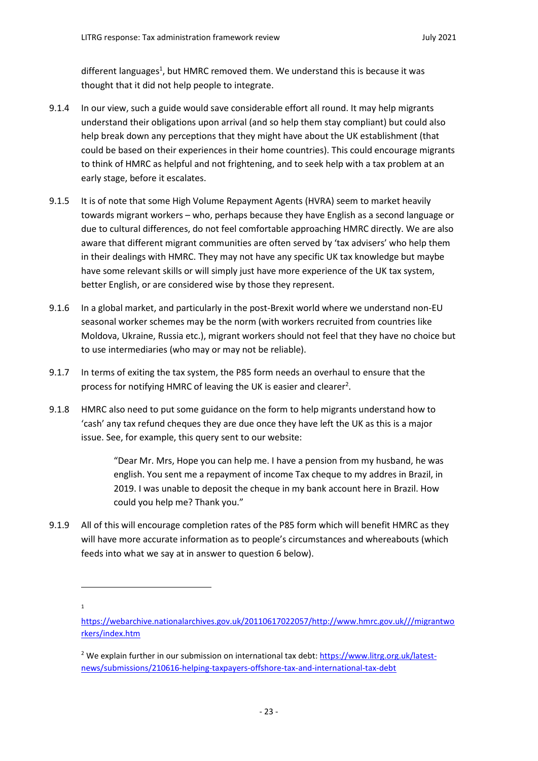different languages<sup>1</sup>, but HMRC removed them. We understand this is because it was thought that it did not help people to integrate.

- 9.1.4 In our view, such a guide would save considerable effort all round. It may help migrants understand their obligations upon arrival (and so help them stay compliant) but could also help break down any perceptions that they might have about the UK establishment (that could be based on their experiences in their home countries). This could encourage migrants to think of HMRC as helpful and not frightening, and to seek help with a tax problem at an early stage, before it escalates.
- 9.1.5 It is of note that some High Volume Repayment Agents (HVRA) seem to market heavily towards migrant workers – who, perhaps because they have English as a second language or due to cultural differences, do not feel comfortable approaching HMRC directly. We are also aware that different migrant communities are often served by 'tax advisers' who help them in their dealings with HMRC. They may not have any specific UK tax knowledge but maybe have some relevant skills or will simply just have more experience of the UK tax system, better English, or are considered wise by those they represent.
- 9.1.6 In a global market, and particularly in the post-Brexit world where we understand non-EU seasonal worker schemes may be the norm (with workers recruited from countries like Moldova, Ukraine, Russia etc.), migrant workers should not feel that they have no choice but to use intermediaries (who may or may not be reliable).
- 9.1.7 In terms of exiting the tax system, the P85 form needs an overhaul to ensure that the process for notifying HMRC of leaving the UK is easier and clearer<sup>2</sup>.
- 9.1.8 HMRC also need to put some guidance on the form to help migrants understand how to 'cash' any tax refund cheques they are due once they have left the UK as this is a major issue. See, for example, this query sent to our website:

"Dear Mr. Mrs, Hope you can help me. I have a pension from my husband, he was english. You sent me a repayment of income Tax cheque to my addres in Brazil, in 2019. I was unable to deposit the cheque in my bank account here in Brazil. How could you help me? Thank you."

9.1.9 All of this will encourage completion rates of the P85 form which will benefit HMRC as they will have more accurate information as to people's circumstances and whereabouts (which feeds into what we say at in answer to question 6 below).

1

[https://webarchive.nationalarchives.gov.uk/20110617022057/http://www.hmrc.gov.uk///migrantwo](https://webarchive.nationalarchives.gov.uk/20110617022057/http:/www.hmrc.gov.uk/migrantworkers/index.htm) [rkers/index.htm](https://webarchive.nationalarchives.gov.uk/20110617022057/http:/www.hmrc.gov.uk/migrantworkers/index.htm)

<sup>&</sup>lt;sup>2</sup> We explain further in our submission on international tax debt: [https://www.litrg.org.uk/latest](https://www.litrg.org.uk/latest-news/submissions/210616-helping-taxpayers-offshore-tax-and-international-tax-debt)[news/submissions/210616-helping-taxpayers-offshore-tax-and-international-tax-debt](https://www.litrg.org.uk/latest-news/submissions/210616-helping-taxpayers-offshore-tax-and-international-tax-debt)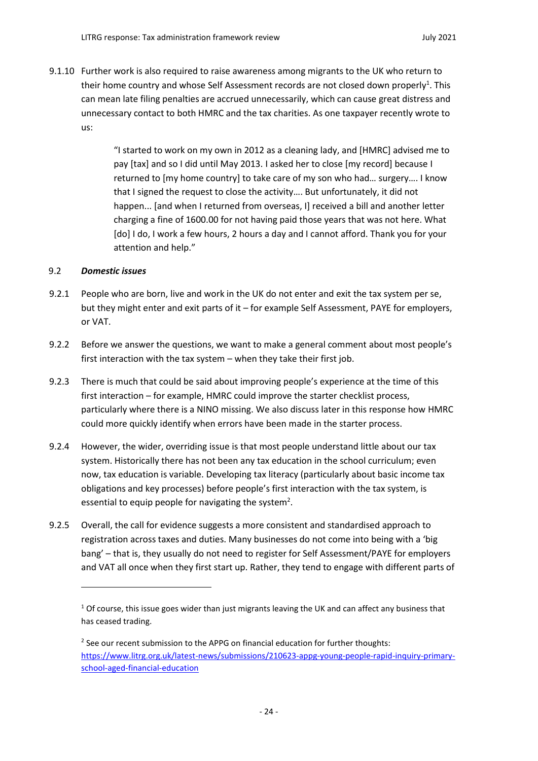9.1.10 Further work is also required to raise awareness among migrants to the UK who return to their home country and whose Self Assessment records are not closed down properly<sup>1</sup>. This can mean late filing penalties are accrued unnecessarily, which can cause great distress and unnecessary contact to both HMRC and the tax charities. As one taxpayer recently wrote to us:

> "I started to work on my own in 2012 as a cleaning lady, and [HMRC] advised me to pay [tax] and so I did until May 2013. I asked her to close [my record] because I returned to [my home country] to take care of my son who had… surgery…. I know that I signed the request to close the activity…. But unfortunately, it did not happen... [and when I returned from overseas, I] received a bill and another letter charging a fine of 1600.00 for not having paid those years that was not here. What [do] I do, I work a few hours, 2 hours a day and I cannot afford. Thank you for your attention and help."

#### 9.2 *Domestic issues*

- 9.2.1 People who are born, live and work in the UK do not enter and exit the tax system per se, but they might enter and exit parts of it – for example Self Assessment, PAYE for employers, or VAT.
- 9.2.2 Before we answer the questions, we want to make a general comment about most people's first interaction with the tax system – when they take their first job.
- 9.2.3 There is much that could be said about improving people's experience at the time of this first interaction – for example, HMRC could improve the starter checklist process, particularly where there is a NINO missing. We also discuss later in this response how HMRC could more quickly identify when errors have been made in the starter process.
- 9.2.4 However, the wider, overriding issue is that most people understand little about our tax system. Historically there has not been any tax education in the school curriculum; even now, tax education is variable. Developing tax literacy (particularly about basic income tax obligations and key processes) before people's first interaction with the tax system, is essential to equip people for navigating the system<sup>2</sup>.
- 9.2.5 Overall, the call for evidence suggests a more consistent and standardised approach to registration across taxes and duties. Many businesses do not come into being with a 'big bang' – that is, they usually do not need to register for Self Assessment/PAYE for employers and VAT all once when they first start up. Rather, they tend to engage with different parts of

 $1$  Of course, this issue goes wider than just migrants leaving the UK and can affect any business that has ceased trading.

 $2$  See our recent submission to the APPG on financial education for further thoughts: [https://www.litrg.org.uk/latest-news/submissions/210623-appg-young-people-rapid-inquiry-primary](https://www.litrg.org.uk/latest-news/submissions/210623-appg-young-people-rapid-inquiry-primary-school-aged-financial-education)[school-aged-financial-education](https://www.litrg.org.uk/latest-news/submissions/210623-appg-young-people-rapid-inquiry-primary-school-aged-financial-education)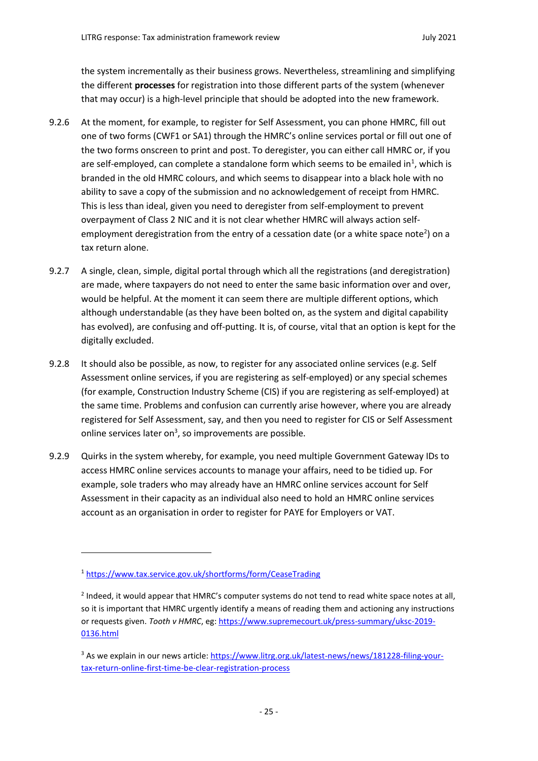the system incrementally as their business grows. Nevertheless, streamlining and simplifying the different **processes** for registration into those different parts of the system (whenever that may occur) is a high-level principle that should be adopted into the new framework.

- 9.2.6 At the moment, for example, to register for Self Assessment, you can phone HMRC, fill out one of two forms (CWF1 or SA1) through the HMRC's online services portal or fill out one of the two forms onscreen to print and post. To deregister, you can either call HMRC or, if you are self-employed, can complete a standalone form which seems to be emailed in<sup>1</sup>, which is branded in the old HMRC colours, and which seems to disappear into a black hole with no ability to save a copy of the submission and no acknowledgement of receipt from HMRC. This is less than ideal, given you need to deregister from self-employment to prevent overpayment of Class 2 NIC and it is not clear whether HMRC will always action selfemployment deregistration from the entry of a cessation date (or a white space note<sup>2</sup>) on a tax return alone.
- 9.2.7 A single, clean, simple, digital portal through which all the registrations (and deregistration) are made, where taxpayers do not need to enter the same basic information over and over, would be helpful. At the moment it can seem there are multiple different options, which although understandable (as they have been bolted on, as the system and digital capability has evolved), are confusing and off-putting. It is, of course, vital that an option is kept for the digitally excluded.
- 9.2.8 It should also be possible, as now, to register for any associated online services (e.g. Self Assessment online services, if you are registering as self-employed) or any special schemes (for example, Construction Industry Scheme (CIS) if you are registering as self-employed) at the same time. Problems and confusion can currently arise however, where you are already registered for Self Assessment, say, and then you need to register for CIS or Self Assessment online services later on<sup>3</sup>, so improvements are possible.
- 9.2.9 Quirks in the system whereby, for example, you need multiple Government Gateway IDs to access HMRC online services accounts to manage your affairs, need to be tidied up. For example, sole traders who may already have an HMRC online services account for Self Assessment in their capacity as an individual also need to hold an HMRC online services account as an organisation in order to register for PAYE for Employers or VAT.

<sup>1</sup> <https://www.tax.service.gov.uk/shortforms/form/CeaseTrading>

 $<sup>2</sup>$  Indeed, it would appear that HMRC's computer systems do not tend to read white space notes at all,</sup> so it is important that HMRC urgently identify a means of reading them and actioning any instructions or requests given. *Tooth v HMRC*, eg: [https://www.supremecourt.uk/press-summary/uksc-2019-](https://www.supremecourt.uk/press-summary/uksc-2019-0136.html) [0136.html](https://www.supremecourt.uk/press-summary/uksc-2019-0136.html)

<sup>&</sup>lt;sup>3</sup> As we explain in our news article: [https://www.litrg.org.uk/latest-news/news/181228-filing-your](https://www.litrg.org.uk/latest-news/news/181228-filing-your-tax-return-online-first-time-be-clear-registration-process)[tax-return-online-first-time-be-clear-registration-process](https://www.litrg.org.uk/latest-news/news/181228-filing-your-tax-return-online-first-time-be-clear-registration-process)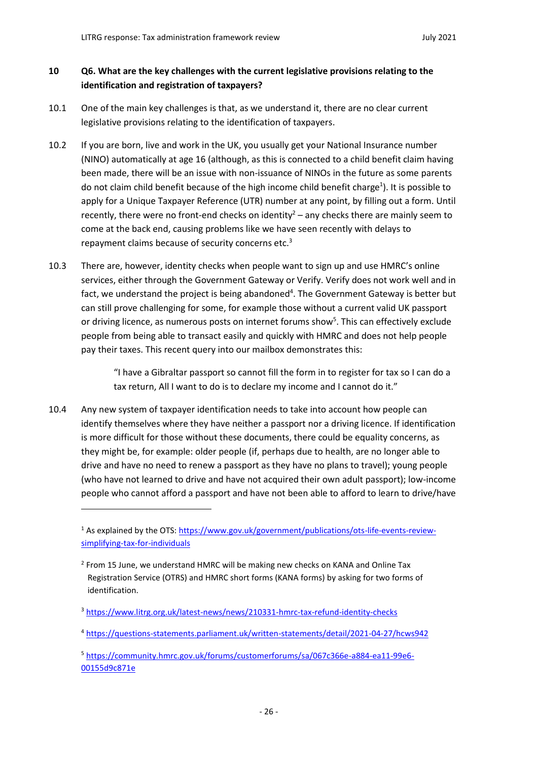### **10 Q6. What are the key challenges with the current legislative provisions relating to the identification and registration of taxpayers?**

- 10.1 One of the main key challenges is that, as we understand it, there are no clear current legislative provisions relating to the identification of taxpayers.
- 10.2 If you are born, live and work in the UK, you usually get your National Insurance number (NINO) automatically at age 16 (although, as this is connected to a child benefit claim having been made, there will be an issue with non-issuance of NINOs in the future as some parents do not claim child benefit because of the high income child benefit charge<sup>1</sup>). It is possible to apply for a Unique Taxpayer Reference (UTR) number at any point, by filling out a form. Until recently, there were no front-end checks on identity<sup>2</sup> – any checks there are mainly seem to come at the back end, causing problems like we have seen recently with delays to repayment claims because of security concerns etc.<sup>3</sup>
- 10.3 There are, however, identity checks when people want to sign up and use HMRC's online services, either through the Government Gateway or Verify. Verify does not work well and in fact, we understand the project is being abandoned<sup>4</sup>. The Government Gateway is better but can still prove challenging for some, for example those without a current valid UK passport or driving licence, as numerous posts on internet forums show<sup>5</sup>. This can effectively exclude people from being able to transact easily and quickly with HMRC and does not help people pay their taxes. This recent query into our mailbox demonstrates this:

"I have a Gibraltar passport so cannot fill the form in to register for tax so I can do a tax return, All I want to do is to declare my income and I cannot do it."

10.4 Any new system of taxpayer identification needs to take into account how people can identify themselves where they have neither a passport nor a driving licence. If identification is more difficult for those without these documents, there could be equality concerns, as they might be, for example: older people (if, perhaps due to health, are no longer able to drive and have no need to renew a passport as they have no plans to travel); young people (who have not learned to drive and have not acquired their own adult passport); low-income people who cannot afford a passport and have not been able to afford to learn to drive/have

<sup>1</sup> As explained by the OTS: [https://www.gov.uk/government/publications/ots-life-events-review](https://www.gov.uk/government/publications/ots-life-events-review-simplifying-tax-for-individuals)[simplifying-tax-for-individuals](https://www.gov.uk/government/publications/ots-life-events-review-simplifying-tax-for-individuals)

<sup>2</sup> From 15 June, we understand HMRC will be making new checks on KANA and Online Tax Registration Service (OTRS) and HMRC short forms (KANA forms) by asking for two forms of identification.

<sup>3</sup> <https://www.litrg.org.uk/latest-news/news/210331-hmrc-tax-refund-identity-checks>

<sup>4</sup> <https://questions-statements.parliament.uk/written-statements/detail/2021-04-27/hcws942>

<sup>5</sup> [https://community.hmrc.gov.uk/forums/customerforums/sa/067c366e-a884-ea11-99e6-](https://community.hmrc.gov.uk/forums/customerforums/sa/067c366e-a884-ea11-99e6-00155d9c871e) [00155d9c871e](https://community.hmrc.gov.uk/forums/customerforums/sa/067c366e-a884-ea11-99e6-00155d9c871e)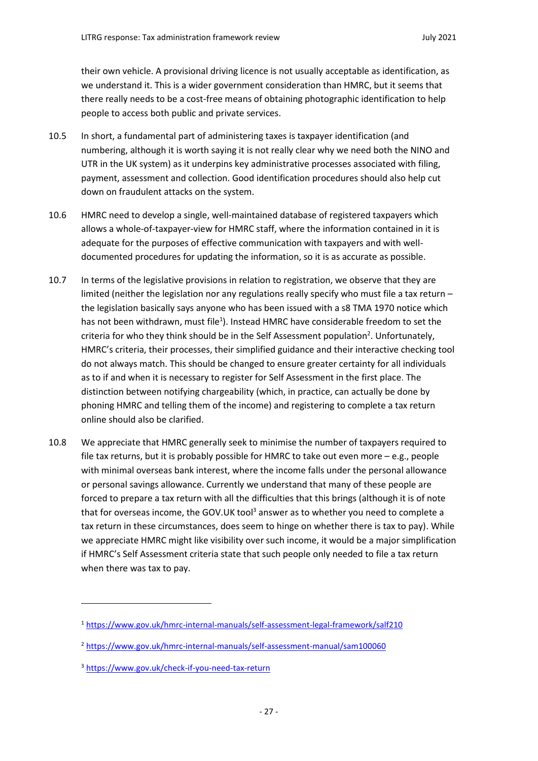their own vehicle. A provisional driving licence is not usually acceptable as identification, as we understand it. This is a wider government consideration than HMRC, but it seems that there really needs to be a cost-free means of obtaining photographic identification to help people to access both public and private services.

- 10.5 In short, a fundamental part of administering taxes is taxpayer identification (and numbering, although it is worth saying it is not really clear why we need both the NINO and UTR in the UK system) as it underpins key administrative processes associated with filing, payment, assessment and collection. Good identification procedures should also help cut down on fraudulent attacks on the system.
- 10.6 HMRC need to develop a single, well-maintained database of registered taxpayers which allows a whole-of-taxpayer-view for HMRC staff, where the information contained in it is adequate for the purposes of effective communication with taxpayers and with welldocumented procedures for updating the information, so it is as accurate as possible.
- 10.7 In terms of the legislative provisions in relation to registration, we observe that they are limited (neither the legislation nor any regulations really specify who must file a tax return – the legislation basically says anyone who has been issued with a s8 TMA 1970 notice which has not been withdrawn, must file<sup>1</sup>). Instead HMRC have considerable freedom to set the criteria for who they think should be in the Self Assessment population<sup>2</sup>. Unfortunately, HMRC's criteria, their processes, their simplified guidance and their interactive checking tool do not always match. This should be changed to ensure greater certainty for all individuals as to if and when it is necessary to register for Self Assessment in the first place. The distinction between notifying chargeability (which, in practice, can actually be done by phoning HMRC and telling them of the income) and registering to complete a tax return online should also be clarified.
- 10.8 We appreciate that HMRC generally seek to minimise the number of taxpayers required to file tax returns, but it is probably possible for HMRC to take out even more – e.g., people with minimal overseas bank interest, where the income falls under the personal allowance or personal savings allowance. Currently we understand that many of these people are forced to prepare a tax return with all the difficulties that this brings (although it is of note that for overseas income, the GOV.UK tool<sup>3</sup> answer as to whether you need to complete a tax return in these circumstances, does seem to hinge on whether there is tax to pay). While we appreciate HMRC might like visibility over such income, it would be a major simplification if HMRC's Self Assessment criteria state that such people only needed to file a tax return when there was tax to pay.

<sup>1</sup> <https://www.gov.uk/hmrc-internal-manuals/self-assessment-legal-framework/salf210>

<sup>2</sup> <https://www.gov.uk/hmrc-internal-manuals/self-assessment-manual/sam100060>

<sup>3</sup> <https://www.gov.uk/check-if-you-need-tax-return>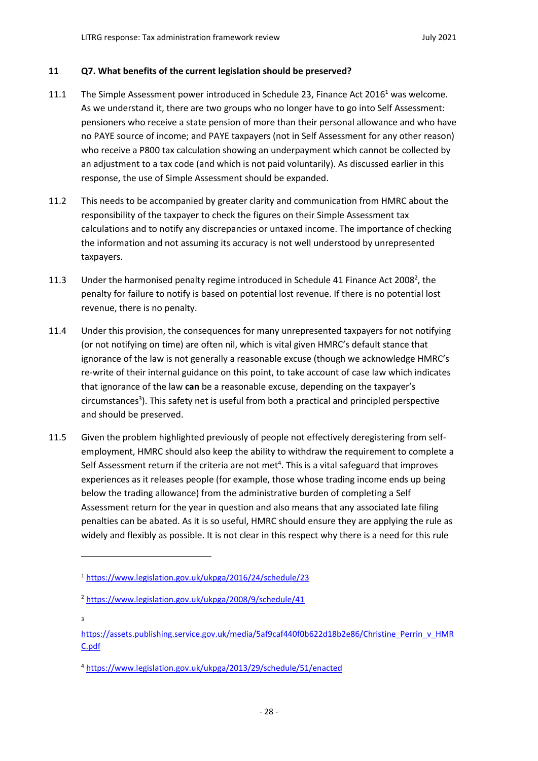#### **11 Q7. What benefits of the current legislation should be preserved?**

- 11.1 The Simple Assessment power introduced in Schedule 23, Finance Act  $2016<sup>1</sup>$  was welcome. As we understand it, there are two groups who no longer have to go into Self Assessment: pensioners who receive a state pension of more than their personal allowance and who have no PAYE source of income; and PAYE taxpayers (not in Self Assessment for any other reason) who receive a P800 tax calculation showing an underpayment which cannot be collected by an adjustment to a tax code (and which is not paid voluntarily). As discussed earlier in this response, the use of Simple Assessment should be expanded.
- 11.2 This needs to be accompanied by greater clarity and communication from HMRC about the responsibility of the taxpayer to check the figures on their Simple Assessment tax calculations and to notify any discrepancies or untaxed income. The importance of checking the information and not assuming its accuracy is not well understood by unrepresented taxpayers.
- 11.3 Under the harmonised penalty regime introduced in Schedule 41 Finance Act 2008<sup>2</sup>, the penalty for failure to notify is based on potential lost revenue. If there is no potential lost revenue, there is no penalty.
- 11.4 Under this provision, the consequences for many unrepresented taxpayers for not notifying (or not notifying on time) are often nil, which is vital given HMRC's default stance that ignorance of the law is not generally a reasonable excuse (though we acknowledge HMRC's re-write of their internal guidance on this point, to take account of case law which indicates that ignorance of the law **can** be a reasonable excuse, depending on the taxpayer's circumstances<sup>3</sup>). This safety net is useful from both a practical and principled perspective and should be preserved.
- 11.5 Given the problem highlighted previously of people not effectively deregistering from selfemployment, HMRC should also keep the ability to withdraw the requirement to complete a Self Assessment return if the criteria are not met<sup>4</sup>. This is a vital safeguard that improves experiences as it releases people (for example, those whose trading income ends up being below the trading allowance) from the administrative burden of completing a Self Assessment return for the year in question and also means that any associated late filing penalties can be abated. As it is so useful, HMRC should ensure they are applying the rule as widely and flexibly as possible. It is not clear in this respect why there is a need for this rule

3

<sup>1</sup> <https://www.legislation.gov.uk/ukpga/2016/24/schedule/23>

<sup>2</sup> <https://www.legislation.gov.uk/ukpga/2008/9/schedule/41>

[https://assets.publishing.service.gov.uk/media/5af9caf440f0b622d18b2e86/Christine\\_Perrin\\_v\\_HMR](https://assets.publishing.service.gov.uk/media/5af9caf440f0b622d18b2e86/Christine_Perrin_v_HMRC.pdf) [C.pdf](https://assets.publishing.service.gov.uk/media/5af9caf440f0b622d18b2e86/Christine_Perrin_v_HMRC.pdf)

<sup>4</sup> <https://www.legislation.gov.uk/ukpga/2013/29/schedule/51/enacted>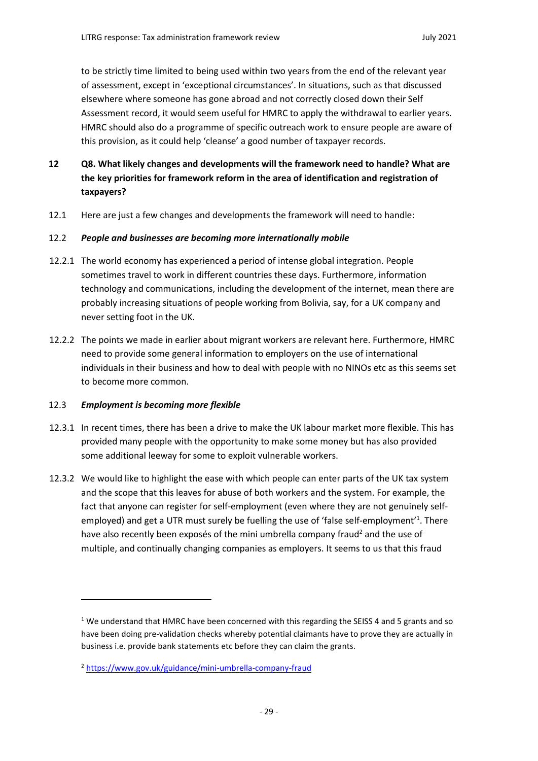to be strictly time limited to being used within two years from the end of the relevant year of assessment, except in 'exceptional circumstances'. In situations, such as that discussed elsewhere where someone has gone abroad and not correctly closed down their Self Assessment record, it would seem useful for HMRC to apply the withdrawal to earlier years. HMRC should also do a programme of specific outreach work to ensure people are aware of this provision, as it could help 'cleanse' a good number of taxpayer records.

- **12 Q8. What likely changes and developments will the framework need to handle? What are the key priorities for framework reform in the area of identification and registration of taxpayers?**
- 12.1 Here are just a few changes and developments the framework will need to handle:

#### 12.2 *People and businesses are becoming more internationally mobile*

- 12.2.1 The world economy has experienced a period of intense global integration. People sometimes travel to work in different countries these days. Furthermore, information technology and communications, including the development of the internet, mean there are probably increasing situations of people working from Bolivia, say, for a UK company and never setting foot in the UK.
- 12.2.2 The points we made in earlier about migrant workers are relevant here. Furthermore, HMRC need to provide some general information to employers on the use of international individuals in their business and how to deal with people with no NINOs etc as this seems set to become more common.

#### 12.3 *Employment is becoming more flexible*

- 12.3.1 In recent times, there has been a drive to make the UK labour market more flexible. This has provided many people with the opportunity to make some money but has also provided some additional leeway for some to exploit vulnerable workers.
- 12.3.2 We would like to highlight the ease with which people can enter parts of the UK tax system and the scope that this leaves for abuse of both workers and the system. For example, the fact that anyone can register for self-employment (even where they are not genuinely selfemployed) and get a UTR must surely be fuelling the use of 'false self-employment'<sup>1</sup>. There have also recently been exposés of the mini umbrella company fraud<sup>2</sup> and the use of multiple, and continually changing companies as employers. It seems to us that this fraud

 $1$  We understand that HMRC have been concerned with this regarding the SEISS 4 and 5 grants and so have been doing pre-validation checks whereby potential claimants have to prove they are actually in business i.e. provide bank statements etc before they can claim the grants.

<sup>2</sup> <https://www.gov.uk/guidance/mini-umbrella-company-fraud>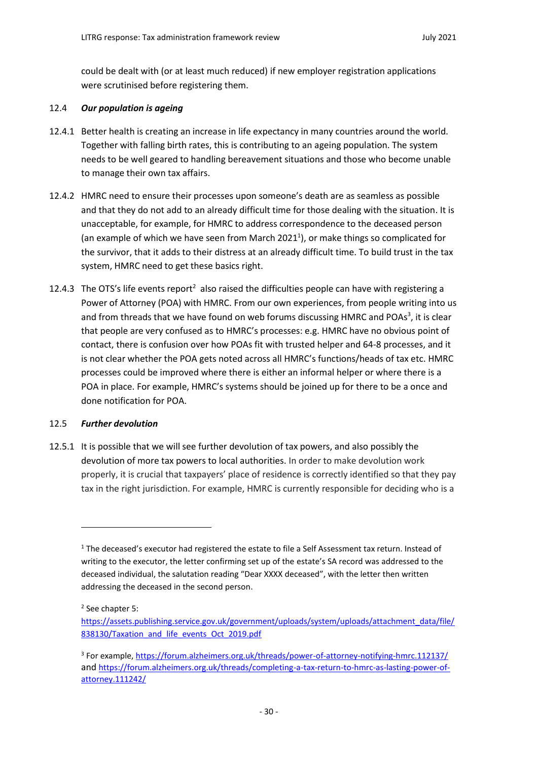could be dealt with (or at least much reduced) if new employer registration applications were scrutinised before registering them.

#### 12.4 *Our population is ageing*

- 12.4.1 Better health is creating an increase in life expectancy in many countries around the world. Together with falling birth rates, this is contributing to an ageing population. The system needs to be well geared to handling bereavement situations and those who become unable to manage their own tax affairs.
- 12.4.2 HMRC need to ensure their processes upon someone's death are as seamless as possible and that they do not add to an already difficult time for those dealing with the situation. It is unacceptable, for example, for HMRC to address correspondence to the deceased person (an example of which we have seen from March 2021<sup>1</sup>), or make things so complicated for the survivor, that it adds to their distress at an already difficult time. To build trust in the tax system, HMRC need to get these basics right.
- 12.4.3 The OTS's life events report<sup>2</sup> also raised the difficulties people can have with registering a Power of Attorney (POA) with HMRC. From our own experiences, from people writing into us and from threads that we have found on web forums discussing HMRC and POAs<sup>3</sup>, it is clear that people are very confused as to HMRC's processes: e.g. HMRC have no obvious point of contact, there is confusion over how POAs fit with trusted helper and 64-8 processes, and it is not clear whether the POA gets noted across all HMRC's functions/heads of tax etc. HMRC processes could be improved where there is either an informal helper or where there is a POA in place. For example, HMRC's systems should be joined up for there to be a once and done notification for POA.

#### 12.5 *Further devolution*

12.5.1 It is possible that we will see further devolution of tax powers, and also possibly the devolution of more tax powers to local authorities. In order to make devolution work properly, it is crucial that taxpayers' place of residence is correctly identified so that they pay tax in the right jurisdiction. For example, HMRC is currently responsible for deciding who is a

2 See chapter 5:

 $1$  The deceased's executor had registered the estate to file a Self Assessment tax return. Instead of writing to the executor, the letter confirming set up of the estate's SA record was addressed to the deceased individual, the salutation reading "Dear XXXX deceased", with the letter then written addressing the deceased in the second person.

[https://assets.publishing.service.gov.uk/government/uploads/system/uploads/attachment\\_data/file/](https://assets.publishing.service.gov.uk/government/uploads/system/uploads/attachment_data/file/838130/Taxation_and_life_events_Oct_2019.pdf) [838130/Taxation\\_and\\_life\\_events\\_Oct\\_2019.pdf](https://assets.publishing.service.gov.uk/government/uploads/system/uploads/attachment_data/file/838130/Taxation_and_life_events_Oct_2019.pdf)

<sup>&</sup>lt;sup>3</sup> For example,<https://forum.alzheimers.org.uk/threads/power-of-attorney-notifying-hmrc.112137/> and [https://forum.alzheimers.org.uk/threads/completing-a-tax-return-to-hmrc-as-lasting-power-of](https://forum.alzheimers.org.uk/threads/completing-a-tax-return-to-hmrc-as-lasting-power-of-attorney.111242/)[attorney.111242/](https://forum.alzheimers.org.uk/threads/completing-a-tax-return-to-hmrc-as-lasting-power-of-attorney.111242/)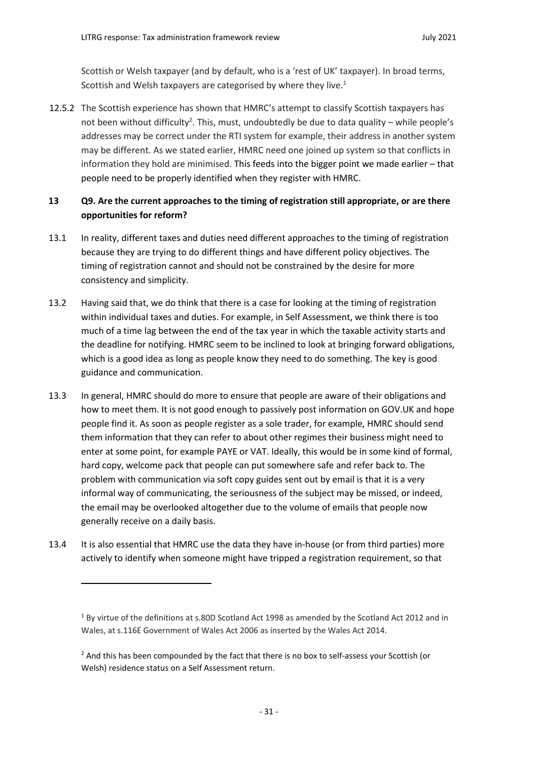Scottish or Welsh taxpayer (and by default, who is a 'rest of UK' taxpayer). In broad terms, Scottish and Welsh taxpayers are categorised by where they live.<sup>1</sup>

12.5.2 The Scottish experience has shown that HMRC's attempt to classify Scottish taxpayers has not been without difficulty<sup>2</sup>. This, must, undoubtedly be due to data quality - while people's addresses may be correct under the RTI system for example, their address in another system may be different. As we stated earlier, HMRC need one joined up system so that conflicts in information they hold are minimised. This feeds into the bigger point we made earlier – that people need to be properly identified when they register with HMRC.

## **13 Q9. Are the current approaches to the timing of registration still appropriate, or are there opportunities for reform?**

- 13.1 In reality, different taxes and duties need different approaches to the timing of registration because they are trying to do different things and have different policy objectives. The timing of registration cannot and should not be constrained by the desire for more consistency and simplicity.
- 13.2 Having said that, we do think that there is a case for looking at the timing of registration within individual taxes and duties. For example, in Self Assessment, we think there is too much of a time lag between the end of the tax year in which the taxable activity starts and the deadline for notifying. HMRC seem to be inclined to look at bringing forward obligations, which is a good idea as long as people know they need to do something. The key is good guidance and communication.
- 13.3 In general, HMRC should do more to ensure that people are aware of their obligations and how to meet them. It is not good enough to passively post information on GOV.UK and hope people find it. As soon as people register as a sole trader, for example, HMRC should send them information that they can refer to about other regimes their business might need to enter at some point, for example PAYE or VAT. Ideally, this would be in some kind of formal, hard copy, welcome pack that people can put somewhere safe and refer back to. The problem with communication via soft copy guides sent out by email is that it is a very informal way of communicating, the seriousness of the subject may be missed, or indeed, the email may be overlooked altogether due to the volume of emails that people now generally receive on a daily basis.
- 13.4 It is also essential that HMRC use the data they have in-house (or from third parties) more actively to identify when someone might have tripped a registration requirement, so that

<sup>1</sup> By virtue of the definitions at s.80D Scotland Act 1998 as amended by the Scotland Act 2012 and in Wales, at s.116E Government of Wales Act 2006 as inserted by the Wales Act 2014.

<sup>&</sup>lt;sup>2</sup> And this has been compounded by the fact that there is no box to self-assess your Scottish (or Welsh) residence status on a Self Assessment return.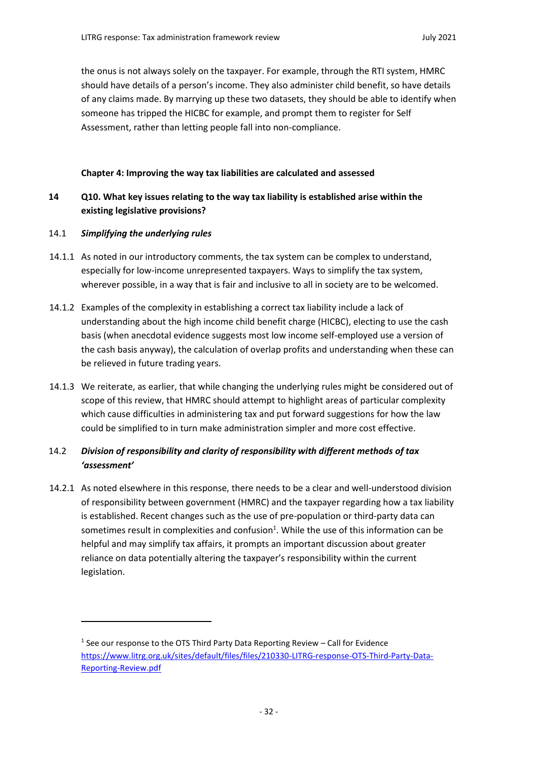the onus is not always solely on the taxpayer. For example, through the RTI system, HMRC should have details of a person's income. They also administer child benefit, so have details of any claims made. By marrying up these two datasets, they should be able to identify when someone has tripped the HICBC for example, and prompt them to register for Self Assessment, rather than letting people fall into non-compliance.

#### **Chapter 4: Improving the way tax liabilities are calculated and assessed**

## **14 Q10. What key issues relating to the way tax liability is established arise within the existing legislative provisions?**

#### 14.1 *Simplifying the underlying rules*

- 14.1.1 As noted in our introductory comments, the tax system can be complex to understand, especially for low-income unrepresented taxpayers. Ways to simplify the tax system, wherever possible, in a way that is fair and inclusive to all in society are to be welcomed.
- 14.1.2 Examples of the complexity in establishing a correct tax liability include a lack of understanding about the high income child benefit charge (HICBC), electing to use the cash basis (when anecdotal evidence suggests most low income self-employed use a version of the cash basis anyway), the calculation of overlap profits and understanding when these can be relieved in future trading years.
- 14.1.3 We reiterate, as earlier, that while changing the underlying rules might be considered out of scope of this review, that HMRC should attempt to highlight areas of particular complexity which cause difficulties in administering tax and put forward suggestions for how the law could be simplified to in turn make administration simpler and more cost effective.

## 14.2 *Division of responsibility and clarity of responsibility with different methods of tax 'assessment'*

14.2.1 As noted elsewhere in this response, there needs to be a clear and well-understood division of responsibility between government (HMRC) and the taxpayer regarding how a tax liability is established. Recent changes such as the use of pre-population or third-party data can sometimes result in complexities and confusion<sup>1</sup>. While the use of this information can be helpful and may simplify tax affairs, it prompts an important discussion about greater reliance on data potentially altering the taxpayer's responsibility within the current legislation.

 $<sup>1</sup>$  See our response to the OTS Third Party Data Reporting Review  $-$  Call for Evidence</sup> [https://www.litrg.org.uk/sites/default/files/files/210330-LITRG-response-OTS-Third-Party-Data-](https://www.litrg.org.uk/sites/default/files/files/210330-LITRG-response-OTS-Third-Party-Data-Reporting-Review.pdf)[Reporting-Review.pdf](https://www.litrg.org.uk/sites/default/files/files/210330-LITRG-response-OTS-Third-Party-Data-Reporting-Review.pdf)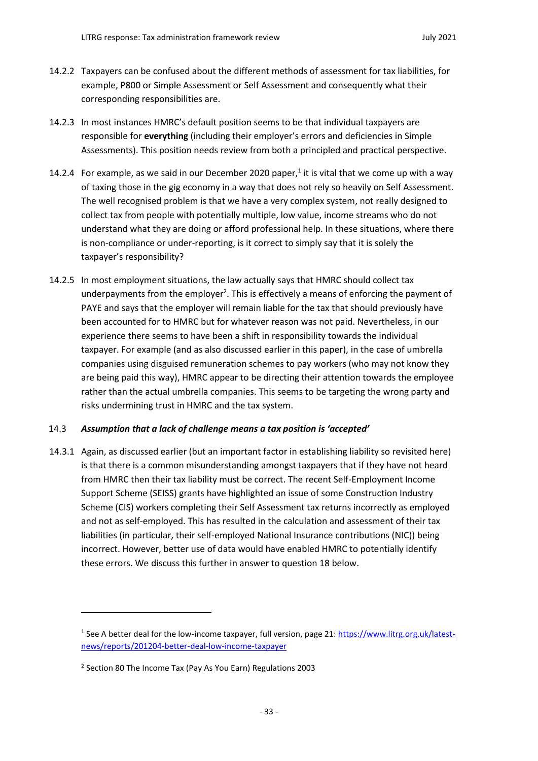- 14.2.2 Taxpayers can be confused about the different methods of assessment for tax liabilities, for example, P800 or Simple Assessment or Self Assessment and consequently what their corresponding responsibilities are.
- 14.2.3 In most instances HMRC's default position seems to be that individual taxpayers are responsible for **everything** (including their employer's errors and deficiencies in Simple Assessments). This position needs review from both a principled and practical perspective.
- 14.2.4 For example, as we said in our December 2020 paper,<sup>1</sup> it is vital that we come up with a way of taxing those in the gig economy in a way that does not rely so heavily on Self Assessment. The well recognised problem is that we have a very complex system, not really designed to collect tax from people with potentially multiple, low value, income streams who do not understand what they are doing or afford professional help. In these situations, where there is non-compliance or under-reporting, is it correct to simply say that it is solely the taxpayer's responsibility?
- 14.2.5 In most employment situations, the law actually says that HMRC should collect tax underpayments from the employer<sup>2</sup>. This is effectively a means of enforcing the payment of PAYE and says that the employer will remain liable for the tax that should previously have been accounted for to HMRC but for whatever reason was not paid. Nevertheless, in our experience there seems to have been a shift in responsibility towards the individual taxpayer. For example (and as also discussed earlier in this paper), in the case of umbrella companies using disguised remuneration schemes to pay workers (who may not know they are being paid this way), HMRC appear to be directing their attention towards the employee rather than the actual umbrella companies. This seems to be targeting the wrong party and risks undermining trust in HMRC and the tax system.

#### 14.3 *Assumption that a lack of challenge means a tax position is 'accepted'*

14.3.1 Again, as discussed earlier (but an important factor in establishing liability so revisited here) is that there is a common misunderstanding amongst taxpayers that if they have not heard from HMRC then their tax liability must be correct. The recent Self-Employment Income Support Scheme (SEISS) grants have highlighted an issue of some Construction Industry Scheme (CIS) workers completing their Self Assessment tax returns incorrectly as employed and not as self-employed. This has resulted in the calculation and assessment of their tax liabilities (in particular, their self-employed National Insurance contributions (NIC)) being incorrect. However, better use of data would have enabled HMRC to potentially identify these errors. We discuss this further in answer to question 18 below.

<sup>&</sup>lt;sup>1</sup> See A better deal for the low-income taxpayer, full version, page 21: [https://www.litrg.org.uk/latest](https://www.litrg.org.uk/latest-news/reports/201204-better-deal-low-income-taxpayer)[news/reports/201204-better-deal-low-income-taxpayer](https://www.litrg.org.uk/latest-news/reports/201204-better-deal-low-income-taxpayer)

<sup>2</sup> Section 80 The Income Tax (Pay As You Earn) Regulations 2003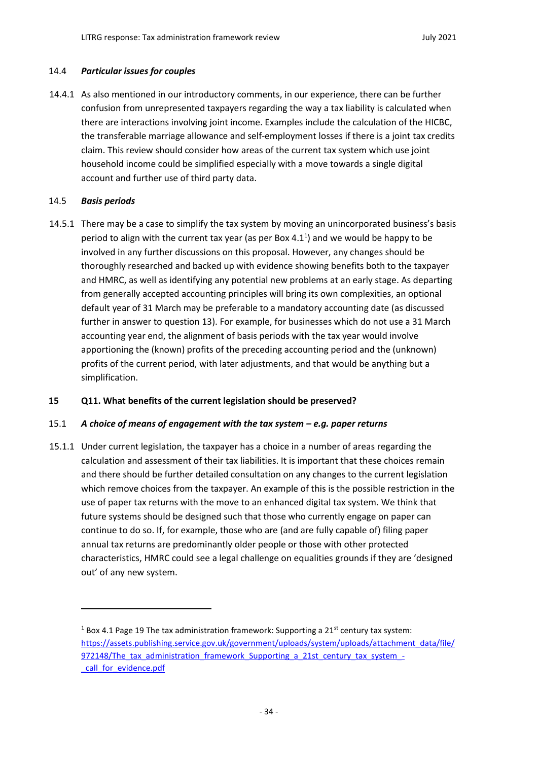#### 14.4 *Particular issues for couples*

14.4.1 As also mentioned in our introductory comments, in our experience, there can be further confusion from unrepresented taxpayers regarding the way a tax liability is calculated when there are interactions involving joint income. Examples include the calculation of the HICBC, the transferable marriage allowance and self-employment losses if there is a joint tax credits claim. This review should consider how areas of the current tax system which use joint household income could be simplified especially with a move towards a single digital account and further use of third party data.

#### 14.5 *Basis periods*

14.5.1 There may be a case to simplify the tax system by moving an unincorporated business's basis period to align with the current tax year (as per Box 4.1<sup>1</sup>) and we would be happy to be involved in any further discussions on this proposal. However, any changes should be thoroughly researched and backed up with evidence showing benefits both to the taxpayer and HMRC, as well as identifying any potential new problems at an early stage. As departing from generally accepted accounting principles will bring its own complexities, an optional default year of 31 March may be preferable to a mandatory accounting date (as discussed further in answer to question 13). For example, for businesses which do not use a 31 March accounting year end, the alignment of basis periods with the tax year would involve apportioning the (known) profits of the preceding accounting period and the (unknown) profits of the current period, with later adjustments, and that would be anything but a simplification.

#### **15 Q11. What benefits of the current legislation should be preserved?**

#### 15.1 *A choice of means of engagement with the tax system – e.g. paper returns*

15.1.1 Under current legislation, the taxpayer has a choice in a number of areas regarding the calculation and assessment of their tax liabilities. It is important that these choices remain and there should be further detailed consultation on any changes to the current legislation which remove choices from the taxpayer. An example of this is the possible restriction in the use of paper tax returns with the move to an enhanced digital tax system. We think that future systems should be designed such that those who currently engage on paper can continue to do so. If, for example, those who are (and are fully capable of) filing paper annual tax returns are predominantly older people or those with other protected characteristics, HMRC could see a legal challenge on equalities grounds if they are 'designed out' of any new system.

 $1$  Box 4.1 Page 19 The tax administration framework: Supporting a 21<sup>st</sup> century tax system: [https://assets.publishing.service.gov.uk/government/uploads/system/uploads/attachment\\_data/file/](https://assets.publishing.service.gov.uk/government/uploads/system/uploads/attachment_data/file/972148/The_tax_administration_framework_Supporting_a_21st_century_tax_system_-_call_for_evidence.pdf) 972148/The tax administration framework Supporting a 21st century tax system call for evidence.pdf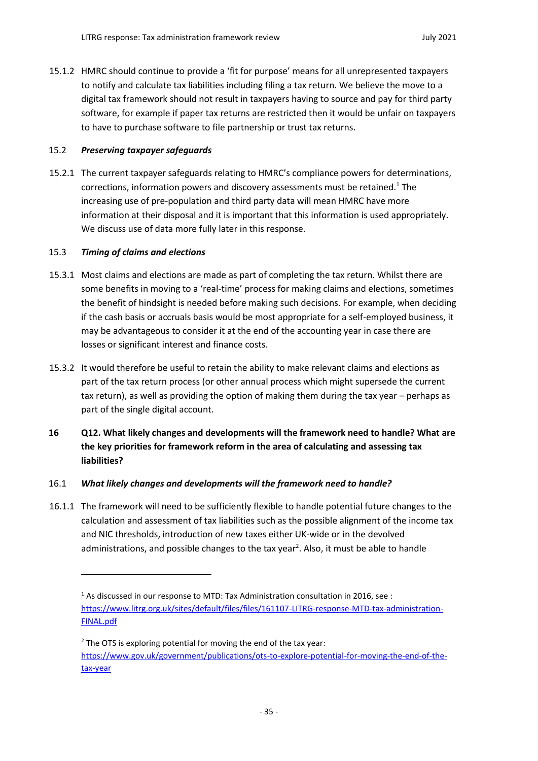15.1.2 HMRC should continue to provide a 'fit for purpose' means for all unrepresented taxpayers to notify and calculate tax liabilities including filing a tax return. We believe the move to a digital tax framework should not result in taxpayers having to source and pay for third party software, for example if paper tax returns are restricted then it would be unfair on taxpayers to have to purchase software to file partnership or trust tax returns.

#### 15.2 *Preserving taxpayer safeguards*

15.2.1 The current taxpayer safeguards relating to HMRC's compliance powers for determinations, corrections, information powers and discovery assessments must be retained.<sup>1</sup> The increasing use of pre-population and third party data will mean HMRC have more information at their disposal and it is important that this information is used appropriately. We discuss use of data more fully later in this response.

#### 15.3 *Timing of claims and elections*

- 15.3.1 Most claims and elections are made as part of completing the tax return. Whilst there are some benefits in moving to a 'real-time' process for making claims and elections, sometimes the benefit of hindsight is needed before making such decisions. For example, when deciding if the cash basis or accruals basis would be most appropriate for a self-employed business, it may be advantageous to consider it at the end of the accounting year in case there are losses or significant interest and finance costs.
- 15.3.2 It would therefore be useful to retain the ability to make relevant claims and elections as part of the tax return process (or other annual process which might supersede the current tax return), as well as providing the option of making them during the tax year – perhaps as part of the single digital account.
- **16 Q12. What likely changes and developments will the framework need to handle? What are the key priorities for framework reform in the area of calculating and assessing tax liabilities?**

#### 16.1 *What likely changes and developments will the framework need to handle?*

16.1.1 The framework will need to be sufficiently flexible to handle potential future changes to the calculation and assessment of tax liabilities such as the possible alignment of the income tax and NIC thresholds, introduction of new taxes either UK-wide or in the devolved administrations, and possible changes to the tax year<sup>2</sup>. Also, it must be able to handle

 $1$  As discussed in our response to MTD: Tax Administration consultation in 2016, see : [https://www.litrg.org.uk/sites/default/files/files/161107-LITRG-response-MTD-tax-administration-](https://www.litrg.org.uk/sites/default/files/files/161107-LITRG-response-MTD-tax-administration-FINAL.pdf)[FINAL.pdf](https://www.litrg.org.uk/sites/default/files/files/161107-LITRG-response-MTD-tax-administration-FINAL.pdf)

 $2$  The OTS is exploring potential for moving the end of the tax year: [https://www.gov.uk/government/publications/ots-to-explore-potential-for-moving-the-end-of-the](https://www.gov.uk/government/publications/ots-to-explore-potential-for-moving-the-end-of-the-tax-year)[tax-year](https://www.gov.uk/government/publications/ots-to-explore-potential-for-moving-the-end-of-the-tax-year)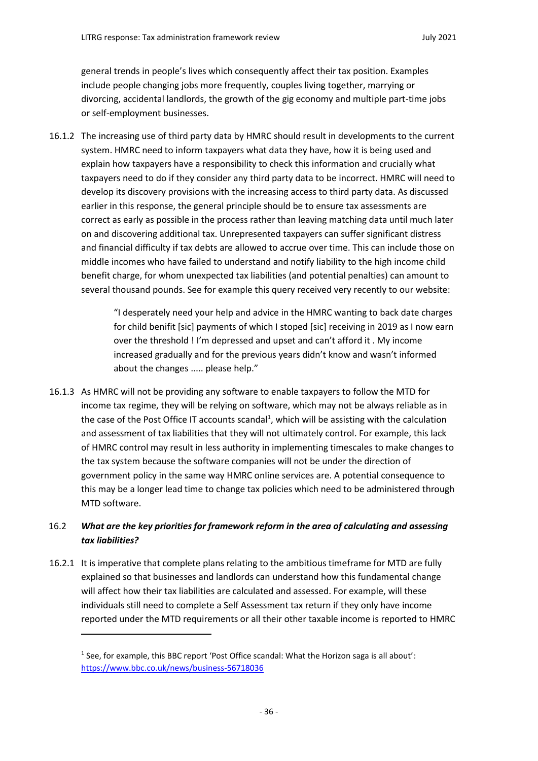general trends in people's lives which consequently affect their tax position. Examples include people changing jobs more frequently, couples living together, marrying or divorcing, accidental landlords, the growth of the gig economy and multiple part-time jobs or self-employment businesses.

16.1.2 The increasing use of third party data by HMRC should result in developments to the current system. HMRC need to inform taxpayers what data they have, how it is being used and explain how taxpayers have a responsibility to check this information and crucially what taxpayers need to do if they consider any third party data to be incorrect. HMRC will need to develop its discovery provisions with the increasing access to third party data. As discussed earlier in this response, the general principle should be to ensure tax assessments are correct as early as possible in the process rather than leaving matching data until much later on and discovering additional tax. Unrepresented taxpayers can suffer significant distress and financial difficulty if tax debts are allowed to accrue over time. This can include those on middle incomes who have failed to understand and notify liability to the high income child benefit charge, for whom unexpected tax liabilities (and potential penalties) can amount to several thousand pounds. See for example this query received very recently to our website:

> "I desperately need your help and advice in the HMRC wanting to back date charges for child benifit [sic] payments of which I stoped [sic] receiving in 2019 as I now earn over the threshold ! I'm depressed and upset and can't afford it . My income increased gradually and for the previous years didn't know and wasn't informed about the changes ..... please help."

16.1.3 As HMRC will not be providing any software to enable taxpayers to follow the MTD for income tax regime, they will be relying on software, which may not be always reliable as in the case of the Post Office IT accounts scandal<sup>1</sup>, which will be assisting with the calculation and assessment of tax liabilities that they will not ultimately control. For example, this lack of HMRC control may result in less authority in implementing timescales to make changes to the tax system because the software companies will not be under the direction of government policy in the same way HMRC online services are. A potential consequence to this may be a longer lead time to change tax policies which need to be administered through MTD software.

## 16.2 *What are the key priorities for framework reform in the area of calculating and assessing tax liabilities?*

16.2.1 It is imperative that complete plans relating to the ambitious timeframe for MTD are fully explained so that businesses and landlords can understand how this fundamental change will affect how their tax liabilities are calculated and assessed. For example, will these individuals still need to complete a Self Assessment tax return if they only have income reported under the MTD requirements or all their other taxable income is reported to HMRC

 $<sup>1</sup>$  See, for example, this BBC report 'Post Office scandal: What the Horizon saga is all about':</sup> <https://www.bbc.co.uk/news/business-56718036>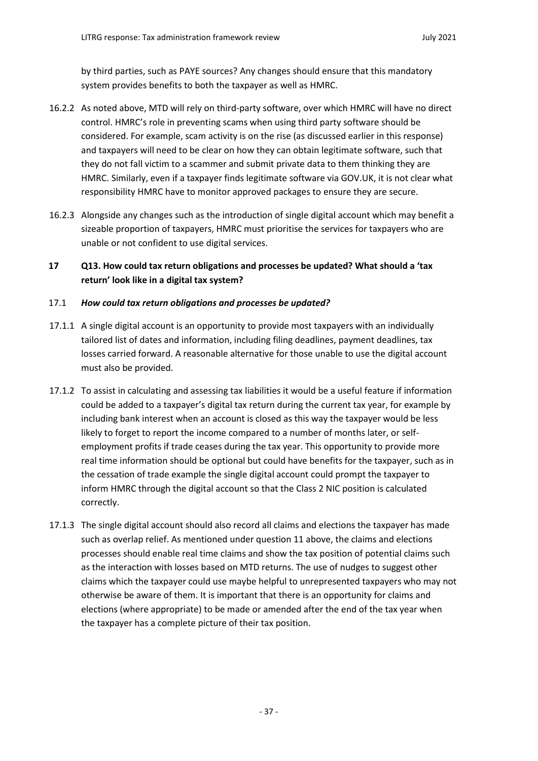by third parties, such as PAYE sources? Any changes should ensure that this mandatory system provides benefits to both the taxpayer as well as HMRC.

- 16.2.2 As noted above, MTD will rely on third-party software, over which HMRC will have no direct control. HMRC's role in preventing scams when using third party software should be considered. For example, scam activity is on the rise (as discussed earlier in this response) and taxpayers will need to be clear on how they can obtain legitimate software, such that they do not fall victim to a scammer and submit private data to them thinking they are HMRC. Similarly, even if a taxpayer finds legitimate software via GOV.UK, it is not clear what responsibility HMRC have to monitor approved packages to ensure they are secure.
- 16.2.3 Alongside any changes such as the introduction of single digital account which may benefit a sizeable proportion of taxpayers, HMRC must prioritise the services for taxpayers who are unable or not confident to use digital services.

## **17 Q13. How could tax return obligations and processes be updated? What should a 'tax return' look like in a digital tax system?**

#### 17.1 *How could tax return obligations and processes be updated?*

- 17.1.1 A single digital account is an opportunity to provide most taxpayers with an individually tailored list of dates and information, including filing deadlines, payment deadlines, tax losses carried forward. A reasonable alternative for those unable to use the digital account must also be provided.
- 17.1.2 To assist in calculating and assessing tax liabilities it would be a useful feature if information could be added to a taxpayer's digital tax return during the current tax year, for example by including bank interest when an account is closed as this way the taxpayer would be less likely to forget to report the income compared to a number of months later, or selfemployment profits if trade ceases during the tax year. This opportunity to provide more real time information should be optional but could have benefits for the taxpayer, such as in the cessation of trade example the single digital account could prompt the taxpayer to inform HMRC through the digital account so that the Class 2 NIC position is calculated correctly.
- 17.1.3 The single digital account should also record all claims and elections the taxpayer has made such as overlap relief. As mentioned under question 11 above, the claims and elections processes should enable real time claims and show the tax position of potential claims such as the interaction with losses based on MTD returns. The use of nudges to suggest other claims which the taxpayer could use maybe helpful to unrepresented taxpayers who may not otherwise be aware of them. It is important that there is an opportunity for claims and elections (where appropriate) to be made or amended after the end of the tax year when the taxpayer has a complete picture of their tax position.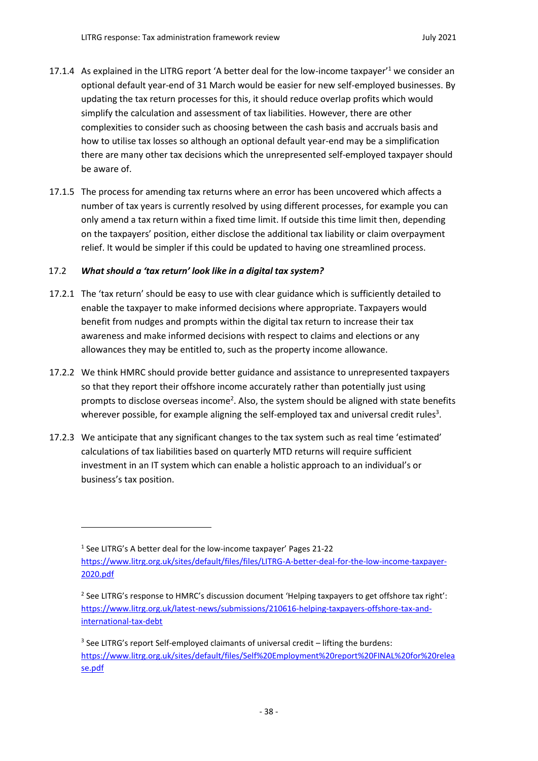- 17.1.4 As explained in the LITRG report 'A better deal for the low-income taxpayer'<sup>1</sup> we consider an optional default year-end of 31 March would be easier for new self-employed businesses. By updating the tax return processes for this, it should reduce overlap profits which would simplify the calculation and assessment of tax liabilities. However, there are other complexities to consider such as choosing between the cash basis and accruals basis and how to utilise tax losses so although an optional default year-end may be a simplification there are many other tax decisions which the unrepresented self-employed taxpayer should be aware of.
- 17.1.5 The process for amending tax returns where an error has been uncovered which affects a number of tax years is currently resolved by using different processes, for example you can only amend a tax return within a fixed time limit. If outside this time limit then, depending on the taxpayers' position, either disclose the additional tax liability or claim overpayment relief. It would be simpler if this could be updated to having one streamlined process.

#### 17.2 *What should a 'tax return' look like in a digital tax system?*

- 17.2.1 The 'tax return' should be easy to use with clear guidance which is sufficiently detailed to enable the taxpayer to make informed decisions where appropriate. Taxpayers would benefit from nudges and prompts within the digital tax return to increase their tax awareness and make informed decisions with respect to claims and elections or any allowances they may be entitled to, such as the property income allowance.
- 17.2.2 We think HMRC should provide better guidance and assistance to unrepresented taxpayers so that they report their offshore income accurately rather than potentially just using prompts to disclose overseas income<sup>2</sup>. Also, the system should be aligned with state benefits wherever possible, for example aligning the self-employed tax and universal credit rules<sup>3</sup>.
- 17.2.3 We anticipate that any significant changes to the tax system such as real time 'estimated' calculations of tax liabilities based on quarterly MTD returns will require sufficient investment in an IT system which can enable a holistic approach to an individual's or business's tax position.

<sup>&</sup>lt;sup>1</sup> See LITRG's A better deal for the low-income taxpayer' Pages 21-22 [https://www.litrg.org.uk/sites/default/files/files/LITRG-A-better-deal-for-the-low-income-taxpayer-](https://www.litrg.org.uk/sites/default/files/files/LITRG-A-better-deal-for-the-low-income-taxpayer-2020.pdf)[2020.pdf](https://www.litrg.org.uk/sites/default/files/files/LITRG-A-better-deal-for-the-low-income-taxpayer-2020.pdf) 

<sup>&</sup>lt;sup>2</sup> See LITRG's response to HMRC's discussion document 'Helping taxpayers to get offshore tax right': [https://www.litrg.org.uk/latest-news/submissions/210616-helping-taxpayers-offshore-tax-and](https://www.litrg.org.uk/latest-news/submissions/210616-helping-taxpayers-offshore-tax-and-international-tax-debt)[international-tax-debt](https://www.litrg.org.uk/latest-news/submissions/210616-helping-taxpayers-offshore-tax-and-international-tax-debt)

<sup>&</sup>lt;sup>3</sup> See LITRG's report Self-employed claimants of universal credit – lifting the burdens: [https://www.litrg.org.uk/sites/default/files/Self%20Employment%20report%20FINAL%20for%20relea](https://www.litrg.org.uk/sites/default/files/Self%20Employment%20report%20FINAL%20for%20release.pdf) [se.pdf](https://www.litrg.org.uk/sites/default/files/Self%20Employment%20report%20FINAL%20for%20release.pdf)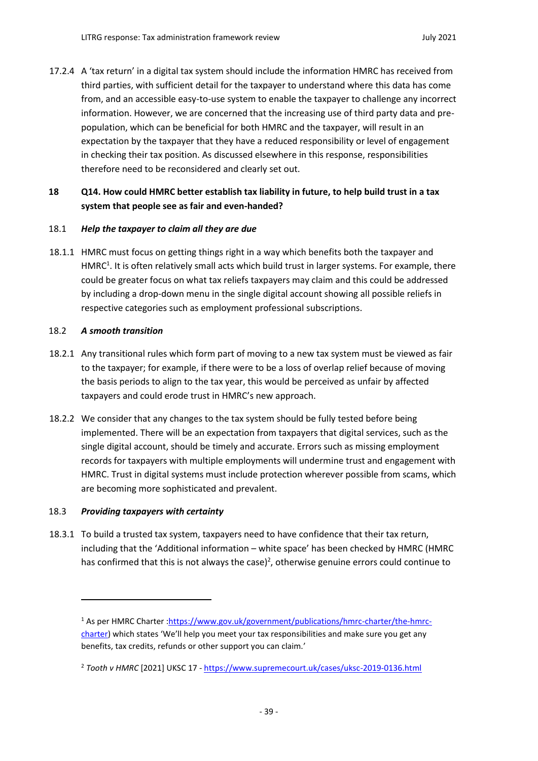17.2.4 A 'tax return' in a digital tax system should include the information HMRC has received from third parties, with sufficient detail for the taxpayer to understand where this data has come from, and an accessible easy-to-use system to enable the taxpayer to challenge any incorrect information. However, we are concerned that the increasing use of third party data and prepopulation, which can be beneficial for both HMRC and the taxpayer, will result in an expectation by the taxpayer that they have a reduced responsibility or level of engagement in checking their tax position. As discussed elsewhere in this response, responsibilities therefore need to be reconsidered and clearly set out.

## **18 Q14. How could HMRC better establish tax liability in future, to help build trust in a tax system that people see as fair and even-handed?**

#### 18.1 *Help the taxpayer to claim all they are due*

18.1.1 HMRC must focus on getting things right in a way which benefits both the taxpayer and HMRC<sup>1</sup>. It is often relatively small acts which build trust in larger systems. For example, there could be greater focus on what tax reliefs taxpayers may claim and this could be addressed by including a drop-down menu in the single digital account showing all possible reliefs in respective categories such as employment professional subscriptions.

#### 18.2 *A smooth transition*

- 18.2.1 Any transitional rules which form part of moving to a new tax system must be viewed as fair to the taxpayer; for example, if there were to be a loss of overlap relief because of moving the basis periods to align to the tax year, this would be perceived as unfair by affected taxpayers and could erode trust in HMRC's new approach.
- 18.2.2 We consider that any changes to the tax system should be fully tested before being implemented. There will be an expectation from taxpayers that digital services, such as the single digital account, should be timely and accurate. Errors such as missing employment records for taxpayers with multiple employments will undermine trust and engagement with HMRC. Trust in digital systems must include protection wherever possible from scams, which are becoming more sophisticated and prevalent.

#### 18.3 *Providing taxpayers with certainty*

18.3.1 To build a trusted tax system, taxpayers need to have confidence that their tax return, including that the 'Additional information – white space' has been checked by HMRC (HMRC has confirmed that this is not always the case)<sup>2</sup>, otherwise genuine errors could continue to

<sup>1</sup> As per HMRC Charter [:https://www.gov.uk/government/publications/hmrc-charter/the-hmrc](https://www.gov.uk/government/publications/hmrc-charter/the-hmrc-charter)[charter](https://www.gov.uk/government/publications/hmrc-charter/the-hmrc-charter)) which states 'We'll help you meet your tax responsibilities and make sure you get any benefits, tax credits, refunds or other support you can claim.'

<sup>2</sup> *Tooth v HMRC* [2021] UKSC 17 - <https://www.supremecourt.uk/cases/uksc-2019-0136.html>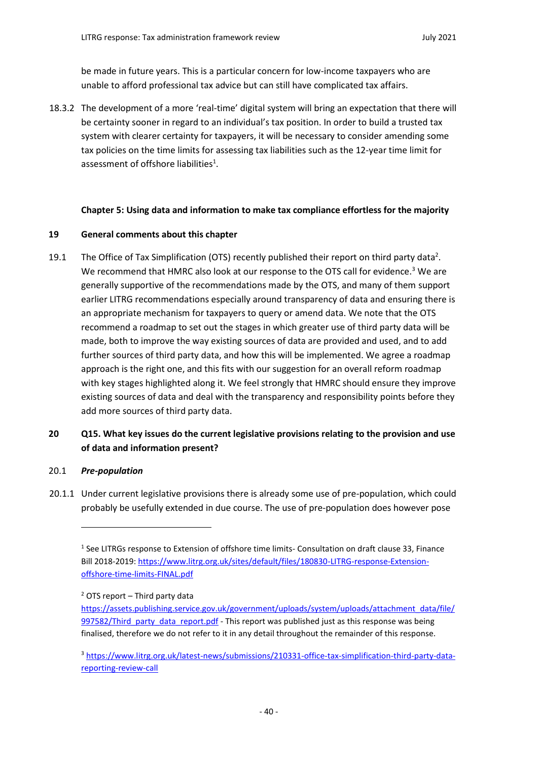be made in future years. This is a particular concern for low-income taxpayers who are unable to afford professional tax advice but can still have complicated tax affairs.

18.3.2 The development of a more 'real-time' digital system will bring an expectation that there will be certainty sooner in regard to an individual's tax position. In order to build a trusted tax system with clearer certainty for taxpayers, it will be necessary to consider amending some tax policies on the time limits for assessing tax liabilities such as the 12-year time limit for assessment of offshore liabilities $<sup>1</sup>$ .</sup>

#### **Chapter 5: Using data and information to make tax compliance effortless for the majority**

#### **19 General comments about this chapter**

19.1 The Office of Tax Simplification (OTS) recently published their report on third party data<sup>2</sup>. We recommend that HMRC also look at our response to the OTS call for evidence.<sup>3</sup> We are generally supportive of the recommendations made by the OTS, and many of them support earlier LITRG recommendations especially around transparency of data and ensuring there is an appropriate mechanism for taxpayers to query or amend data. We note that the OTS recommend a roadmap to set out the stages in which greater use of third party data will be made, both to improve the way existing sources of data are provided and used, and to add further sources of third party data, and how this will be implemented. We agree a roadmap approach is the right one, and this fits with our suggestion for an overall reform roadmap with key stages highlighted along it. We feel strongly that HMRC should ensure they improve existing sources of data and deal with the transparency and responsibility points before they add more sources of third party data.

## **20 Q15. What key issues do the current legislative provisions relating to the provision and use of data and information present?**

#### 20.1 *Pre-population*

20.1.1 Under current legislative provisions there is already some use of pre-population, which could probably be usefully extended in due course. The use of pre-population does however pose

<sup>&</sup>lt;sup>1</sup> See LITRGs response to Extension of offshore time limits- Consultation on draft clause 33, Finance Bill 2018-2019: [https://www.litrg.org.uk/sites/default/files/180830-LITRG-response-Extension](https://www.litrg.org.uk/sites/default/files/180830-LITRG-response-Extension-offshore-time-limits-FINAL.pdf)[offshore-time-limits-FINAL.pdf](https://www.litrg.org.uk/sites/default/files/180830-LITRG-response-Extension-offshore-time-limits-FINAL.pdf)

 $2$  OTS report – Third party data

[https://assets.publishing.service.gov.uk/government/uploads/system/uploads/attachment\\_data/file/](https://assets.publishing.service.gov.uk/government/uploads/system/uploads/attachment_data/file/997582/Third_party_data_report.pdf) [997582/Third\\_party\\_data\\_report.pdf](https://assets.publishing.service.gov.uk/government/uploads/system/uploads/attachment_data/file/997582/Third_party_data_report.pdf) - This report was published just as this response was being finalised, therefore we do not refer to it in any detail throughout the remainder of this response.

<sup>3</sup> [https://www.litrg.org.uk/latest-news/submissions/210331-office-tax-simplification-third-party-data](https://www.litrg.org.uk/latest-news/submissions/210331-office-tax-simplification-third-party-data-reporting-review-call)[reporting-review-call](https://www.litrg.org.uk/latest-news/submissions/210331-office-tax-simplification-third-party-data-reporting-review-call)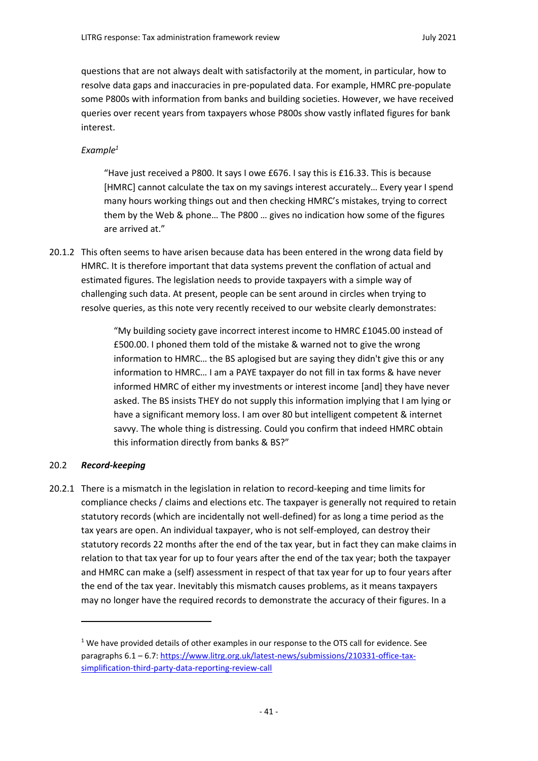questions that are not always dealt with satisfactorily at the moment, in particular, how to resolve data gaps and inaccuracies in pre-populated data. For example, HMRC pre-populate some P800s with information from banks and building societies. However, we have received queries over recent years from taxpayers whose P800s show vastly inflated figures for bank interest.

#### *Example<sup>1</sup>*

"Have just received a P800. It says I owe £676. I say this is £16.33. This is because [HMRC] cannot calculate the tax on my savings interest accurately… Every year I spend many hours working things out and then checking HMRC's mistakes, trying to correct them by the Web & phone… The P800 … gives no indication how some of the figures are arrived at."

20.1.2 This often seems to have arisen because data has been entered in the wrong data field by HMRC. It is therefore important that data systems prevent the conflation of actual and estimated figures. The legislation needs to provide taxpayers with a simple way of challenging such data. At present, people can be sent around in circles when trying to resolve queries, as this note very recently received to our website clearly demonstrates:

> "My building society gave incorrect interest income to HMRC £1045.00 instead of £500.00. I phoned them told of the mistake & warned not to give the wrong information to HMRC… the BS aplogised but are saying they didn't give this or any information to HMRC… I am a PAYE taxpayer do not fill in tax forms & have never informed HMRC of either my investments or interest income [and] they have never asked. The BS insists THEY do not supply this information implying that I am lying or have a significant memory loss. I am over 80 but intelligent competent & internet savvy. The whole thing is distressing. Could you confirm that indeed HMRC obtain this information directly from banks & BS?"

#### 20.2 *Record-keeping*

20.2.1 There is a mismatch in the legislation in relation to record-keeping and time limits for compliance checks / claims and elections etc. The taxpayer is generally not required to retain statutory records (which are incidentally not well-defined) for as long a time period as the tax years are open. An individual taxpayer, who is not self-employed, can destroy their statutory records 22 months after the end of the tax year, but in fact they can make claims in relation to that tax year for up to four years after the end of the tax year; both the taxpayer and HMRC can make a (self) assessment in respect of that tax year for up to four years after the end of the tax year. Inevitably this mismatch causes problems, as it means taxpayers may no longer have the required records to demonstrate the accuracy of their figures. In a

<sup>&</sup>lt;sup>1</sup> We have provided details of other examples in our response to the OTS call for evidence. See paragraphs 6.1 – 6.7[: https://www.litrg.org.uk/latest-news/submissions/210331-office-tax](https://www.litrg.org.uk/latest-news/submissions/210331-office-tax-simplification-third-party-data-reporting-review-call)[simplification-third-party-data-reporting-review-call](https://www.litrg.org.uk/latest-news/submissions/210331-office-tax-simplification-third-party-data-reporting-review-call)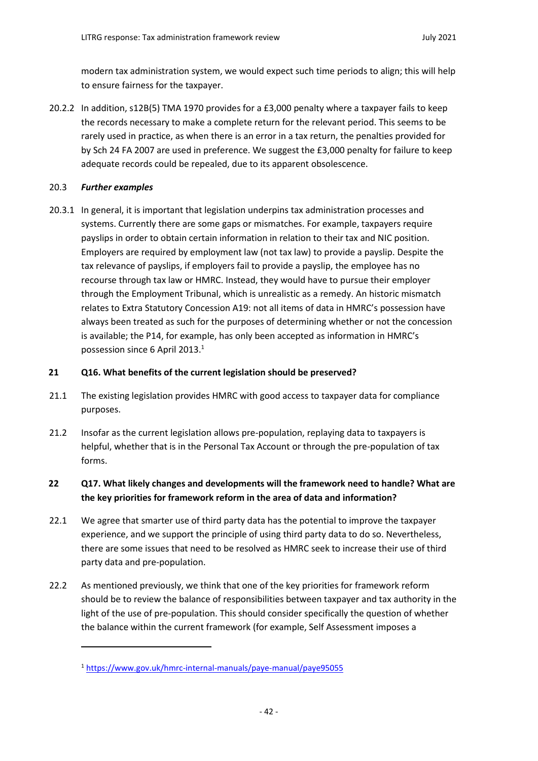modern tax administration system, we would expect such time periods to align; this will help to ensure fairness for the taxpayer.

20.2.2 In addition, s12B(5) TMA 1970 provides for a £3,000 penalty where a taxpayer fails to keep the records necessary to make a complete return for the relevant period. This seems to be rarely used in practice, as when there is an error in a tax return, the penalties provided for by Sch 24 FA 2007 are used in preference. We suggest the £3,000 penalty for failure to keep adequate records could be repealed, due to its apparent obsolescence.

#### 20.3 *Further examples*

20.3.1 In general, it is important that legislation underpins tax administration processes and systems. Currently there are some gaps or mismatches. For example, taxpayers require payslips in order to obtain certain information in relation to their tax and NIC position. Employers are required by employment law (not tax law) to provide a payslip. Despite the tax relevance of payslips, if employers fail to provide a payslip, the employee has no recourse through tax law or HMRC. Instead, they would have to pursue their employer through the Employment Tribunal, which is unrealistic as a remedy. An historic mismatch relates to Extra Statutory Concession A19: not all items of data in HMRC's possession have always been treated as such for the purposes of determining whether or not the concession is available; the P14, for example, has only been accepted as information in HMRC's possession since 6 April 2013.<sup>1</sup>

#### **21 Q16. What benefits of the current legislation should be preserved?**

- 21.1 The existing legislation provides HMRC with good access to taxpayer data for compliance purposes.
- 21.2 Insofar as the current legislation allows pre-population, replaying data to taxpayers is helpful, whether that is in the Personal Tax Account or through the pre-population of tax forms.

## **22 Q17. What likely changes and developments will the framework need to handle? What are the key priorities for framework reform in the area of data and information?**

- 22.1 We agree that smarter use of third party data has the potential to improve the taxpayer experience, and we support the principle of using third party data to do so. Nevertheless, there are some issues that need to be resolved as HMRC seek to increase their use of third party data and pre-population.
- 22.2 As mentioned previously, we think that one of the key priorities for framework reform should be to review the balance of responsibilities between taxpayer and tax authority in the light of the use of pre-population. This should consider specifically the question of whether the balance within the current framework (for example, Self Assessment imposes a

<sup>1</sup> <https://www.gov.uk/hmrc-internal-manuals/paye-manual/paye95055>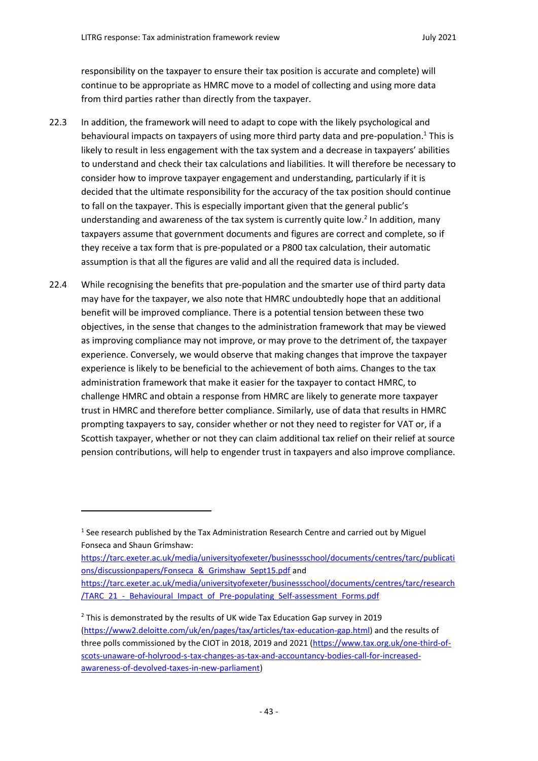responsibility on the taxpayer to ensure their tax position is accurate and complete) will continue to be appropriate as HMRC move to a model of collecting and using more data from third parties rather than directly from the taxpayer.

- 22.3 In addition, the framework will need to adapt to cope with the likely psychological and behavioural impacts on taxpayers of using more third party data and pre-population.<sup>1</sup> This is likely to result in less engagement with the tax system and a decrease in taxpayers' abilities to understand and check their tax calculations and liabilities. It will therefore be necessary to consider how to improve taxpayer engagement and understanding, particularly if it is decided that the ultimate responsibility for the accuracy of the tax position should continue to fall on the taxpayer. This is especially important given that the general public's understanding and awareness of the tax system is currently quite low.<sup>2</sup> In addition, many taxpayers assume that government documents and figures are correct and complete, so if they receive a tax form that is pre-populated or a P800 tax calculation, their automatic assumption is that all the figures are valid and all the required data is included.
- 22.4 While recognising the benefits that pre-population and the smarter use of third party data may have for the taxpayer, we also note that HMRC undoubtedly hope that an additional benefit will be improved compliance. There is a potential tension between these two objectives, in the sense that changes to the administration framework that may be viewed as improving compliance may not improve, or may prove to the detriment of, the taxpayer experience. Conversely, we would observe that making changes that improve the taxpayer experience is likely to be beneficial to the achievement of both aims. Changes to the tax administration framework that make it easier for the taxpayer to contact HMRC, to challenge HMRC and obtain a response from HMRC are likely to generate more taxpayer trust in HMRC and therefore better compliance. Similarly, use of data that results in HMRC prompting taxpayers to say, consider whether or not they need to register for VAT or, if a Scottish taxpayer, whether or not they can claim additional tax relief on their relief at source pension contributions, will help to engender trust in taxpayers and also improve compliance.

<sup>&</sup>lt;sup>1</sup> See research published by the Tax Administration Research Centre and carried out by Miguel Fonseca and Shaun Grimshaw:

[https://tarc.exeter.ac.uk/media/universityofexeter/businessschool/documents/centres/tarc/publicati](https://tarc.exeter.ac.uk/media/universityofexeter/businessschool/documents/centres/tarc/publications/discussionpapers/Fonseca_&_Grimshaw_Sept15.pdf) [ons/discussionpapers/Fonseca\\_&\\_Grimshaw\\_Sept15.pdf](https://tarc.exeter.ac.uk/media/universityofexeter/businessschool/documents/centres/tarc/publications/discussionpapers/Fonseca_&_Grimshaw_Sept15.pdf) and [https://tarc.exeter.ac.uk/media/universityofexeter/businessschool/documents/centres/tarc/research](https://tarc.exeter.ac.uk/media/universityofexeter/businessschool/documents/centres/tarc/research/TARC_21_-_Behavioural_Impact_of_Pre-populating_Self-assessment_Forms.pdf)

<sup>/</sup>TARC\_21 - Behavioural Impact of Pre-populating Self-assessment Forms.pdf

<sup>&</sup>lt;sup>2</sup> This is demonstrated by the results of UK wide Tax Education Gap survey in 2019 [\(https://www2.deloitte.com/uk/en/pages/tax/articles/tax-education-gap.html\)](https://www2.deloitte.com/uk/en/pages/tax/articles/tax-education-gap.html) and the results of three polls commissioned by the CIOT in 2018, 2019 and 2021 [\(https://www.tax.org.uk/one-third-of](https://www.tax.org.uk/one-third-of-scots-unaware-of-holyrood-s-tax-changes-as-tax-and-accountancy-bodies-call-for-increased-awareness-of-devolved-taxes-in-new-parliament)[scots-unaware-of-holyrood-s-tax-changes-as-tax-and-accountancy-bodies-call-for-increased](https://www.tax.org.uk/one-third-of-scots-unaware-of-holyrood-s-tax-changes-as-tax-and-accountancy-bodies-call-for-increased-awareness-of-devolved-taxes-in-new-parliament)[awareness-of-devolved-taxes-in-new-parliament\)](https://www.tax.org.uk/one-third-of-scots-unaware-of-holyrood-s-tax-changes-as-tax-and-accountancy-bodies-call-for-increased-awareness-of-devolved-taxes-in-new-parliament)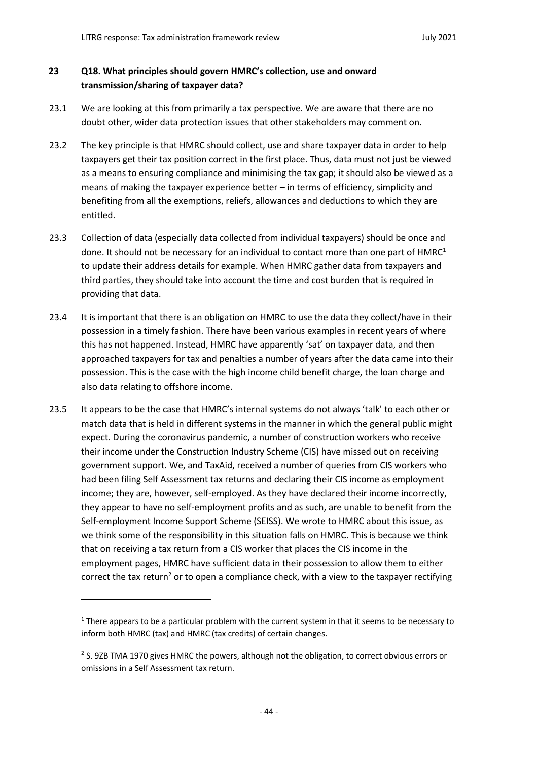## **23 Q18. What principles should govern HMRC's collection, use and onward transmission/sharing of taxpayer data?**

- 23.1 We are looking at this from primarily a tax perspective. We are aware that there are no doubt other, wider data protection issues that other stakeholders may comment on.
- 23.2 The key principle is that HMRC should collect, use and share taxpayer data in order to help taxpayers get their tax position correct in the first place. Thus, data must not just be viewed as a means to ensuring compliance and minimising the tax gap; it should also be viewed as a means of making the taxpayer experience better – in terms of efficiency, simplicity and benefiting from all the exemptions, reliefs, allowances and deductions to which they are entitled.
- 23.3 Collection of data (especially data collected from individual taxpayers) should be once and done. It should not be necessary for an individual to contact more than one part of HMRC<sup>1</sup> to update their address details for example. When HMRC gather data from taxpayers and third parties, they should take into account the time and cost burden that is required in providing that data.
- 23.4 It is important that there is an obligation on HMRC to use the data they collect/have in their possession in a timely fashion. There have been various examples in recent years of where this has not happened. Instead, HMRC have apparently 'sat' on taxpayer data, and then approached taxpayers for tax and penalties a number of years after the data came into their possession. This is the case with the high income child benefit charge, the loan charge and also data relating to offshore income.
- 23.5 It appears to be the case that HMRC's internal systems do not always 'talk' to each other or match data that is held in different systems in the manner in which the general public might expect. During the coronavirus pandemic, a number of construction workers who receive their income under the Construction Industry Scheme (CIS) have missed out on receiving government support. We, and TaxAid, received a number of queries from CIS workers who had been filing Self Assessment tax returns and declaring their CIS income as employment income; they are, however, self-employed. As they have declared their income incorrectly, they appear to have no self-employment profits and as such, are unable to benefit from the Self-employment Income Support Scheme (SEISS). We wrote to HMRC about this issue, as we think some of the responsibility in this situation falls on HMRC. This is because we think that on receiving a tax return from a CIS worker that places the CIS income in the employment pages, HMRC have sufficient data in their possession to allow them to either correct the tax return<sup>2</sup> or to open a compliance check, with a view to the taxpayer rectifying

 $1$  There appears to be a particular problem with the current system in that it seems to be necessary to inform both HMRC (tax) and HMRC (tax credits) of certain changes.

 $2$  S. 9ZB TMA 1970 gives HMRC the powers, although not the obligation, to correct obvious errors or omissions in a Self Assessment tax return.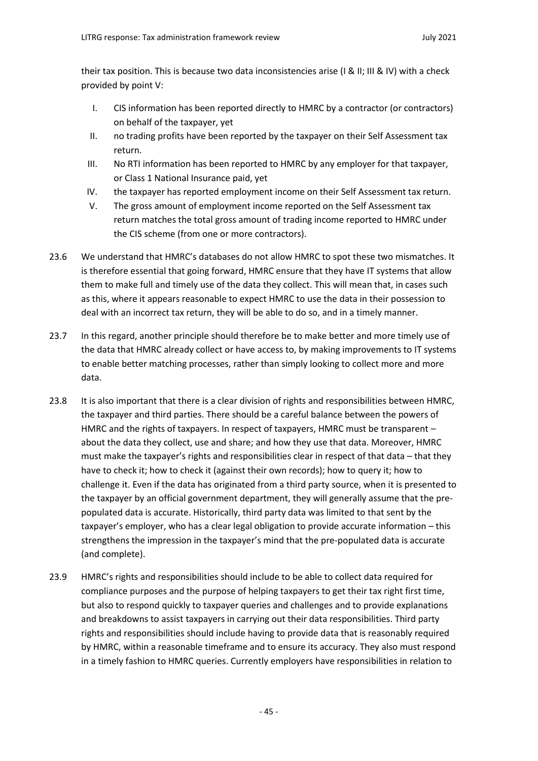their tax position. This is because two data inconsistencies arise (I & II; III & IV) with a check provided by point V:

- I. CIS information has been reported directly to HMRC by a contractor (or contractors) on behalf of the taxpayer, yet
- II. no trading profits have been reported by the taxpayer on their Self Assessment tax return.
- III. No RTI information has been reported to HMRC by any employer for that taxpayer, or Class 1 National Insurance paid, yet
- IV. the taxpayer has reported employment income on their Self Assessment tax return.
- V. The gross amount of employment income reported on the Self Assessment tax return matches the total gross amount of trading income reported to HMRC under the CIS scheme (from one or more contractors).
- 23.6 We understand that HMRC's databases do not allow HMRC to spot these two mismatches. It is therefore essential that going forward, HMRC ensure that they have IT systems that allow them to make full and timely use of the data they collect. This will mean that, in cases such as this, where it appears reasonable to expect HMRC to use the data in their possession to deal with an incorrect tax return, they will be able to do so, and in a timely manner.
- 23.7 In this regard, another principle should therefore be to make better and more timely use of the data that HMRC already collect or have access to, by making improvements to IT systems to enable better matching processes, rather than simply looking to collect more and more data.
- 23.8 It is also important that there is a clear division of rights and responsibilities between HMRC, the taxpayer and third parties. There should be a careful balance between the powers of HMRC and the rights of taxpayers. In respect of taxpayers, HMRC must be transparent – about the data they collect, use and share; and how they use that data. Moreover, HMRC must make the taxpayer's rights and responsibilities clear in respect of that data – that they have to check it; how to check it (against their own records); how to query it; how to challenge it. Even if the data has originated from a third party source, when it is presented to the taxpayer by an official government department, they will generally assume that the prepopulated data is accurate. Historically, third party data was limited to that sent by the taxpayer's employer, who has a clear legal obligation to provide accurate information – this strengthens the impression in the taxpayer's mind that the pre-populated data is accurate (and complete).
- 23.9 HMRC's rights and responsibilities should include to be able to collect data required for compliance purposes and the purpose of helping taxpayers to get their tax right first time, but also to respond quickly to taxpayer queries and challenges and to provide explanations and breakdowns to assist taxpayers in carrying out their data responsibilities. Third party rights and responsibilities should include having to provide data that is reasonably required by HMRC, within a reasonable timeframe and to ensure its accuracy. They also must respond in a timely fashion to HMRC queries. Currently employers have responsibilities in relation to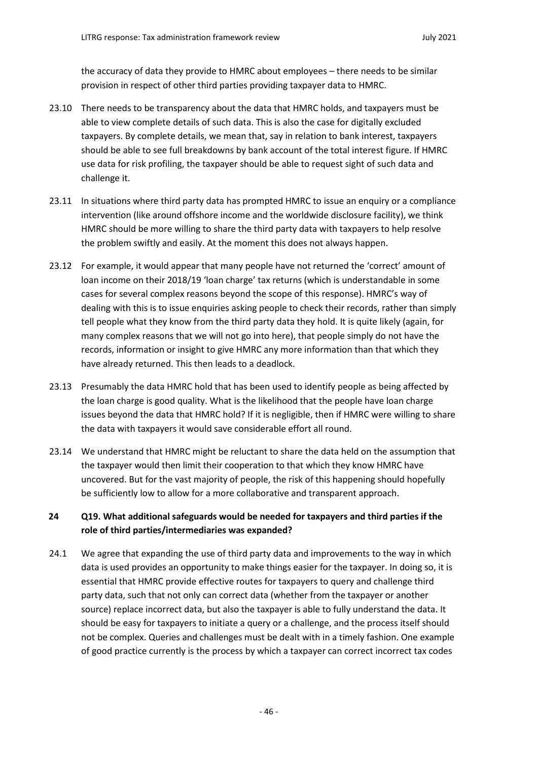the accuracy of data they provide to HMRC about employees – there needs to be similar provision in respect of other third parties providing taxpayer data to HMRC.

- 23.10 There needs to be transparency about the data that HMRC holds, and taxpayers must be able to view complete details of such data. This is also the case for digitally excluded taxpayers. By complete details, we mean that, say in relation to bank interest, taxpayers should be able to see full breakdowns by bank account of the total interest figure. If HMRC use data for risk profiling, the taxpayer should be able to request sight of such data and challenge it.
- 23.11 In situations where third party data has prompted HMRC to issue an enquiry or a compliance intervention (like around offshore income and the worldwide disclosure facility), we think HMRC should be more willing to share the third party data with taxpayers to help resolve the problem swiftly and easily. At the moment this does not always happen.
- 23.12 For example, it would appear that many people have not returned the 'correct' amount of loan income on their 2018/19 'loan charge' tax returns (which is understandable in some cases for several complex reasons beyond the scope of this response). HMRC's way of dealing with this is to issue enquiries asking people to check their records, rather than simply tell people what they know from the third party data they hold. It is quite likely (again, for many complex reasons that we will not go into here), that people simply do not have the records, information or insight to give HMRC any more information than that which they have already returned. This then leads to a deadlock.
- 23.13 Presumably the data HMRC hold that has been used to identify people as being affected by the loan charge is good quality. What is the likelihood that the people have loan charge issues beyond the data that HMRC hold? If it is negligible, then if HMRC were willing to share the data with taxpayers it would save considerable effort all round.
- 23.14 We understand that HMRC might be reluctant to share the data held on the assumption that the taxpayer would then limit their cooperation to that which they know HMRC have uncovered. But for the vast majority of people, the risk of this happening should hopefully be sufficiently low to allow for a more collaborative and transparent approach.

#### **24 Q19. What additional safeguards would be needed for taxpayers and third parties if the role of third parties/intermediaries was expanded?**

24.1 We agree that expanding the use of third party data and improvements to the way in which data is used provides an opportunity to make things easier for the taxpayer. In doing so, it is essential that HMRC provide effective routes for taxpayers to query and challenge third party data, such that not only can correct data (whether from the taxpayer or another source) replace incorrect data, but also the taxpayer is able to fully understand the data. It should be easy for taxpayers to initiate a query or a challenge, and the process itself should not be complex. Queries and challenges must be dealt with in a timely fashion. One example of good practice currently is the process by which a taxpayer can correct incorrect tax codes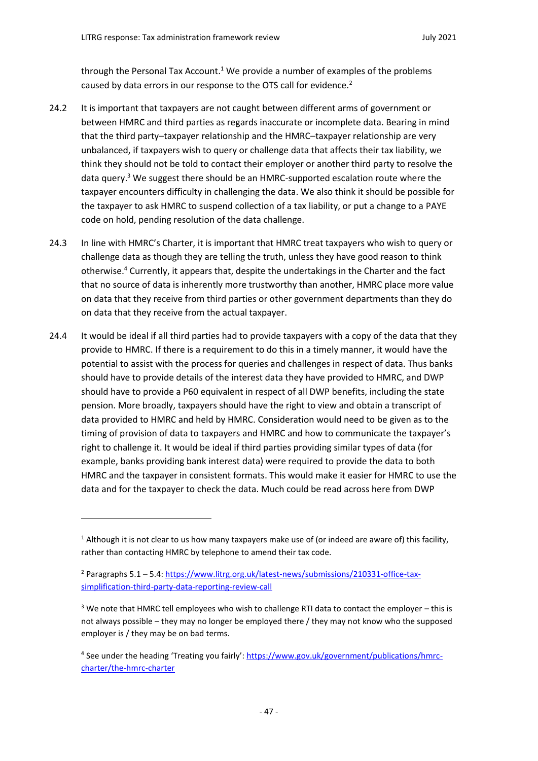through the Personal Tax Account.<sup>1</sup> We provide a number of examples of the problems caused by data errors in our response to the OTS call for evidence.<sup>2</sup>

- 24.2 It is important that taxpayers are not caught between different arms of government or between HMRC and third parties as regards inaccurate or incomplete data. Bearing in mind that the third party–taxpayer relationship and the HMRC–taxpayer relationship are very unbalanced, if taxpayers wish to query or challenge data that affects their tax liability, we think they should not be told to contact their employer or another third party to resolve the data query. $3$  We suggest there should be an HMRC-supported escalation route where the taxpayer encounters difficulty in challenging the data. We also think it should be possible for the taxpayer to ask HMRC to suspend collection of a tax liability, or put a change to a PAYE code on hold, pending resolution of the data challenge.
- 24.3 In line with HMRC's Charter, it is important that HMRC treat taxpayers who wish to query or challenge data as though they are telling the truth, unless they have good reason to think otherwise.<sup>4</sup> Currently, it appears that, despite the undertakings in the Charter and the fact that no source of data is inherently more trustworthy than another, HMRC place more value on data that they receive from third parties or other government departments than they do on data that they receive from the actual taxpayer.
- 24.4 It would be ideal if all third parties had to provide taxpayers with a copy of the data that they provide to HMRC. If there is a requirement to do this in a timely manner, it would have the potential to assist with the process for queries and challenges in respect of data. Thus banks should have to provide details of the interest data they have provided to HMRC, and DWP should have to provide a P60 equivalent in respect of all DWP benefits, including the state pension. More broadly, taxpayers should have the right to view and obtain a transcript of data provided to HMRC and held by HMRC. Consideration would need to be given as to the timing of provision of data to taxpayers and HMRC and how to communicate the taxpayer's right to challenge it. It would be ideal if third parties providing similar types of data (for example, banks providing bank interest data) were required to provide the data to both HMRC and the taxpayer in consistent formats. This would make it easier for HMRC to use the data and for the taxpayer to check the data. Much could be read across here from DWP

 $1$  Although it is not clear to us how many taxpayers make use of (or indeed are aware of) this facility, rather than contacting HMRC by telephone to amend their tax code.

 $2$  Paragraphs 5.1 – 5.4: [https://www.litrg.org.uk/latest-news/submissions/210331-office-tax](https://www.litrg.org.uk/latest-news/submissions/210331-office-tax-simplification-third-party-data-reporting-review-call)[simplification-third-party-data-reporting-review-call](https://www.litrg.org.uk/latest-news/submissions/210331-office-tax-simplification-third-party-data-reporting-review-call)

 $3$  We note that HMRC tell employees who wish to challenge RTI data to contact the employer – this is not always possible – they may no longer be employed there / they may not know who the supposed employer is / they may be on bad terms.

<sup>&</sup>lt;sup>4</sup> See under the heading 'Treating you fairly': [https://www.gov.uk/government/publications/hmrc](https://www.gov.uk/government/publications/hmrc-charter/the-hmrc-charter)[charter/the-hmrc-charter](https://www.gov.uk/government/publications/hmrc-charter/the-hmrc-charter)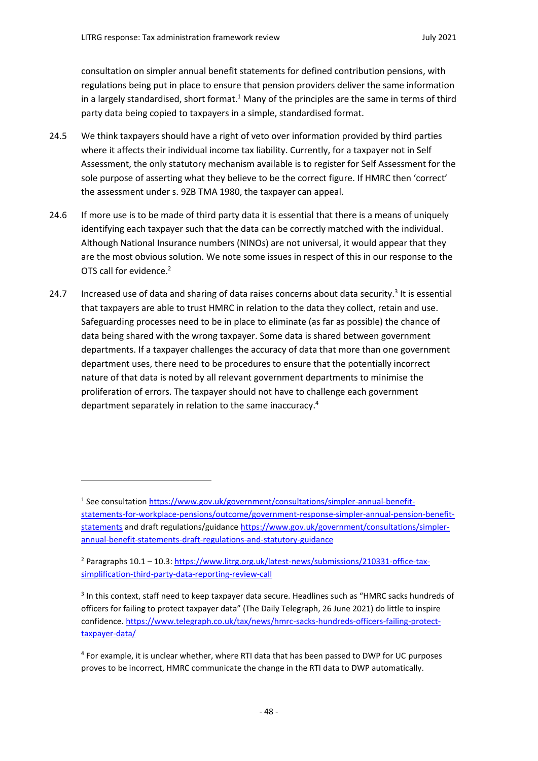consultation on simpler annual benefit statements for defined contribution pensions, with regulations being put in place to ensure that pension providers deliver the same information in a largely standardised, short format.<sup>1</sup> Many of the principles are the same in terms of third party data being copied to taxpayers in a simple, standardised format.

- 24.5 We think taxpayers should have a right of veto over information provided by third parties where it affects their individual income tax liability. Currently, for a taxpayer not in Self Assessment, the only statutory mechanism available is to register for Self Assessment for the sole purpose of asserting what they believe to be the correct figure. If HMRC then 'correct' the assessment under s. 9ZB TMA 1980, the taxpayer can appeal.
- 24.6 If more use is to be made of third party data it is essential that there is a means of uniquely identifying each taxpayer such that the data can be correctly matched with the individual. Although National Insurance numbers (NINOs) are not universal, it would appear that they are the most obvious solution. We note some issues in respect of this in our response to the OTS call for evidence.<sup>2</sup>
- 24.7 Increased use of data and sharing of data raises concerns about data security.<sup>3</sup> It is essential that taxpayers are able to trust HMRC in relation to the data they collect, retain and use. Safeguarding processes need to be in place to eliminate (as far as possible) the chance of data being shared with the wrong taxpayer. Some data is shared between government departments. If a taxpayer challenges the accuracy of data that more than one government department uses, there need to be procedures to ensure that the potentially incorrect nature of that data is noted by all relevant government departments to minimise the proliferation of errors. The taxpayer should not have to challenge each government department separately in relation to the same inaccuracy.<sup>4</sup>

<sup>&</sup>lt;sup>1</sup> See consultation [https://www.gov.uk/government/consultations/simpler-annual-benefit](https://www.gov.uk/government/consultations/simpler-annual-benefit-statements-for-workplace-pensions/outcome/government-response-simpler-annual-pension-benefit-statements)[statements-for-workplace-pensions/outcome/government-response-simpler-annual-pension-benefit](https://www.gov.uk/government/consultations/simpler-annual-benefit-statements-for-workplace-pensions/outcome/government-response-simpler-annual-pension-benefit-statements)[statements](https://www.gov.uk/government/consultations/simpler-annual-benefit-statements-for-workplace-pensions/outcome/government-response-simpler-annual-pension-benefit-statements) and draft regulations/guidance [https://www.gov.uk/government/consultations/simpler](https://www.gov.uk/government/consultations/simpler-annual-benefit-statements-draft-regulations-and-statutory-guidance)[annual-benefit-statements-draft-regulations-and-statutory-guidance](https://www.gov.uk/government/consultations/simpler-annual-benefit-statements-draft-regulations-and-statutory-guidance)

<sup>&</sup>lt;sup>2</sup> Paragraphs 10.1 – 10.3: [https://www.litrg.org.uk/latest-news/submissions/210331-office-tax](https://www.litrg.org.uk/latest-news/submissions/210331-office-tax-simplification-third-party-data-reporting-review-call)[simplification-third-party-data-reporting-review-call](https://www.litrg.org.uk/latest-news/submissions/210331-office-tax-simplification-third-party-data-reporting-review-call)

<sup>&</sup>lt;sup>3</sup> In this context, staff need to keep taxpayer data secure. Headlines such as "HMRC sacks hundreds of officers for failing to protect taxpayer data" (The Daily Telegraph, 26 June 2021) do little to inspire confidence[. https://www.telegraph.co.uk/tax/news/hmrc-sacks-hundreds-officers-failing-protect](https://www.telegraph.co.uk/tax/news/hmrc-sacks-hundreds-officers-failing-protect-taxpayer-data/)[taxpayer-data/](https://www.telegraph.co.uk/tax/news/hmrc-sacks-hundreds-officers-failing-protect-taxpayer-data/)

<sup>&</sup>lt;sup>4</sup> For example, it is unclear whether, where RTI data that has been passed to DWP for UC purposes proves to be incorrect, HMRC communicate the change in the RTI data to DWP automatically.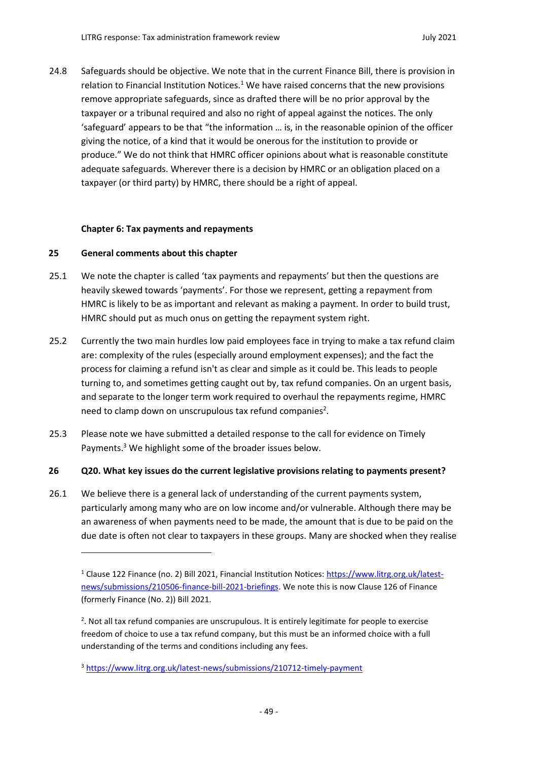24.8 Safeguards should be objective. We note that in the current Finance Bill, there is provision in relation to Financial Institution Notices.<sup>1</sup> We have raised concerns that the new provisions remove appropriate safeguards, since as drafted there will be no prior approval by the taxpayer or a tribunal required and also no right of appeal against the notices. The only 'safeguard' appears to be that "the information … is, in the reasonable opinion of the officer giving the notice, of a kind that it would be onerous for the institution to provide or produce." We do not think that HMRC officer opinions about what is reasonable constitute adequate safeguards. Wherever there is a decision by HMRC or an obligation placed on a taxpayer (or third party) by HMRC, there should be a right of appeal.

#### **Chapter 6: Tax payments and repayments**

#### **25 General comments about this chapter**

- 25.1 We note the chapter is called 'tax payments and repayments' but then the questions are heavily skewed towards 'payments'. For those we represent, getting a repayment from HMRC is likely to be as important and relevant as making a payment. In order to build trust, HMRC should put as much onus on getting the repayment system right.
- 25.2 Currently the two main hurdles low paid employees face in trying to make a tax refund claim are: complexity of the rules (especially around employment expenses); and the fact the process for claiming a refund isn't as clear and simple as it could be. This leads to people turning to, and sometimes getting caught out by, tax refund companies. On an urgent basis, and separate to the longer term work required to overhaul the repayments regime, HMRC need to clamp down on unscrupulous tax refund companies<sup>2</sup>.
- 25.3 Please note we have submitted a detailed response to the call for evidence on Timely Payments.<sup>3</sup> We highlight some of the broader issues below.

#### **26 Q20. What key issues do the current legislative provisions relating to payments present?**

26.1 We believe there is a general lack of understanding of the current payments system, particularly among many who are on low income and/or vulnerable. Although there may be an awareness of when payments need to be made, the amount that is due to be paid on the due date is often not clear to taxpayers in these groups. Many are shocked when they realise

<sup>1</sup> Clause 122 Finance (no. 2) Bill 2021, Financial Institution Notices[: https://www.litrg.org.uk/latest](https://www.litrg.org.uk/latest-news/submissions/210506-finance-bill-2021-briefings)[news/submissions/210506-finance-bill-2021-briefings.](https://www.litrg.org.uk/latest-news/submissions/210506-finance-bill-2021-briefings) We note this is now Clause 126 of Finance (formerly Finance (No. 2)) Bill 2021.

<sup>2</sup> . Not all tax refund companies are unscrupulous. It is entirely legitimate for people to exercise freedom of choice to use a tax refund company, but this must be an informed choice with a full understanding of the terms and conditions including any fees.

<sup>3</sup> <https://www.litrg.org.uk/latest-news/submissions/210712-timely-payment>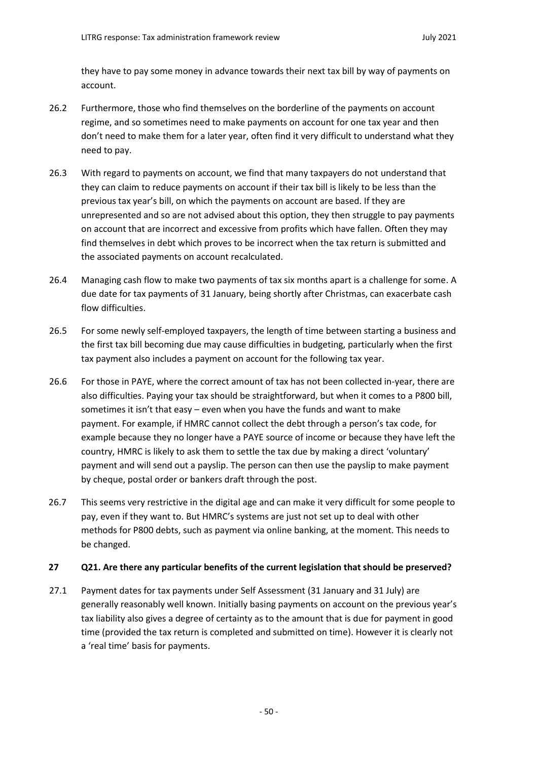they have to pay some money in advance towards their next tax bill by way of payments on account.

- 26.2 Furthermore, those who find themselves on the borderline of the payments on account regime, and so sometimes need to make payments on account for one tax year and then don't need to make them for a later year, often find it very difficult to understand what they need to pay.
- 26.3 With regard to payments on account, we find that many taxpayers do not understand that they can claim to reduce payments on account if their tax bill is likely to be less than the previous tax year's bill, on which the payments on account are based. If they are unrepresented and so are not advised about this option, they then struggle to pay payments on account that are incorrect and excessive from profits which have fallen. Often they may find themselves in debt which proves to be incorrect when the tax return is submitted and the associated payments on account recalculated.
- 26.4 Managing cash flow to make two payments of tax six months apart is a challenge for some. A due date for tax payments of 31 January, being shortly after Christmas, can exacerbate cash flow difficulties.
- 26.5 For some newly self-employed taxpayers, the length of time between starting a business and the first tax bill becoming due may cause difficulties in budgeting, particularly when the first tax payment also includes a payment on account for the following tax year.
- 26.6 For those in PAYE, where the correct amount of tax has not been collected in-year, there are also difficulties. Paying your tax should be straightforward, but when it comes to a P800 bill, sometimes it isn't that easy – even when you have the funds and want to make payment. For example, if HMRC cannot collect the debt through a person's tax code, for example because they no longer have a PAYE source of income or because they have left the country, HMRC is likely to ask them to settle the tax due by making a direct 'voluntary' payment and will send out a payslip. The person can then use the payslip to make payment by cheque, postal order or bankers draft through the post.
- 26.7 This seems very restrictive in the digital age and can make it very difficult for some people to pay, even if they want to. But HMRC's systems are just not set up to deal with other methods for P800 debts, such as payment via online banking, at the moment. This needs to be changed.

#### **27 Q21. Are there any particular benefits of the current legislation that should be preserved?**

27.1 Payment dates for tax payments under Self Assessment (31 January and 31 July) are generally reasonably well known. Initially basing payments on account on the previous year's tax liability also gives a degree of certainty as to the amount that is due for payment in good time (provided the tax return is completed and submitted on time). However it is clearly not a 'real time' basis for payments.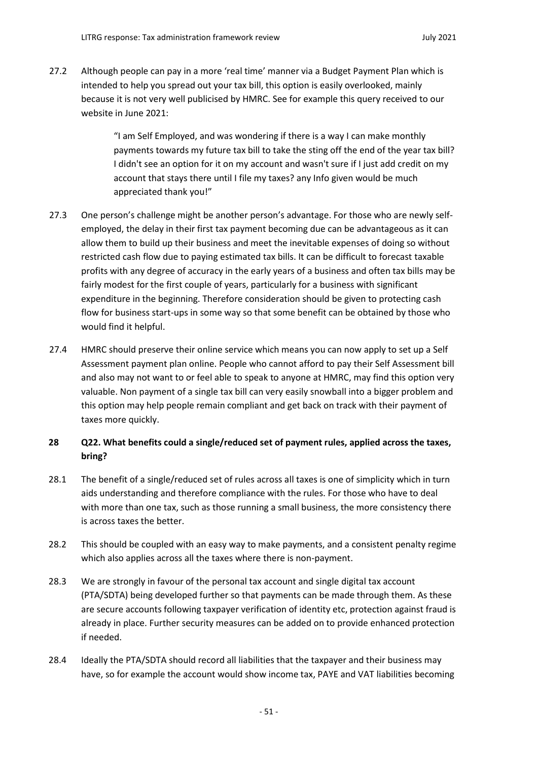27.2 Although people can pay in a more 'real time' manner via a Budget Payment Plan which is intended to help you spread out your tax bill, this option is easily overlooked, mainly because it is not very well publicised by HMRC. See for example this query received to our website in June 2021:

> "I am Self Employed, and was wondering if there is a way I can make monthly payments towards my future tax bill to take the sting off the end of the year tax bill? I didn't see an option for it on my account and wasn't sure if I just add credit on my account that stays there until I file my taxes? any Info given would be much appreciated thank you!"

- 27.3 One person's challenge might be another person's advantage. For those who are newly selfemployed, the delay in their first tax payment becoming due can be advantageous as it can allow them to build up their business and meet the inevitable expenses of doing so without restricted cash flow due to paying estimated tax bills. It can be difficult to forecast taxable profits with any degree of accuracy in the early years of a business and often tax bills may be fairly modest for the first couple of years, particularly for a business with significant expenditure in the beginning. Therefore consideration should be given to protecting cash flow for business start-ups in some way so that some benefit can be obtained by those who would find it helpful.
- 27.4 HMRC should preserve their online service which means you can now apply to set up a Self Assessment payment plan online. People who cannot afford to pay their Self Assessment bill and also may not want to or feel able to speak to anyone at HMRC, may find this option very valuable. Non payment of a single tax bill can very easily snowball into a bigger problem and this option may help people remain compliant and get back on track with their payment of taxes more quickly.

### **28 Q22. What benefits could a single/reduced set of payment rules, applied across the taxes, bring?**

- 28.1 The benefit of a single/reduced set of rules across all taxes is one of simplicity which in turn aids understanding and therefore compliance with the rules. For those who have to deal with more than one tax, such as those running a small business, the more consistency there is across taxes the better.
- 28.2 This should be coupled with an easy way to make payments, and a consistent penalty regime which also applies across all the taxes where there is non-payment.
- 28.3 We are strongly in favour of the personal tax account and single digital tax account (PTA/SDTA) being developed further so that payments can be made through them. As these are secure accounts following taxpayer verification of identity etc, protection against fraud is already in place. Further security measures can be added on to provide enhanced protection if needed.
- 28.4 Ideally the PTA/SDTA should record all liabilities that the taxpayer and their business may have, so for example the account would show income tax, PAYE and VAT liabilities becoming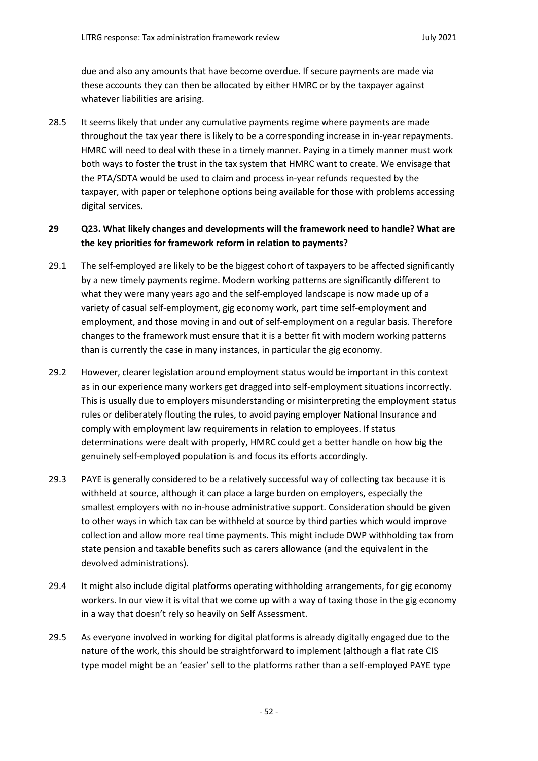due and also any amounts that have become overdue. If secure payments are made via these accounts they can then be allocated by either HMRC or by the taxpayer against whatever liabilities are arising.

28.5 It seems likely that under any cumulative payments regime where payments are made throughout the tax year there is likely to be a corresponding increase in in-year repayments. HMRC will need to deal with these in a timely manner. Paying in a timely manner must work both ways to foster the trust in the tax system that HMRC want to create. We envisage that the PTA/SDTA would be used to claim and process in-year refunds requested by the taxpayer, with paper or telephone options being available for those with problems accessing digital services.

#### **29 Q23. What likely changes and developments will the framework need to handle? What are the key priorities for framework reform in relation to payments?**

- 29.1 The self-employed are likely to be the biggest cohort of taxpayers to be affected significantly by a new timely payments regime. Modern working patterns are significantly different to what they were many years ago and the self-employed landscape is now made up of a variety of casual self-employment, gig economy work, part time self-employment and employment, and those moving in and out of self-employment on a regular basis. Therefore changes to the framework must ensure that it is a better fit with modern working patterns than is currently the case in many instances, in particular the gig economy.
- 29.2 However, clearer legislation around employment status would be important in this context as in our experience many workers get dragged into self-employment situations incorrectly. This is usually due to employers misunderstanding or misinterpreting the employment status rules or deliberately flouting the rules, to avoid paying employer National Insurance and comply with employment law requirements in relation to employees. If status determinations were dealt with properly, HMRC could get a better handle on how big the genuinely self-employed population is and focus its efforts accordingly.
- 29.3 PAYE is generally considered to be a relatively successful way of collecting tax because it is withheld at source, although it can place a large burden on employers, especially the smallest employers with no in-house administrative support. Consideration should be given to other ways in which tax can be withheld at source by third parties which would improve collection and allow more real time payments. This might include DWP withholding tax from state pension and taxable benefits such as carers allowance (and the equivalent in the devolved administrations).
- 29.4 It might also include digital platforms operating withholding arrangements, for gig economy workers. In our view it is vital that we come up with a way of taxing those in the gig economy in a way that doesn't rely so heavily on Self Assessment.
- 29.5 As everyone involved in working for digital platforms is already digitally engaged due to the nature of the work, this should be straightforward to implement (although a flat rate CIS type model might be an 'easier' sell to the platforms rather than a self-employed PAYE type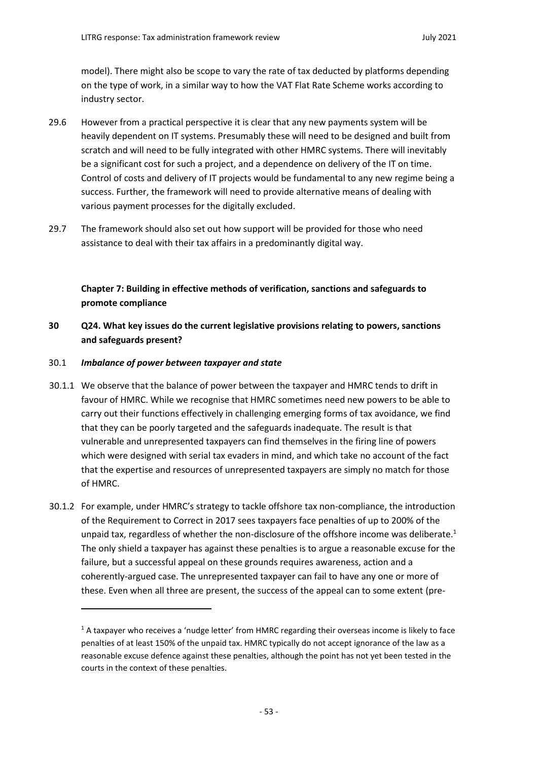model). There might also be scope to vary the rate of tax deducted by platforms depending on the type of work, in a similar way to how the VAT Flat Rate Scheme works according to industry sector.

- 29.6 However from a practical perspective it is clear that any new payments system will be heavily dependent on IT systems. Presumably these will need to be designed and built from scratch and will need to be fully integrated with other HMRC systems. There will inevitably be a significant cost for such a project, and a dependence on delivery of the IT on time. Control of costs and delivery of IT projects would be fundamental to any new regime being a success. Further, the framework will need to provide alternative means of dealing with various payment processes for the digitally excluded.
- 29.7 The framework should also set out how support will be provided for those who need assistance to deal with their tax affairs in a predominantly digital way.

**Chapter 7: Building in effective methods of verification, sanctions and safeguards to promote compliance** 

**30 Q24. What key issues do the current legislative provisions relating to powers, sanctions and safeguards present?** 

#### 30.1 *Imbalance of power between taxpayer and state*

- 30.1.1 We observe that the balance of power between the taxpayer and HMRC tends to drift in favour of HMRC. While we recognise that HMRC sometimes need new powers to be able to carry out their functions effectively in challenging emerging forms of tax avoidance, we find that they can be poorly targeted and the safeguards inadequate. The result is that vulnerable and unrepresented taxpayers can find themselves in the firing line of powers which were designed with serial tax evaders in mind, and which take no account of the fact that the expertise and resources of unrepresented taxpayers are simply no match for those of HMRC.
- 30.1.2 For example, under HMRC's strategy to tackle offshore tax non-compliance, the introduction of the Requirement to Correct in 2017 sees taxpayers face penalties of up to 200% of the unpaid tax, regardless of whether the non-disclosure of the offshore income was deliberate.<sup>1</sup> The only shield a taxpayer has against these penalties is to argue a reasonable excuse for the failure, but a successful appeal on these grounds requires awareness, action and a coherently-argued case. The unrepresented taxpayer can fail to have any one or more of these. Even when all three are present, the success of the appeal can to some extent (pre-

 $1$  A taxpayer who receives a 'nudge letter' from HMRC regarding their overseas income is likely to face penalties of at least 150% of the unpaid tax. HMRC typically do not accept ignorance of the law as a reasonable excuse defence against these penalties, although the point has not yet been tested in the courts in the context of these penalties.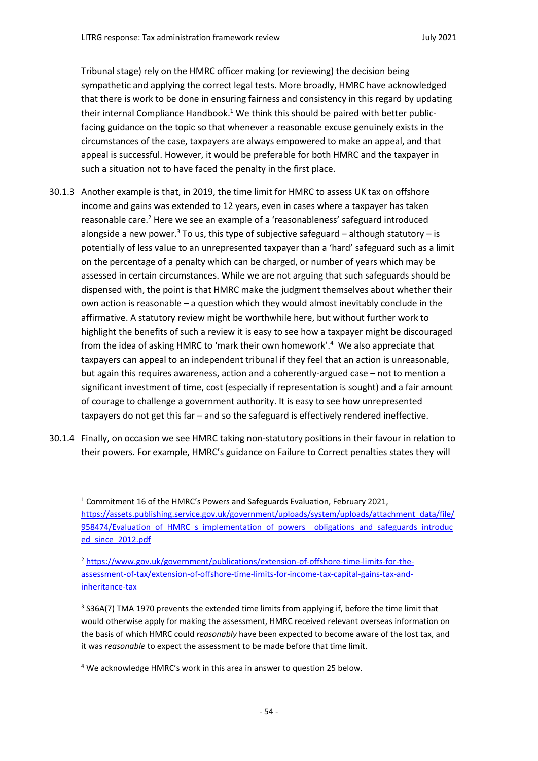Tribunal stage) rely on the HMRC officer making (or reviewing) the decision being sympathetic and applying the correct legal tests. More broadly, HMRC have acknowledged that there is work to be done in ensuring fairness and consistency in this regard by updating their internal Compliance Handbook.<sup>1</sup> We think this should be paired with better publicfacing guidance on the topic so that whenever a reasonable excuse genuinely exists in the circumstances of the case, taxpayers are always empowered to make an appeal, and that appeal is successful. However, it would be preferable for both HMRC and the taxpayer in such a situation not to have faced the penalty in the first place.

- 30.1.3 Another example is that, in 2019, the time limit for HMRC to assess UK tax on offshore income and gains was extended to 12 years, even in cases where a taxpayer has taken reasonable care.<sup>2</sup> Here we see an example of a 'reasonableness' safeguard introduced alongside a new power.<sup>3</sup> To us, this type of subjective safeguard – although statutory – is potentially of less value to an unrepresented taxpayer than a 'hard' safeguard such as a limit on the percentage of a penalty which can be charged, or number of years which may be assessed in certain circumstances. While we are not arguing that such safeguards should be dispensed with, the point is that HMRC make the judgment themselves about whether their own action is reasonable – a question which they would almost inevitably conclude in the affirmative. A statutory review might be worthwhile here, but without further work to highlight the benefits of such a review it is easy to see how a taxpayer might be discouraged from the idea of asking HMRC to 'mark their own homework'.<sup>4</sup> We also appreciate that taxpayers can appeal to an independent tribunal if they feel that an action is unreasonable, but again this requires awareness, action and a coherently-argued case – not to mention a significant investment of time, cost (especially if representation is sought) and a fair amount of courage to challenge a government authority. It is easy to see how unrepresented taxpayers do not get this far – and so the safeguard is effectively rendered ineffective.
- 30.1.4 Finally, on occasion we see HMRC taking non-statutory positions in their favour in relation to their powers. For example, HMRC's guidance on Failure to Correct penalties states they will

<sup>&</sup>lt;sup>1</sup> Commitment 16 of the HMRC's Powers and Safeguards Evaluation, February 2021, [https://assets.publishing.service.gov.uk/government/uploads/system/uploads/attachment\\_data/file/](https://assets.publishing.service.gov.uk/government/uploads/system/uploads/attachment_data/file/958474/Evaluation_of_HMRC_s_implementation_of_powers__obligations_and_safeguards_introduced_since_2012.pdf) [958474/Evaluation\\_of\\_HMRC\\_s\\_implementation\\_of\\_powers\\_\\_obligations\\_and\\_safeguards\\_introduc](https://assets.publishing.service.gov.uk/government/uploads/system/uploads/attachment_data/file/958474/Evaluation_of_HMRC_s_implementation_of_powers__obligations_and_safeguards_introduced_since_2012.pdf) [ed\\_since\\_2012.pdf](https://assets.publishing.service.gov.uk/government/uploads/system/uploads/attachment_data/file/958474/Evaluation_of_HMRC_s_implementation_of_powers__obligations_and_safeguards_introduced_since_2012.pdf)

<sup>2</sup> [https://www.gov.uk/government/publications/extension-of-offshore-time-limits-for-the](https://www.gov.uk/government/publications/extension-of-offshore-time-limits-for-the-assessment-of-tax/extension-of-offshore-time-limits-for-income-tax-capital-gains-tax-and-inheritance-tax)[assessment-of-tax/extension-of-offshore-time-limits-for-income-tax-capital-gains-tax-and](https://www.gov.uk/government/publications/extension-of-offshore-time-limits-for-the-assessment-of-tax/extension-of-offshore-time-limits-for-income-tax-capital-gains-tax-and-inheritance-tax)[inheritance-tax](https://www.gov.uk/government/publications/extension-of-offshore-time-limits-for-the-assessment-of-tax/extension-of-offshore-time-limits-for-income-tax-capital-gains-tax-and-inheritance-tax)

<sup>&</sup>lt;sup>3</sup> S36A(7) TMA 1970 prevents the extended time limits from applying if, before the time limit that would otherwise apply for making the assessment, HMRC received relevant overseas information on the basis of which HMRC could *reasonably* have been expected to become aware of the lost tax, and it was *reasonable* to expect the assessment to be made before that time limit.

<sup>4</sup> We acknowledge HMRC's work in this area in answer to question 25 below.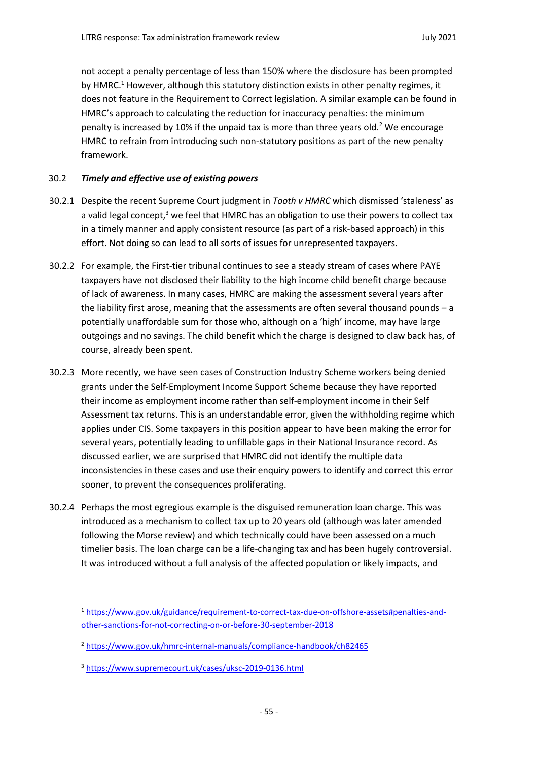not accept a penalty percentage of less than 150% where the disclosure has been prompted by HMRC.<sup>1</sup> However, although this statutory distinction exists in other penalty regimes, it does not feature in the Requirement to Correct legislation. A similar example can be found in HMRC's approach to calculating the reduction for inaccuracy penalties: the minimum penalty is increased by 10% if the unpaid tax is more than three years old.<sup>2</sup> We encourage HMRC to refrain from introducing such non-statutory positions as part of the new penalty framework.

#### 30.2 *Timely and effective use of existing powers*

- 30.2.1 Despite the recent Supreme Court judgment in *Tooth v HMRC* which dismissed 'staleness' as a valid legal concept, $3$  we feel that HMRC has an obligation to use their powers to collect tax in a timely manner and apply consistent resource (as part of a risk-based approach) in this effort. Not doing so can lead to all sorts of issues for unrepresented taxpayers.
- 30.2.2 For example, the First-tier tribunal continues to see a steady stream of cases where PAYE taxpayers have not disclosed their liability to the high income child benefit charge because of lack of awareness. In many cases, HMRC are making the assessment several years after the liability first arose, meaning that the assessments are often several thousand pounds – a potentially unaffordable sum for those who, although on a 'high' income, may have large outgoings and no savings. The child benefit which the charge is designed to claw back has, of course, already been spent.
- 30.2.3 More recently, we have seen cases of Construction Industry Scheme workers being denied grants under the Self-Employment Income Support Scheme because they have reported their income as employment income rather than self-employment income in their Self Assessment tax returns. This is an understandable error, given the withholding regime which applies under CIS. Some taxpayers in this position appear to have been making the error for several years, potentially leading to unfillable gaps in their National Insurance record. As discussed earlier, we are surprised that HMRC did not identify the multiple data inconsistencies in these cases and use their enquiry powers to identify and correct this error sooner, to prevent the consequences proliferating.
- 30.2.4 Perhaps the most egregious example is the disguised remuneration loan charge. This was introduced as a mechanism to collect tax up to 20 years old (although was later amended following the Morse review) and which technically could have been assessed on a much timelier basis. The loan charge can be a life-changing tax and has been hugely controversial. It was introduced without a full analysis of the affected population or likely impacts, and

<sup>1</sup> [https://www.gov.uk/guidance/requirement-to-correct-tax-due-on-offshore-assets#penalties-and](https://www.gov.uk/guidance/requirement-to-correct-tax-due-on-offshore-assets#penalties-and-other-sanctions-for-not-correcting-on-or-before-30-september-2018)[other-sanctions-for-not-correcting-on-or-before-30-september-2018](https://www.gov.uk/guidance/requirement-to-correct-tax-due-on-offshore-assets#penalties-and-other-sanctions-for-not-correcting-on-or-before-30-september-2018)

<sup>2</sup> <https://www.gov.uk/hmrc-internal-manuals/compliance-handbook/ch82465>

<sup>3</sup> <https://www.supremecourt.uk/cases/uksc-2019-0136.html>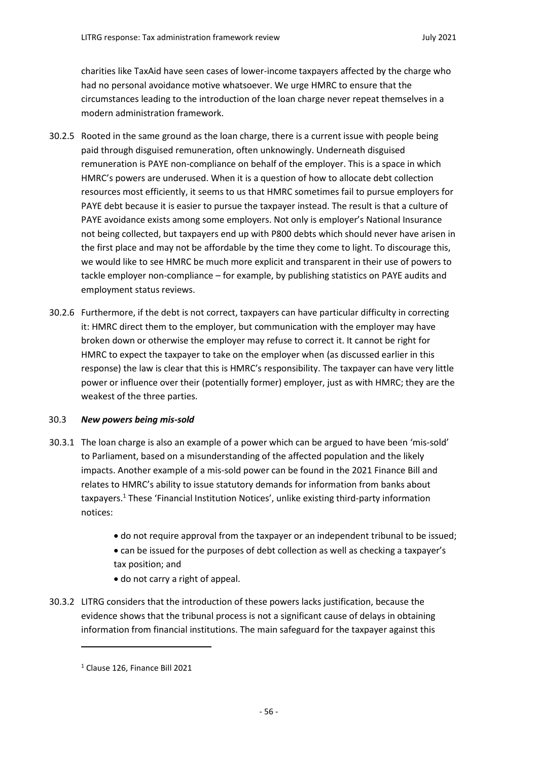charities like TaxAid have seen cases of lower-income taxpayers affected by the charge who had no personal avoidance motive whatsoever. We urge HMRC to ensure that the circumstances leading to the introduction of the loan charge never repeat themselves in a modern administration framework.

- 30.2.5 Rooted in the same ground as the loan charge, there is a current issue with people being paid through disguised remuneration, often unknowingly. Underneath disguised remuneration is PAYE non-compliance on behalf of the employer. This is a space in which HMRC's powers are underused. When it is a question of how to allocate debt collection resources most efficiently, it seems to us that HMRC sometimes fail to pursue employers for PAYE debt because it is easier to pursue the taxpayer instead. The result is that a culture of PAYE avoidance exists among some employers. Not only is employer's National Insurance not being collected, but taxpayers end up with P800 debts which should never have arisen in the first place and may not be affordable by the time they come to light. To discourage this, we would like to see HMRC be much more explicit and transparent in their use of powers to tackle employer non-compliance – for example, by publishing statistics on PAYE audits and employment status reviews.
- 30.2.6 Furthermore, if the debt is not correct, taxpayers can have particular difficulty in correcting it: HMRC direct them to the employer, but communication with the employer may have broken down or otherwise the employer may refuse to correct it. It cannot be right for HMRC to expect the taxpayer to take on the employer when (as discussed earlier in this response) the law is clear that this is HMRC's responsibility. The taxpayer can have very little power or influence over their (potentially former) employer, just as with HMRC; they are the weakest of the three parties.

#### 30.3 *New powers being mis-sold*

- 30.3.1 The loan charge is also an example of a power which can be argued to have been 'mis-sold' to Parliament, based on a misunderstanding of the affected population and the likely impacts. Another example of a mis-sold power can be found in the 2021 Finance Bill and relates to HMRC's ability to issue statutory demands for information from banks about taxpayers.<sup>1</sup> These 'Financial Institution Notices', unlike existing third-party information notices:
	- do not require approval from the taxpayer or an independent tribunal to be issued;
	- can be issued for the purposes of debt collection as well as checking a taxpayer's tax position; and
	- do not carry a right of appeal.
- 30.3.2 LITRG considers that the introduction of these powers lacks justification, because the evidence shows that the tribunal process is not a significant cause of delays in obtaining information from financial institutions. The main safeguard for the taxpayer against this

<sup>1</sup> Clause 126, Finance Bill 2021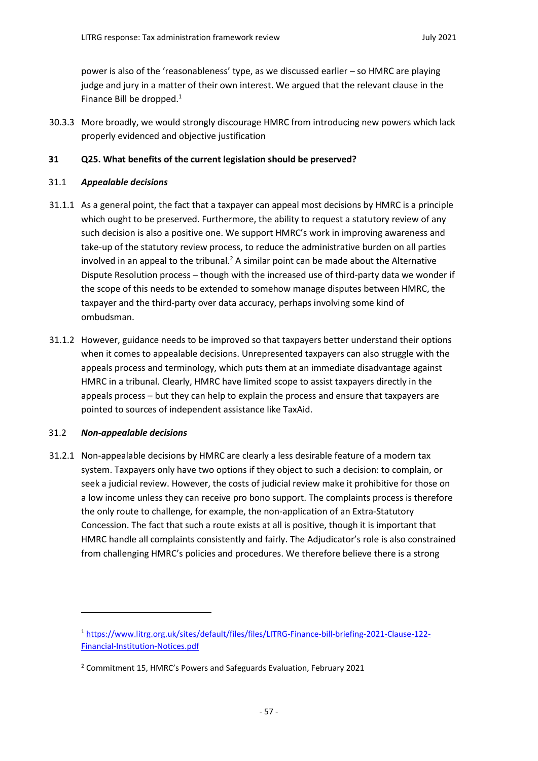power is also of the 'reasonableness' type, as we discussed earlier – so HMRC are playing judge and jury in a matter of their own interest. We argued that the relevant clause in the Finance Bill be dropped.<sup>1</sup>

30.3.3 More broadly, we would strongly discourage HMRC from introducing new powers which lack properly evidenced and objective justification

#### **31 Q25. What benefits of the current legislation should be preserved?**

#### 31.1 *Appealable decisions*

- 31.1.1 As a general point, the fact that a taxpayer can appeal most decisions by HMRC is a principle which ought to be preserved. Furthermore, the ability to request a statutory review of any such decision is also a positive one. We support HMRC's work in improving awareness and take-up of the statutory review process, to reduce the administrative burden on all parties involved in an appeal to the tribunal.<sup>2</sup> A similar point can be made about the Alternative Dispute Resolution process – though with the increased use of third-party data we wonder if the scope of this needs to be extended to somehow manage disputes between HMRC, the taxpayer and the third-party over data accuracy, perhaps involving some kind of ombudsman.
- 31.1.2 However, guidance needs to be improved so that taxpayers better understand their options when it comes to appealable decisions. Unrepresented taxpayers can also struggle with the appeals process and terminology, which puts them at an immediate disadvantage against HMRC in a tribunal. Clearly, HMRC have limited scope to assist taxpayers directly in the appeals process – but they can help to explain the process and ensure that taxpayers are pointed to sources of independent assistance like TaxAid.

#### 31.2 *Non-appealable decisions*

31.2.1 Non-appealable decisions by HMRC are clearly a less desirable feature of a modern tax system. Taxpayers only have two options if they object to such a decision: to complain, or seek a judicial review. However, the costs of judicial review make it prohibitive for those on a low income unless they can receive pro bono support. The complaints process is therefore the only route to challenge, for example, the non-application of an Extra-Statutory Concession. The fact that such a route exists at all is positive, though it is important that HMRC handle all complaints consistently and fairly. The Adjudicator's role is also constrained from challenging HMRC's policies and procedures. We therefore believe there is a strong

<sup>1</sup> [https://www.litrg.org.uk/sites/default/files/files/LITRG-Finance-bill-briefing-2021-Clause-122-](https://www.litrg.org.uk/sites/default/files/files/LITRG-Finance-bill-briefing-2021-Clause-122-Financial-Institution-Notices.pdf) [Financial-Institution-Notices.pdf](https://www.litrg.org.uk/sites/default/files/files/LITRG-Finance-bill-briefing-2021-Clause-122-Financial-Institution-Notices.pdf)

<sup>2</sup> Commitment 15, HMRC's Powers and Safeguards Evaluation, February 2021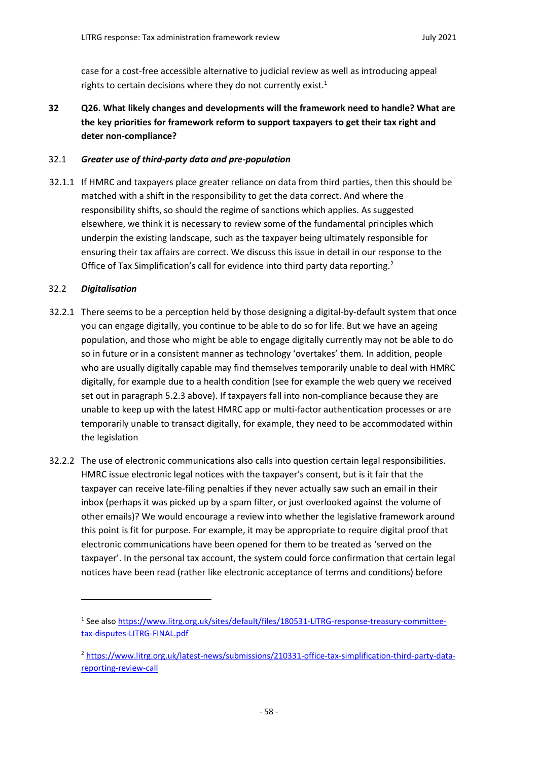case for a cost-free accessible alternative to judicial review as well as introducing appeal rights to certain decisions where they do not currently exist. $1$ 

**32 Q26. What likely changes and developments will the framework need to handle? What are the key priorities for framework reform to support taxpayers to get their tax right and deter non-compliance?** 

#### 32.1 *Greater use of third-party data and pre-population*

32.1.1 If HMRC and taxpayers place greater reliance on data from third parties, then this should be matched with a shift in the responsibility to get the data correct. And where the responsibility shifts, so should the regime of sanctions which applies. As suggested elsewhere, we think it is necessary to review some of the fundamental principles which underpin the existing landscape, such as the taxpayer being ultimately responsible for ensuring their tax affairs are correct. We discuss this issue in detail in our response to the Office of Tax Simplification's call for evidence into third party data reporting.<sup>2</sup>

#### 32.2 *Digitalisation*

- 32.2.1 There seems to be a perception held by those designing a digital-by-default system that once you can engage digitally, you continue to be able to do so for life. But we have an ageing population, and those who might be able to engage digitally currently may not be able to do so in future or in a consistent manner as technology 'overtakes' them. In addition, people who are usually digitally capable may find themselves temporarily unable to deal with HMRC digitally, for example due to a health condition (see for example the web query we received set out in paragraph 5.2.3 above). If taxpayers fall into non-compliance because they are unable to keep up with the latest HMRC app or multi-factor authentication processes or are temporarily unable to transact digitally, for example, they need to be accommodated within the legislation
- 32.2.2 The use of electronic communications also calls into question certain legal responsibilities. HMRC issue electronic legal notices with the taxpayer's consent, but is it fair that the taxpayer can receive late-filing penalties if they never actually saw such an email in their inbox (perhaps it was picked up by a spam filter, or just overlooked against the volume of other emails)? We would encourage a review into whether the legislative framework around this point is fit for purpose. For example, it may be appropriate to require digital proof that electronic communications have been opened for them to be treated as 'served on the taxpayer'. In the personal tax account, the system could force confirmation that certain legal notices have been read (rather like electronic acceptance of terms and conditions) before

<sup>&</sup>lt;sup>1</sup> See als[o https://www.litrg.org.uk/sites/default/files/180531-LITRG-response-treasury-committee](https://www.litrg.org.uk/sites/default/files/180531-LITRG-response-treasury-committee-tax-disputes-LITRG-FINAL.pdf)[tax-disputes-LITRG-FINAL.pdf](https://www.litrg.org.uk/sites/default/files/180531-LITRG-response-treasury-committee-tax-disputes-LITRG-FINAL.pdf)

<sup>2</sup> [https://www.litrg.org.uk/latest-news/submissions/210331-office-tax-simplification-third-party-data](https://www.litrg.org.uk/latest-news/submissions/210331-office-tax-simplification-third-party-data-reporting-review-call)[reporting-review-call](https://www.litrg.org.uk/latest-news/submissions/210331-office-tax-simplification-third-party-data-reporting-review-call)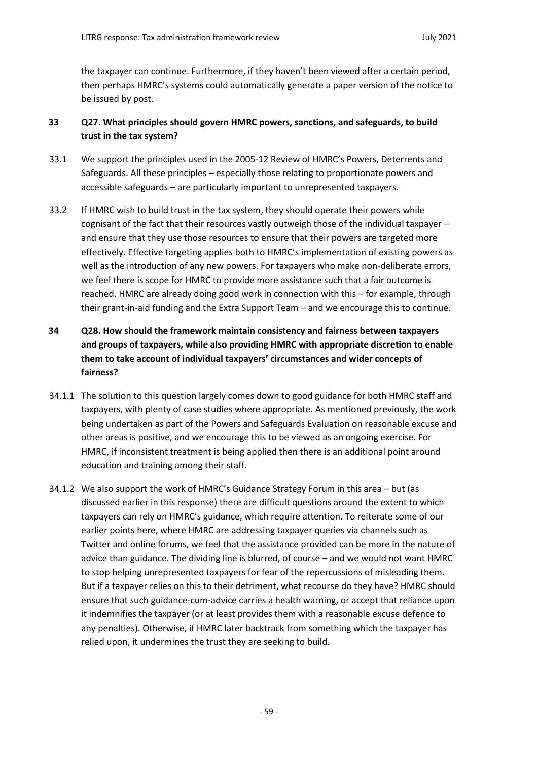the taxpayer can continue. Furthermore, if they haven't been viewed after a certain period, then perhaps HMRC's systems could automatically generate a paper version of the notice to be issued by post.

## **33 Q27. What principles should govern HMRC powers, sanctions, and safeguards, to build trust in the tax system?**

- 33.1 We support the principles used in the 2005-12 Review of HMRC's Powers, Deterrents and Safeguards. All these principles – especially those relating to proportionate powers and accessible safeguards – are particularly important to unrepresented taxpayers.
- 33.2 If HMRC wish to build trust in the tax system, they should operate their powers while cognisant of the fact that their resources vastly outweigh those of the individual taxpayer – and ensure that they use those resources to ensure that their powers are targeted more effectively. Effective targeting applies both to HMRC's implementation of existing powers as well as the introduction of any new powers. For taxpayers who make non-deliberate errors, we feel there is scope for HMRC to provide more assistance such that a fair outcome is reached. HMRC are already doing good work in connection with this – for example, through their grant-in-aid funding and the Extra Support Team – and we encourage this to continue.
- **34 Q28. How should the framework maintain consistency and fairness between taxpayers and groups of taxpayers, while also providing HMRC with appropriate discretion to enable them to take account of individual taxpayers' circumstances and wider concepts of fairness?**
- 34.1.1 The solution to this question largely comes down to good guidance for both HMRC staff and taxpayers, with plenty of case studies where appropriate. As mentioned previously, the work being undertaken as part of the Powers and Safeguards Evaluation on reasonable excuse and other areas is positive, and we encourage this to be viewed as an ongoing exercise. For HMRC, if inconsistent treatment is being applied then there is an additional point around education and training among their staff.
- 34.1.2 We also support the work of HMRC's Guidance Strategy Forum in this area but (as discussed earlier in this response) there are difficult questions around the extent to which taxpayers can rely on HMRC's guidance, which require attention. To reiterate some of our earlier points here, where HMRC are addressing taxpayer queries via channels such as Twitter and online forums, we feel that the assistance provided can be more in the nature of advice than guidance. The dividing line is blurred, of course – and we would not want HMRC to stop helping unrepresented taxpayers for fear of the repercussions of misleading them. But if a taxpayer relies on this to their detriment, what recourse do they have? HMRC should ensure that such guidance-cum-advice carries a health warning, or accept that reliance upon it indemnifies the taxpayer (or at least provides them with a reasonable excuse defence to any penalties). Otherwise, if HMRC later backtrack from something which the taxpayer has relied upon, it undermines the trust they are seeking to build.